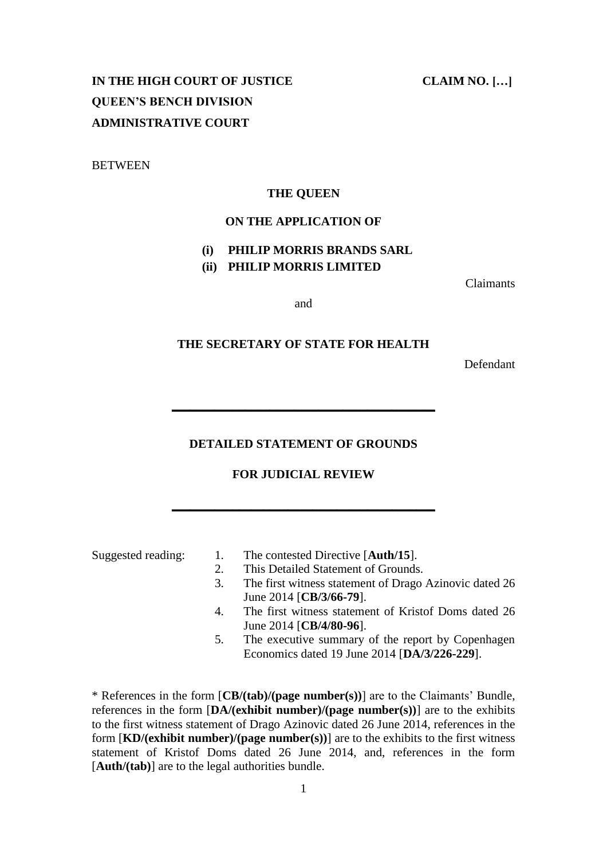# **IN THE HIGH COURT OF JUSTICE CLAIM NO. […] QUEEN'S BENCH DIVISION ADMINISTRATIVE COURT**

**BETWEEN** 

### **THE QUEEN**

# **ON THE APPLICATION OF**

# **(i) PHILIP MORRIS BRANDS SARL**

**(ii) PHILIP MORRIS LIMITED**

Claimants

and

# **THE SECRETARY OF STATE FOR HEALTH**

Defendant

### **DETAILED STATEMENT OF GROUNDS**

**\_\_\_\_\_\_\_\_\_\_\_\_\_\_\_\_\_\_\_\_\_\_\_\_\_\_\_\_\_\_\_\_\_\_\_\_\_\_\_\_\_\_\_**

# **FOR JUDICIAL REVIEW**

**\_\_\_\_\_\_\_\_\_\_\_\_\_\_\_\_\_\_\_\_\_\_\_\_\_\_\_\_\_\_\_\_\_\_\_\_\_\_\_\_\_\_\_**

- Suggested reading: 1. The contested Directive [**Auth/15**].
	- 2. This Detailed Statement of Grounds.
	- 3. The first witness statement of Drago Azinovic dated 26 June 2014 [**CB/3/66-79**].
	- 4. The first witness statement of Kristof Doms dated 26 June 2014 [**CB/4/80-96**].
	- 5. The executive summary of the report by Copenhagen Economics dated 19 June 2014 [**DA/3/226-229**].

\* References in the form [**CB/(tab)/(page number(s))**] are to the Claimants' Bundle, references in the form  $[DA/(exhibit number)/(page number))$  are to the exhibits to the first witness statement of Drago Azinovic dated 26 June 2014, references in the form [**KD/(exhibit number)/(page number(s))**] are to the exhibits to the first witness statement of Kristof Doms dated 26 June 2014, and, references in the form [**Auth/(tab)**] are to the legal authorities bundle.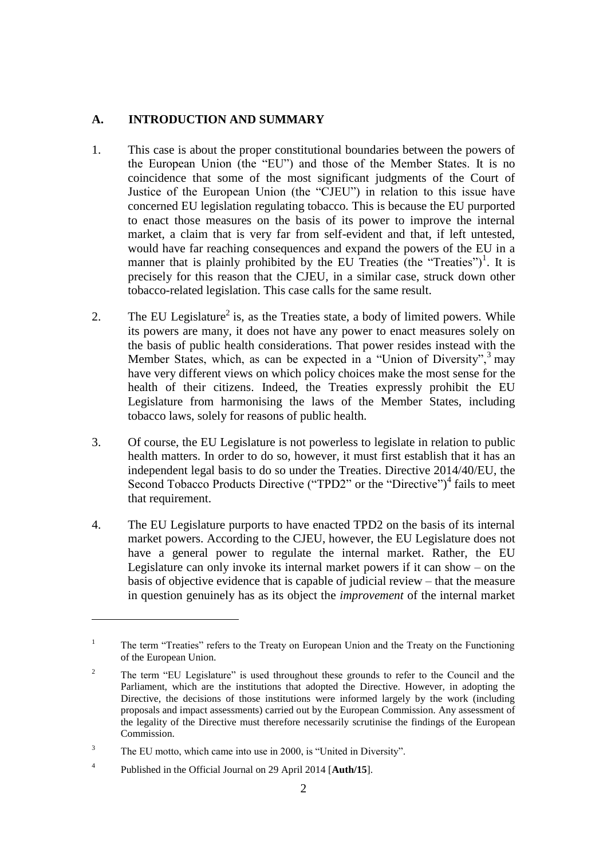# **A. INTRODUCTION AND SUMMARY**

- 1. This case is about the proper constitutional boundaries between the powers of the European Union (the "EU") and those of the Member States. It is no coincidence that some of the most significant judgments of the Court of Justice of the European Union (the "CJEU") in relation to this issue have concerned EU legislation regulating tobacco. This is because the EU purported to enact those measures on the basis of its power to improve the internal market, a claim that is very far from self-evident and that, if left untested, would have far reaching consequences and expand the powers of the EU in a manner that is plainly prohibited by the EU Treaties (the "Treaties")<sup>1</sup>. It is precisely for this reason that the CJEU, in a similar case, struck down other tobacco-related legislation. This case calls for the same result.
- 2. The EU Legislature<sup>2</sup> is, as the Treaties state, a body of limited powers. While its powers are many, it does not have any power to enact measures solely on the basis of public health considerations. That power resides instead with the Member States, which, as can be expected in a "Union of Diversity",  $3 \text{ may}$ have very different views on which policy choices make the most sense for the health of their citizens. Indeed, the Treaties expressly prohibit the EU Legislature from harmonising the laws of the Member States, including tobacco laws, solely for reasons of public health.
- 3. Of course, the EU Legislature is not powerless to legislate in relation to public health matters. In order to do so, however, it must first establish that it has an independent legal basis to do so under the Treaties. Directive 2014/40/EU, the Second Tobacco Products Directive ("TPD2" or the "Directive")<sup>4</sup> fails to meet that requirement.
- 4. The EU Legislature purports to have enacted TPD2 on the basis of its internal market powers. According to the CJEU, however, the EU Legislature does not have a general power to regulate the internal market. Rather, the EU Legislature can only invoke its internal market powers if it can show – on the basis of objective evidence that is capable of judicial review – that the measure in question genuinely has as its object the *improvement* of the internal market

<sup>&</sup>lt;sup>1</sup> The term "Treaties" refers to the Treaty on European Union and the Treaty on the Functioning of the European Union.

<sup>&</sup>lt;sup>2</sup> The term "EU Legislature" is used throughout these grounds to refer to the Council and the Parliament, which are the institutions that adopted the Directive. However, in adopting the Directive, the decisions of those institutions were informed largely by the work (including proposals and impact assessments) carried out by the European Commission. Any assessment of the legality of the Directive must therefore necessarily scrutinise the findings of the European Commission.

<sup>&</sup>lt;sup>3</sup> The EU motto, which came into use in 2000, is "United in Diversity".

<sup>4</sup> Published in the Official Journal on 29 April 2014 [**Auth/15**].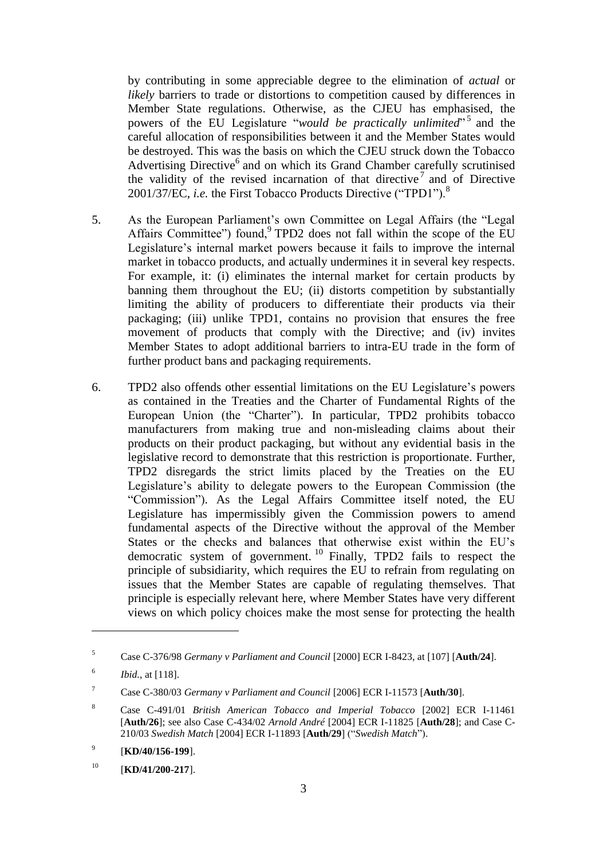by contributing in some appreciable degree to the elimination of *actual* or *likely* barriers to trade or distortions to competition caused by differences in Member State regulations. Otherwise, as the CJEU has emphasised, the powers of the EU Legislature "*would be practically unlimited*" 5 and the careful allocation of responsibilities between it and the Member States would be destroyed. This was the basis on which the CJEU struck down the Tobacco Advertising Directive<sup>6</sup> and on which its Grand Chamber carefully scrutinised the validity of the revised incarnation of that directive<sup>7</sup> and of Directive 2001/37/EC, *i.e.* the First Tobacco Products Directive ("TPD1").<sup>8</sup>

- 5. As the European Parliament's own Committee on Legal Affairs (the "Legal Affairs Committee") found, TPD2 does not fall within the scope of the EU Legislature's internal market powers because it fails to improve the internal market in tobacco products, and actually undermines it in several key respects. For example, it: (i) eliminates the internal market for certain products by banning them throughout the EU; (ii) distorts competition by substantially limiting the ability of producers to differentiate their products via their packaging; (iii) unlike TPD1, contains no provision that ensures the free movement of products that comply with the Directive; and (iv) invites Member States to adopt additional barriers to intra-EU trade in the form of further product bans and packaging requirements.
- 6. TPD2 also offends other essential limitations on the EU Legislature's powers as contained in the Treaties and the Charter of Fundamental Rights of the European Union (the "Charter"). In particular, TPD2 prohibits tobacco manufacturers from making true and non-misleading claims about their products on their product packaging, but without any evidential basis in the legislative record to demonstrate that this restriction is proportionate. Further, TPD2 disregards the strict limits placed by the Treaties on the EU Legislature's ability to delegate powers to the European Commission (the "Commission"). As the Legal Affairs Committee itself noted, the EU Legislature has impermissibly given the Commission powers to amend fundamental aspects of the Directive without the approval of the Member States or the checks and balances that otherwise exist within the EU's democratic system of government.<sup>10</sup> Finally, TPD2 fails to respect the principle of subsidiarity, which requires the EU to refrain from regulating on issues that the Member States are capable of regulating themselves. That principle is especially relevant here, where Member States have very different views on which policy choices make the most sense for protecting the health

<sup>5</sup> Case C-376/98 *Germany v Parliament and Council* [2000] ECR I-8423, at [107] [**Auth/24**].

<sup>6</sup> *Ibid.*, at [118].

<sup>7</sup> Case C-380/03 *Germany v Parliament and Council* [2006] ECR I-11573 [**Auth/30**].

<sup>8</sup> Case C-491/01 *British American Tobacco and Imperial Tobacco* [2002] ECR I-11461 [**Auth/26**]; see also Case C-434/02 *Arnold André* [2004] ECR I-11825 [**Auth/28**]; and Case C-210/03 *Swedish Match* [2004] ECR I-11893 [**Auth/29**] ("*Swedish Match*").

<sup>9</sup> [**KD/40/156-199**].

<sup>10</sup> [**KD/41/200-217**].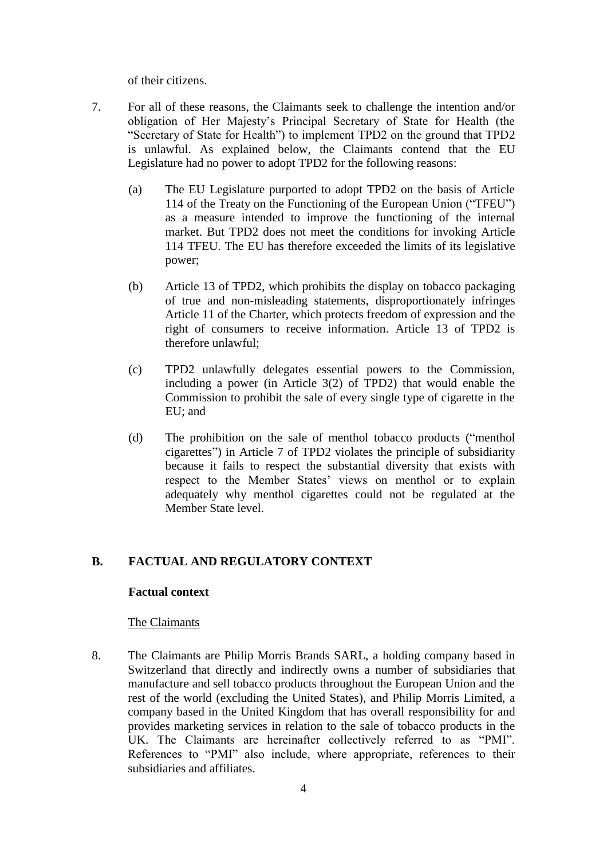of their citizens.

- 7. For all of these reasons, the Claimants seek to challenge the intention and/or obligation of Her Majesty's Principal Secretary of State for Health (the "Secretary of State for Health") to implement TPD2 on the ground that TPD2 is unlawful. As explained below, the Claimants contend that the EU Legislature had no power to adopt TPD2 for the following reasons:
	- (a) The EU Legislature purported to adopt TPD2 on the basis of Article 114 of the Treaty on the Functioning of the European Union ("TFEU") as a measure intended to improve the functioning of the internal market. But TPD2 does not meet the conditions for invoking Article 114 TFEU. The EU has therefore exceeded the limits of its legislative power;
	- (b) Article 13 of TPD2, which prohibits the display on tobacco packaging of true and non-misleading statements, disproportionately infringes Article 11 of the Charter, which protects freedom of expression and the right of consumers to receive information. Article 13 of TPD2 is therefore unlawful;
	- (c) TPD2 unlawfully delegates essential powers to the Commission, including a power (in Article 3(2) of TPD2) that would enable the Commission to prohibit the sale of every single type of cigarette in the EU; and
	- (d) The prohibition on the sale of menthol tobacco products ("menthol cigarettes") in Article 7 of TPD2 violates the principle of subsidiarity because it fails to respect the substantial diversity that exists with respect to the Member States' views on menthol or to explain adequately why menthol cigarettes could not be regulated at the Member State level.

# **B. FACTUAL AND REGULATORY CONTEXT**

### **Factual context**

### The Claimants

8. The Claimants are Philip Morris Brands SARL, a holding company based in Switzerland that directly and indirectly owns a number of subsidiaries that manufacture and sell tobacco products throughout the European Union and the rest of the world (excluding the United States), and Philip Morris Limited, a company based in the United Kingdom that has overall responsibility for and provides marketing services in relation to the sale of tobacco products in the UK. The Claimants are hereinafter collectively referred to as "PMI". References to "PMI" also include, where appropriate, references to their subsidiaries and affiliates.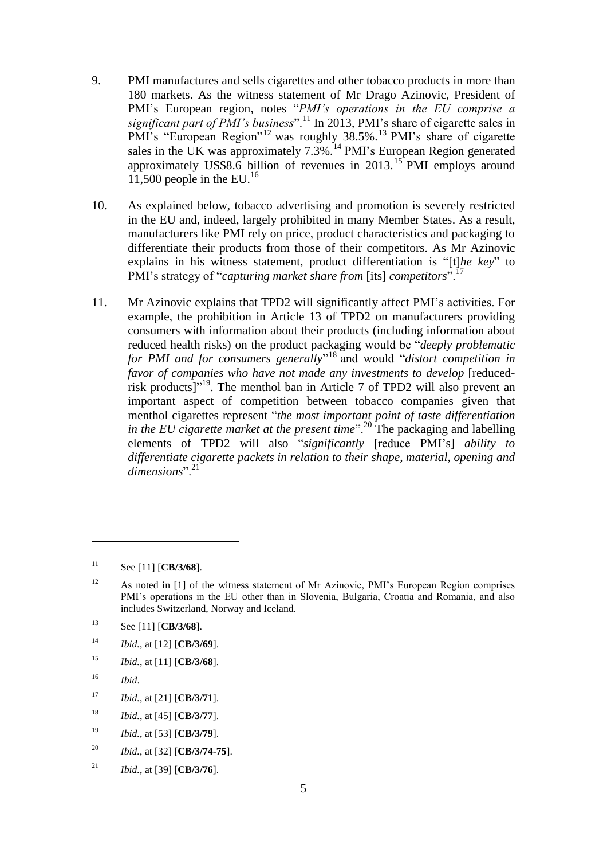- 9. PMI manufactures and sells cigarettes and other tobacco products in more than 180 markets. As the witness statement of Mr Drago Azinovic, President of PMI's European region, notes "*PMI's operations in the EU comprise a significant part of PMI's business*".<sup>11</sup> In 2013, PMI's share of cigarette sales in PMI's "European Region"<sup>12</sup> was roughly 38.5%.<sup>13</sup> PMI's share of cigarette sales in the UK was approximately  $7.3\%$ .<sup>14</sup> PMI's European Region generated approximately US\$8.6 billion of revenues in 2013.<sup>15</sup> PMI employs around 11,500 people in the EU.<sup>16</sup>
- 10. As explained below, tobacco advertising and promotion is severely restricted in the EU and, indeed, largely prohibited in many Member States. As a result, manufacturers like PMI rely on price, product characteristics and packaging to differentiate their products from those of their competitors. As Mr Azinovic explains in his witness statement, product differentiation is "[t]*he key*" to PMI's strategy of "*capturing market share from* [its] *competitors*".<sup>17</sup>
- 11. Mr Azinovic explains that TPD2 will significantly affect PMI's activities. For example, the prohibition in Article 13 of TPD2 on manufacturers providing consumers with information about their products (including information about reduced health risks) on the product packaging would be "*deeply problematic for PMI and for consumers generally*" <sup>18</sup> and would "*distort competition in favor of companies who have not made any investments to develop* [reducedrisk products]"<sup>19</sup>. The menthol ban in Article 7 of TPD2 will also prevent an important aspect of competition between tobacco companies given that menthol cigarettes represent "*the most important point of taste differentiation in the EU cigarette market at the present time*".<sup>20</sup> The packaging and labelling elements of TPD2 will also "*significantly* [reduce PMI's] *ability to differentiate cigarette packets in relation to their shape, material, opening and dimensions*".<sup>21</sup>

- <sup>14</sup> *Ibid.*, at [12] [**CB/3/69**].
- <sup>15</sup> *Ibid.*, at [11] [**CB/3/68**].
- <sup>16</sup> *Ibid*.

- <sup>17</sup> *Ibid.*, at [21] [**CB/3/71**].
- <sup>18</sup> *Ibid.*, at [45] [**CB/3/77**].
- <sup>19</sup> *Ibid.*, at [53] [**CB/3/79**].
- <sup>20</sup> *Ibid.*, at [32] [**CB/3/74-75**].
- <sup>21</sup> *Ibid.*, at [39] [**CB/3/76**].

<sup>11</sup> See [11] [**CB/3/68**].

<sup>&</sup>lt;sup>12</sup> As noted in [1] of the witness statement of Mr Azinovic, PMI's European Region comprises PMI's operations in the EU other than in Slovenia, Bulgaria, Croatia and Romania, and also includes Switzerland, Norway and Iceland.

<sup>13</sup> See [11] [**CB/3/68**].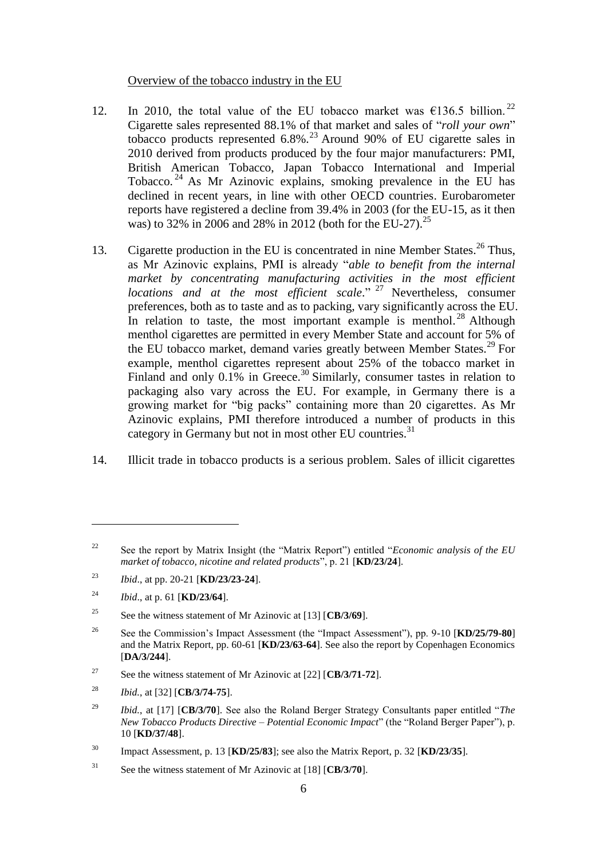#### Overview of the tobacco industry in the EU

- 12. In 2010, the total value of the EU tobacco market was  $\epsilon$ 136.5 billion.<sup>22</sup> Cigarette sales represented 88.1% of that market and sales of "*roll your own*" tobacco products represented  $6.8\%$ <sup>23</sup> Around 90% of EU cigarette sales in 2010 derived from products produced by the four major manufacturers: PMI, British American Tobacco, Japan Tobacco International and Imperial Tobacco. <sup>24</sup> As Mr Azinovic explains, smoking prevalence in the EU has declined in recent years, in line with other OECD countries. Eurobarometer reports have registered a decline from 39.4% in 2003 (for the EU-15, as it then was) to 32% in 2006 and 28% in 2012 (both for the EU-27).<sup>25</sup>
- 13. Cigarette production in the EU is concentrated in nine Member States.<sup>26</sup> Thus, as Mr Azinovic explains, PMI is already "*able to benefit from the internal market by concentrating manufacturing activities in the most efficient locations and at the most efficient scale*." <sup>27</sup> Nevertheless, consumer preferences, both as to taste and as to packing, vary significantly across the EU. In relation to taste, the most important example is menthol.<sup>28</sup> Although menthol cigarettes are permitted in every Member State and account for 5% of the EU tobacco market, demand varies greatly between Member States.<sup>29</sup> For example, menthol cigarettes represent about 25% of the tobacco market in Finland and only 0.1% in Greece.<sup>30</sup> Similarly, consumer tastes in relation to packaging also vary across the EU. For example, in Germany there is a growing market for "big packs" containing more than 20 cigarettes. As Mr Azinovic explains, PMI therefore introduced a number of products in this category in Germany but not in most other EU countries. $31$
- 14. Illicit trade in tobacco products is a serious problem. Sales of illicit cigarettes

<sup>22</sup> See the report by Matrix Insight (the "Matrix Report") entitled "*Economic analysis of the EU market of tobacco, nicotine and related products*", p. 21 [**KD/23/24**].

<sup>23</sup> *Ibid*., at pp. 20-21 [**KD/23/23-24**].

<sup>24</sup> *Ibid*., at p. 61 [**KD/23/64**].

<sup>25</sup> See the witness statement of Mr Azinovic at [13] [**CB/3/69**].

<sup>26</sup> See the Commission's Impact Assessment (the "Impact Assessment"), pp. 9-10 [**KD/25/79-80**] and the Matrix Report, pp. 60-61 [**KD/23/63-64**]. See also the report by Copenhagen Economics [**DA/3/244**].

<sup>27</sup> See the witness statement of Mr Azinovic at [22] [**CB/3/71-72**].

<sup>28</sup> *Ibid.*, at [32] [**CB/3/74-75**].

<sup>29</sup> *Ibid.*, at [17] [**CB/3/70**]. See also the Roland Berger Strategy Consultants paper entitled "*The New Tobacco Products Directive – Potential Economic Impact*" (the "Roland Berger Paper"), p. 10 [**KD/37/48**].

<sup>30</sup> Impact Assessment, p. 13 [**KD/25/83**]; see also the Matrix Report, p. 32 [**KD/23/35**].

<sup>31</sup> See the witness statement of Mr Azinovic at [18] [**CB/3/70**].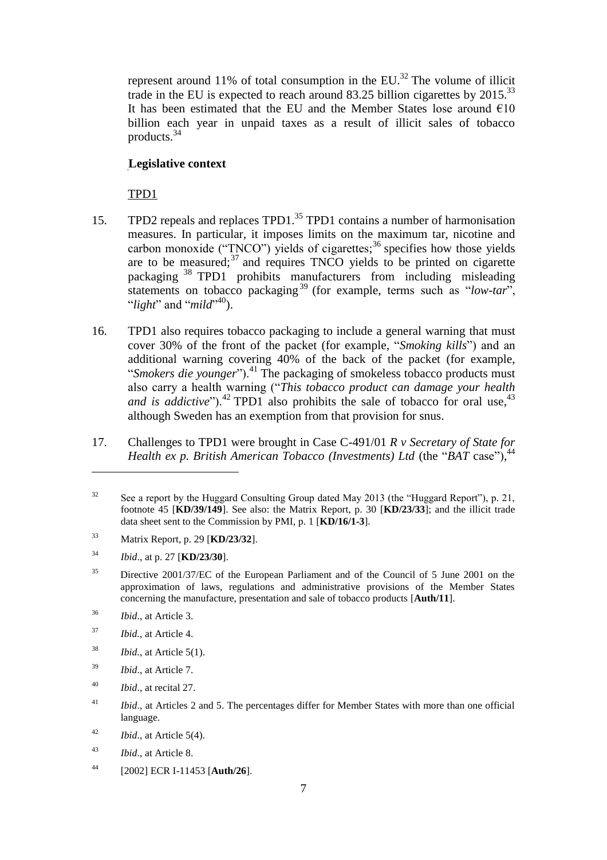represent around 11% of total consumption in the  $EU$ <sup>32</sup>. The volume of illicit trade in the EU is expected to reach around 83.25 billion cigarettes by  $2015^{33}$ It has been estimated that the EU and the Member States lose around  $\epsilon$ 10 billion each year in unpaid taxes as a result of illicit sales of tobacco products.<sup>34</sup>

# **Legislative context**

TPD1

- 15. TPD2 repeals and replaces TPD1.<sup>35</sup> TPD1 contains a number of harmonisation measures. In particular, it imposes limits on the maximum tar, nicotine and carbon monoxide ("TNCO") yields of cigarettes;<sup>36</sup> specifies how those yields are to be measured; $37$  and requires TNCO yields to be printed on cigarette packaging <sup>38</sup> TPD1 prohibits manufacturers from including misleading statements on tobacco packaging<sup>39</sup> (for example, terms such as "*low-tar*", "*light*" and "*mild*" <sup>40</sup>).
- 16. TPD1 also requires tobacco packaging to include a general warning that must cover 30% of the front of the packet (for example, "*Smoking kills*") and an additional warning covering 40% of the back of the packet (for example, "*Smokers die younger*").<sup>41</sup> The packaging of smokeless tobacco products must also carry a health warning ("*This tobacco product can damage your health and is addictive*").<sup>42</sup> TPD1 also prohibits the sale of tobacco for oral use,<sup>43</sup> although Sweden has an exemption from that provision for snus.
- 17. Challenges to TPD1 were brought in Case C-491/01 *R v Secretary of State for Health ex p. British American Tobacco (Investments) Ltd* (the "*BAT* case"), 44

 $\overline{a}$ 

- <sup>38</sup> *Ibid.*, at Article 5(1).
- <sup>39</sup> *Ibid*., at Article 7.
- <sup>40</sup> *Ibid*., at recital 27.

<sup>44</sup> [2002] ECR I-11453 [**Auth/26**].

<sup>&</sup>lt;sup>32</sup> See a report by the Huggard Consulting Group dated May 2013 (the "Huggard Report"), p. 21, footnote 45 [**KD/39/149**]. See also: the Matrix Report, p. 30 [**KD/23/33**]; and the illicit trade data sheet sent to the Commission by PMI, p. 1 [**KD/16/1-3**].

<sup>33</sup> Matrix Report, p. 29 [**KD/23/32**].

<sup>34</sup> *Ibid*., at p. 27 [**KD/23/30**].

<sup>&</sup>lt;sup>35</sup> Directive 2001/37/EC of the European Parliament and of the Council of 5 June 2001 on the approximation of laws, regulations and administrative provisions of the Member States concerning the manufacture, presentation and sale of tobacco products [**Auth/11**].

<sup>36</sup> *Ibid*., at Article 3.

<sup>37</sup> *Ibid.*, at Article 4.

<sup>&</sup>lt;sup>41</sup> *Ibid.*, at Articles 2 and 5. The percentages differ for Member States with more than one official language.

<sup>42</sup> *Ibid*., at Article 5(4).

<sup>43</sup> *Ibid*., at Article 8.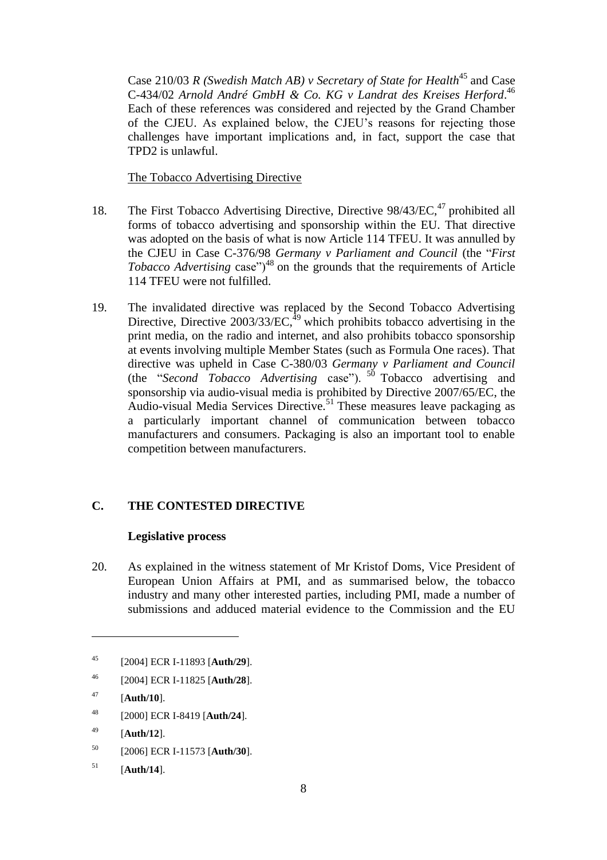Case 210/03 *R* (Swedish Match AB) *v* Secretary of State for Health<sup>45</sup> and Case C-434/02 *Arnold André GmbH & Co. KG v Landrat des Kreises Herford*. 46 Each of these references was considered and rejected by the Grand Chamber of the CJEU. As explained below, the CJEU's reasons for rejecting those challenges have important implications and, in fact, support the case that TPD2 is unlawful.

The Tobacco Advertising Directive

- 18. The First Tobacco Advertising Directive, Directive 98/43/EC,<sup>47</sup> prohibited all forms of tobacco advertising and sponsorship within the EU. That directive was adopted on the basis of what is now Article 114 TFEU. It was annulled by the CJEU in Case C-376/98 *Germany v Parliament and Council* (the "*First Tobacco Advertising* case")<sup>48</sup> on the grounds that the requirements of Article 114 TFEU were not fulfilled.
- 19. The invalidated directive was replaced by the Second Tobacco Advertising Directive, Directive  $2003/33/EC$ ,<sup>49</sup> which prohibits tobacco advertising in the print media, on the radio and internet, and also prohibits tobacco sponsorship at events involving multiple Member States (such as Formula One races). That directive was upheld in Case C-380/03 *Germany v Parliament and Council*  (the "*Second Tobacco Advertising* case"). <sup>50</sup> Tobacco advertising and sponsorship via audio-visual media is prohibited by Directive 2007/65/EC, the Audio-visual Media Services Directive.<sup>51</sup> These measures leave packaging as a particularly important channel of communication between tobacco manufacturers and consumers. Packaging is also an important tool to enable competition between manufacturers.

# **C. THE CONTESTED DIRECTIVE**

# **Legislative process**

20. As explained in the witness statement of Mr Kristof Doms, Vice President of European Union Affairs at PMI, and as summarised below, the tobacco industry and many other interested parties, including PMI, made a number of submissions and adduced material evidence to the Commission and the EU

- <sup>48</sup> [2000] ECR I-8419 [**Auth/24**].
- <sup>49</sup> [**Auth/12**].
- <sup>50</sup> [2006] ECR I-11573 [**Auth/30**].
- <sup>51</sup> [**Auth/14**].

<sup>45</sup> [2004] ECR I-11893 [**Auth/29**].

<sup>46</sup> [2004] ECR I-11825 [**Auth/28**].

<sup>47</sup> [**Auth/10**].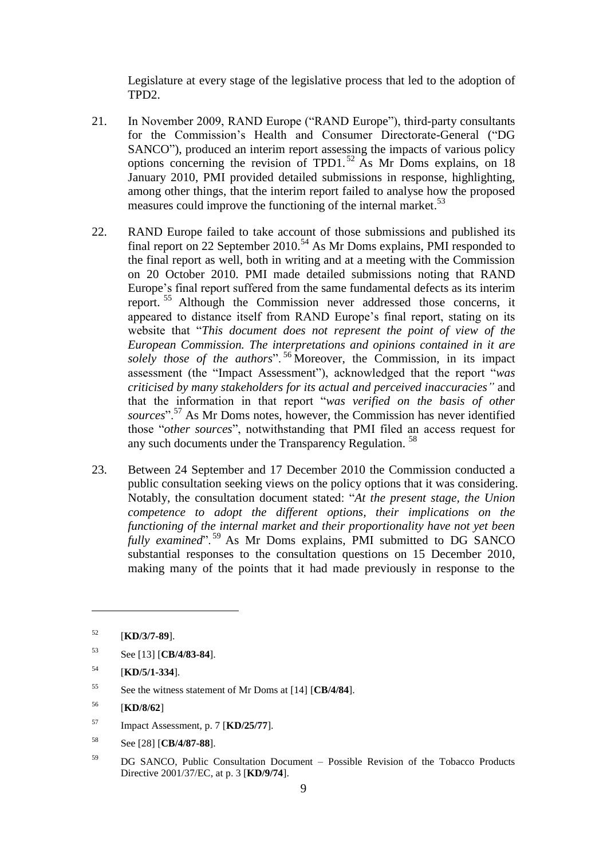Legislature at every stage of the legislative process that led to the adoption of TPD2.

- 21. In November 2009, RAND Europe ("RAND Europe"), third-party consultants for the Commission's Health and Consumer Directorate-General ("DG SANCO"), produced an interim report assessing the impacts of various policy options concerning the revision of TPD1.<sup>52</sup> As Mr Doms explains, on 18 January 2010, PMI provided detailed submissions in response, highlighting, among other things, that the interim report failed to analyse how the proposed measures could improve the functioning of the internal market.<sup>53</sup>
- 22. RAND Europe failed to take account of those submissions and published its final report on 22 September 2010.<sup>54</sup> As Mr Doms explains, PMI responded to the final report as well, both in writing and at a meeting with the Commission on 20 October 2010. PMI made detailed submissions noting that RAND Europe's final report suffered from the same fundamental defects as its interim report.<sup>55</sup> Although the Commission never addressed those concerns, it appeared to distance itself from RAND Europe's final report, stating on its website that "*This document does not represent the point of view of the European Commission. The interpretations and opinions contained in it are*  solely those of the authors".<sup>56</sup> Moreover, the Commission, in its impact assessment (the "Impact Assessment"), acknowledged that the report "*was criticised by many stakeholders for its actual and perceived inaccuracies"* and that the information in that report "*was verified on the basis of other sources*".<sup>57</sup> As Mr Doms notes, however, the Commission has never identified those "*other sources*", notwithstanding that PMI filed an access request for any such documents under the Transparency Regulation.<sup>58</sup>
- 23. Between 24 September and 17 December 2010 the Commission conducted a public consultation seeking views on the policy options that it was considering. Notably, the consultation document stated: "*At the present stage, the Union competence to adopt the different options, their implications on the functioning of the internal market and their proportionality have not yet been fully examined*".<sup>59</sup> As Mr Doms explains, PMI submitted to DG SANCO substantial responses to the consultation questions on 15 December 2010, making many of the points that it had made previously in response to the

- <sup>57</sup> Impact Assessment, p. 7 [**KD/25/77**].
- <sup>58</sup> See [28] [**CB/4/87-88**].
- <sup>59</sup> DG SANCO, Public Consultation Document Possible Revision of the Tobacco Products Directive 2001/37/EC, at p. 3 [**KD/9/74**].

<sup>52</sup> [**KD/3/7-89**].

<sup>53</sup> See [13] [**CB/4/83-84**].

<sup>54</sup> [**KD/5/1-334**].

<sup>55</sup> See the witness statement of Mr Doms at [14] [**CB/4/84**].

<sup>56</sup> [**KD/8/62**]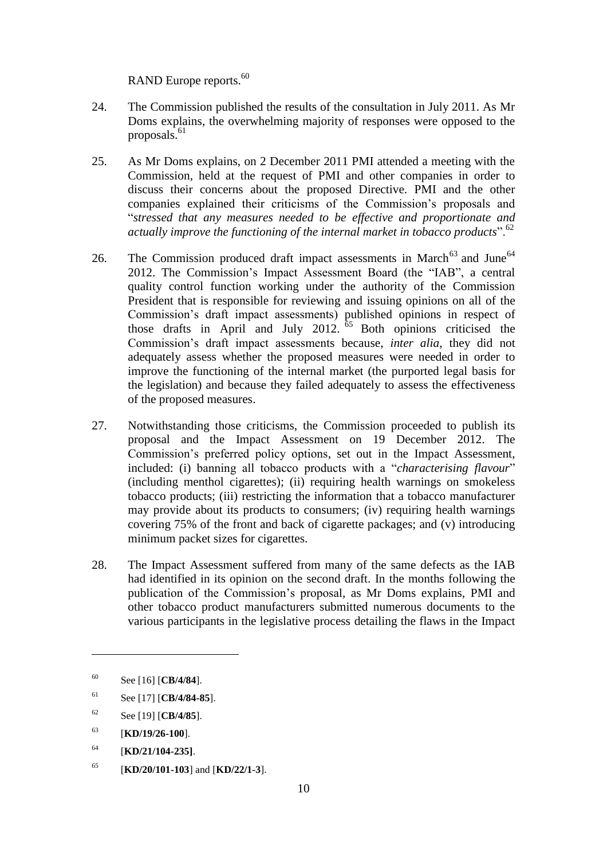RAND Europe reports.<sup>60</sup>

- 24. The Commission published the results of the consultation in July 2011. As Mr Doms explains, the overwhelming majority of responses were opposed to the proposals.<sup>61</sup>
- 25. As Mr Doms explains, on 2 December 2011 PMI attended a meeting with the Commission, held at the request of PMI and other companies in order to discuss their concerns about the proposed Directive. PMI and the other companies explained their criticisms of the Commission's proposals and "*stressed that any measures needed to be effective and proportionate and actually improve the functioning of the internal market in tobacco products*".<sup>62</sup>
- 26. The Commission produced draft impact assessments in March<sup>63</sup> and June<sup>64</sup> 2012. The Commission's Impact Assessment Board (the "IAB", a central quality control function working under the authority of the Commission President that is responsible for reviewing and issuing opinions on all of the Commission's draft impact assessments) published opinions in respect of those drafts in April and July 2012.  $\overline{65}$  Both opinions criticised the Commission's draft impact assessments because, *inter alia*, they did not adequately assess whether the proposed measures were needed in order to improve the functioning of the internal market (the purported legal basis for the legislation) and because they failed adequately to assess the effectiveness of the proposed measures.
- 27. Notwithstanding those criticisms, the Commission proceeded to publish its proposal and the Impact Assessment on 19 December 2012. The Commission's preferred policy options, set out in the Impact Assessment, included: (i) banning all tobacco products with a "*characterising flavour*" (including menthol cigarettes); (ii) requiring health warnings on smokeless tobacco products; (iii) restricting the information that a tobacco manufacturer may provide about its products to consumers; (iv) requiring health warnings covering 75% of the front and back of cigarette packages; and (v) introducing minimum packet sizes for cigarettes.
- 28. The Impact Assessment suffered from many of the same defects as the IAB had identified in its opinion on the second draft. In the months following the publication of the Commission's proposal, as Mr Doms explains, PMI and other tobacco product manufacturers submitted numerous documents to the various participants in the legislative process detailing the flaws in the Impact

<sup>60</sup> See [16] [**CB/4/84**].

<sup>61</sup> See [17] [**CB/4/84-85**].

<sup>62</sup> See [19] [**CB/4/85**].

<sup>63</sup> [**KD/19/26-100**].

<sup>64</sup> [**KD/21/104-235]**.

<sup>65</sup> [**KD/20/101-103**] and [**KD/22/1-3**].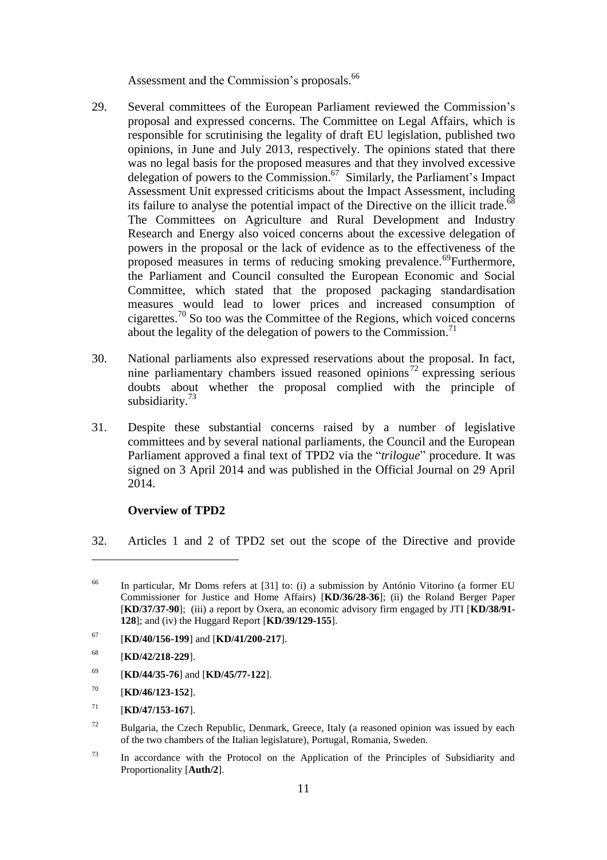Assessment and the Commission's proposals.<sup>66</sup>

- 29. Several committees of the European Parliament reviewed the Commission's proposal and expressed concerns. The Committee on Legal Affairs, which is responsible for scrutinising the legality of draft EU legislation, published two opinions, in June and July 2013, respectively. The opinions stated that there was no legal basis for the proposed measures and that they involved excessive delegation of powers to the Commission. <sup>67</sup> Similarly, the Parliament's Impact Assessment Unit expressed criticisms about the Impact Assessment, including its failure to analyse the potential impact of the Directive on the illicit trade.<sup>68</sup> The Committees on Agriculture and Rural Development and Industry Research and Energy also voiced concerns about the excessive delegation of powers in the proposal or the lack of evidence as to the effectiveness of the proposed measures in terms of reducing smoking prevalence.<sup>69</sup>Furthermore, the Parliament and Council consulted the European Economic and Social Committee, which stated that the proposed packaging standardisation measures would lead to lower prices and increased consumption of cigarettes.<sup>70</sup> So too was the Committee of the Regions, which voiced concerns about the legality of the delegation of powers to the Commission.<sup>71</sup>
- 30. National parliaments also expressed reservations about the proposal. In fact, nine parliamentary chambers issued reasoned opinions<sup>72</sup> expressing serious doubts about whether the proposal complied with the principle of subsidiarity.<sup>73</sup>
- 31. Despite these substantial concerns raised by a number of legislative committees and by several national parliaments, the Council and the European Parliament approved a final text of TPD2 via the "*trilogue*" procedure. It was signed on 3 April 2014 and was published in the Official Journal on 29 April 2014.

### **Overview of TPD2**

32. Articles 1 and 2 of TPD2 set out the scope of the Directive and provide

- <sup>69</sup> [**KD/44/35-76**] and [**KD/45/77-122**].
- <sup>70</sup> [**KD/46/123-152**].

- $72$  Bulgaria, the Czech Republic, Denmark, Greece, Italy (a reasoned opinion was issued by each of the two chambers of the Italian legislature), Portugal, Romania, Sweden.
- <sup>73</sup> In accordance with the Protocol on the Application of the Principles of Subsidiarity and Proportionality [**Auth/2**].

<sup>66</sup> In particular, Mr Doms refers at [31] to: (i) a submission by António Vitorino (a former EU Commissioner for Justice and Home Affairs) [**KD/36/28-36**]; (ii) the Roland Berger Paper [**KD/37/37-90**]; (iii) a report by Oxera, an economic advisory firm engaged by JTI [**KD/38/91- 128**]; and (iv) the Huggard Report [**KD/39/129-155**].

<sup>67</sup> [**KD/40/156-199**] and [**KD/41/200-217**].

<sup>68</sup> [**KD/42/218-229**].

 $^{71}$  [**KD/47/153-167**].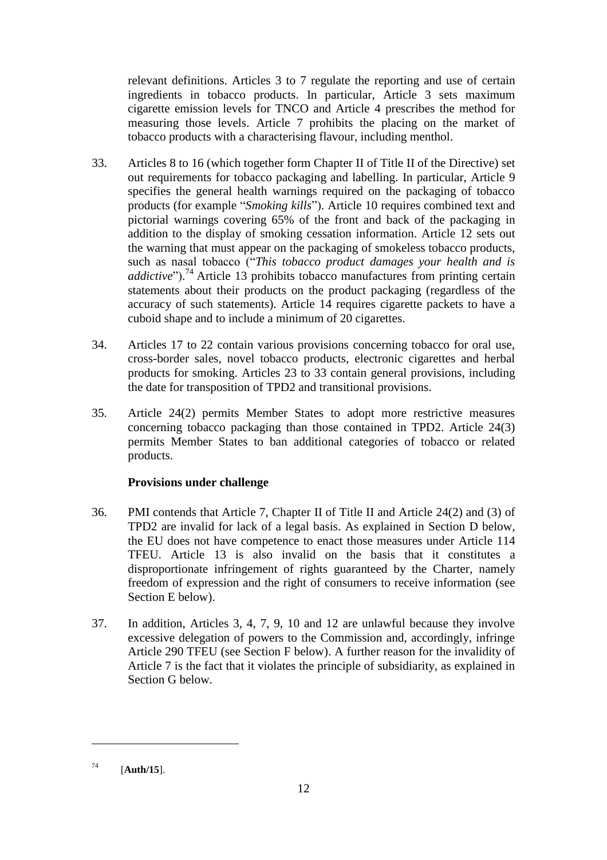relevant definitions. Articles 3 to 7 regulate the reporting and use of certain ingredients in tobacco products. In particular, Article 3 sets maximum cigarette emission levels for TNCO and Article 4 prescribes the method for measuring those levels. Article 7 prohibits the placing on the market of tobacco products with a characterising flavour, including menthol.

- 33. Articles 8 to 16 (which together form Chapter II of Title II of the Directive) set out requirements for tobacco packaging and labelling. In particular, Article 9 specifies the general health warnings required on the packaging of tobacco products (for example "*Smoking kills*"). Article 10 requires combined text and pictorial warnings covering 65% of the front and back of the packaging in addition to the display of smoking cessation information. Article 12 sets out the warning that must appear on the packaging of smokeless tobacco products, such as nasal tobacco ("*This tobacco product damages your health and is addictive*").<sup>74</sup> Article 13 prohibits tobacco manufactures from printing certain statements about their products on the product packaging (regardless of the accuracy of such statements). Article 14 requires cigarette packets to have a cuboid shape and to include a minimum of 20 cigarettes.
- 34. Articles 17 to 22 contain various provisions concerning tobacco for oral use, cross-border sales, novel tobacco products, electronic cigarettes and herbal products for smoking. Articles 23 to 33 contain general provisions, including the date for transposition of TPD2 and transitional provisions.
- 35. Article 24(2) permits Member States to adopt more restrictive measures concerning tobacco packaging than those contained in TPD2. Article 24(3) permits Member States to ban additional categories of tobacco or related products.

# **Provisions under challenge**

- 36. PMI contends that Article 7, Chapter II of Title II and Article 24(2) and (3) of TPD2 are invalid for lack of a legal basis. As explained in Section D below, the EU does not have competence to enact those measures under Article 114 TFEU. Article 13 is also invalid on the basis that it constitutes a disproportionate infringement of rights guaranteed by the Charter, namely freedom of expression and the right of consumers to receive information (see Section E below).
- 37. In addition, Articles 3, 4, 7, 9, 10 and 12 are unlawful because they involve excessive delegation of powers to the Commission and, accordingly, infringe Article 290 TFEU (see Section F below). A further reason for the invalidity of Article 7 is the fact that it violates the principle of subsidiarity, as explained in Section G below.

<sup>74</sup> [**Auth/15**].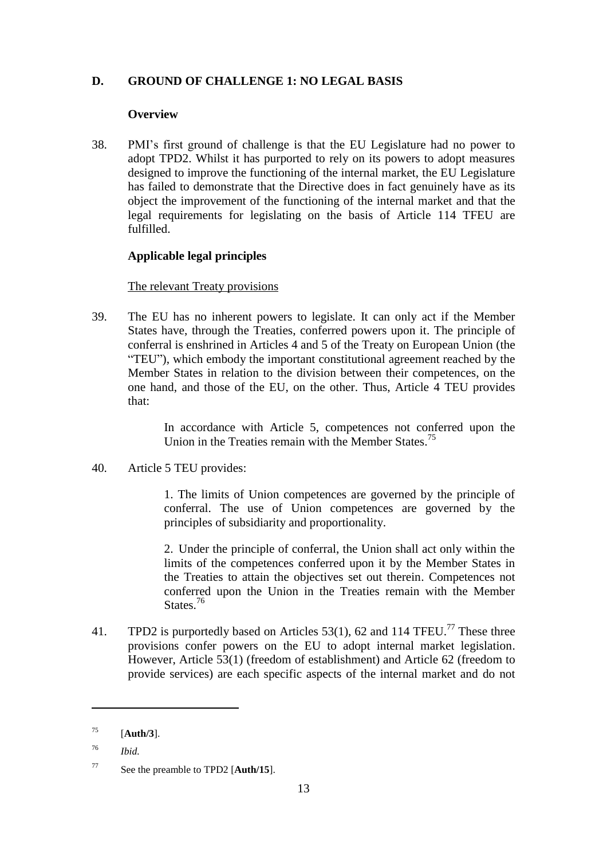# **D. GROUND OF CHALLENGE 1: NO LEGAL BASIS**

### **Overview**

38. PMI's first ground of challenge is that the EU Legislature had no power to adopt TPD2. Whilst it has purported to rely on its powers to adopt measures designed to improve the functioning of the internal market, the EU Legislature has failed to demonstrate that the Directive does in fact genuinely have as its object the improvement of the functioning of the internal market and that the legal requirements for legislating on the basis of Article 114 TFEU are fulfilled.

# **Applicable legal principles**

# The relevant Treaty provisions

39. The EU has no inherent powers to legislate. It can only act if the Member States have, through the Treaties, conferred powers upon it. The principle of conferral is enshrined in Articles 4 and 5 of the Treaty on European Union (the "TEU"), which embody the important constitutional agreement reached by the Member States in relation to the division between their competences, on the one hand, and those of the EU, on the other. Thus, Article 4 TEU provides that:

> In accordance with Article 5, competences not conferred upon the Union in the Treaties remain with the Member States.<sup>75</sup>

40. Article 5 TEU provides:

1. The limits of Union competences are governed by the principle of conferral. The use of Union competences are governed by the principles of subsidiarity and proportionality.

2. Under the principle of conferral, the Union shall act only within the limits of the competences conferred upon it by the Member States in the Treaties to attain the objectives set out therein. Competences not conferred upon the Union in the Treaties remain with the Member States.<sup>76</sup>

41. TPD2 is purportedly based on Articles 53(1), 62 and 114 TFEU.<sup>77</sup> These three provisions confer powers on the EU to adopt internal market legislation. However, Article 53(1) (freedom of establishment) and Article 62 (freedom to provide services) are each specific aspects of the internal market and do not

<sup>75</sup> [**Auth/3**].

<sup>76</sup> *Ibid.*

<sup>77</sup> See the preamble to TPD2 [**Auth/15**].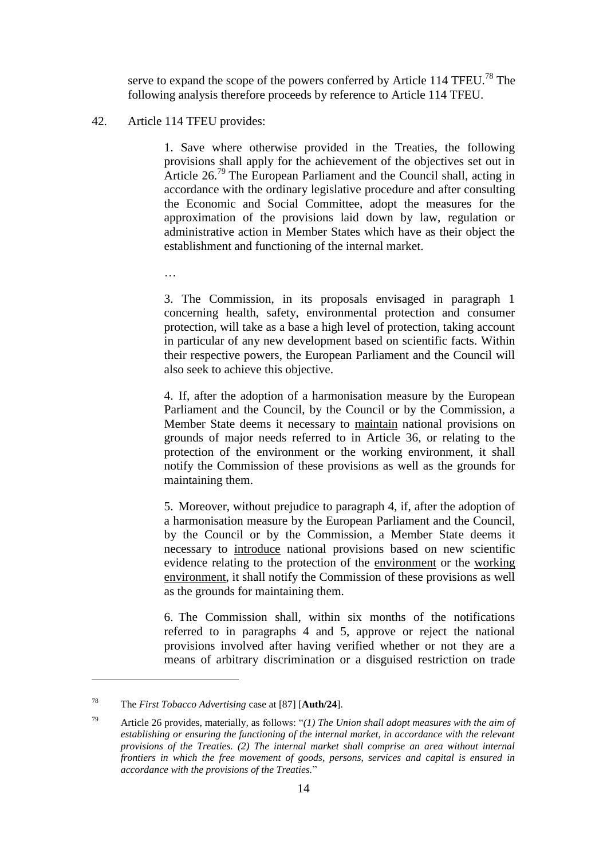serve to expand the scope of the powers conferred by Article 114 TFEU.<sup>78</sup> The following analysis therefore proceeds by reference to Article 114 TFEU.

#### <span id="page-13-0"></span>42. Article 114 TFEU provides:

…

1. Save where otherwise provided in the Treaties, the following provisions shall apply for the achievement of the objectives set out in Article 26.<sup>79</sup> The European Parliament and the Council shall, acting in accordance with the ordinary legislative procedure and after consulting the Economic and Social Committee, adopt the measures for the approximation of the provisions laid down by law, regulation or administrative action in Member States which have as their object the establishment and functioning of the internal market.

3. The Commission, in its proposals envisaged in paragraph 1 concerning health, safety, environmental protection and consumer protection, will take as a base a high level of protection, taking account in particular of any new development based on scientific facts. Within their respective powers, the European Parliament and the Council will also seek to achieve this objective.

4. If, after the adoption of a harmonisation measure by the European Parliament and the Council, by the Council or by the Commission, a Member State deems it necessary to maintain national provisions on grounds of major needs referred to in Article 36, or relating to the protection of the environment or the working environment, it shall notify the Commission of these provisions as well as the grounds for maintaining them.

5. Moreover, without prejudice to paragraph 4, if, after the adoption of a harmonisation measure by the European Parliament and the Council, by the Council or by the Commission, a Member State deems it necessary to introduce national provisions based on new scientific evidence relating to the protection of the environment or the working environment, it shall notify the Commission of these provisions as well as the grounds for maintaining them.

6. The Commission shall, within six months of the notifications referred to in paragraphs 4 and 5, approve or reject the national provisions involved after having verified whether or not they are a means of arbitrary discrimination or a disguised restriction on trade

<sup>78</sup> The *First Tobacco Advertising* case at [87] [**Auth/24**].

<sup>79</sup> Article 26 provides, materially, as follows: "*(1) The Union shall adopt measures with the aim of establishing or ensuring the functioning of the internal market, in accordance with the relevant provisions of the Treaties. (2) The internal market shall comprise an area without internal frontiers in which the free movement of goods, persons, services and capital is ensured in accordance with the provisions of the Treaties.*"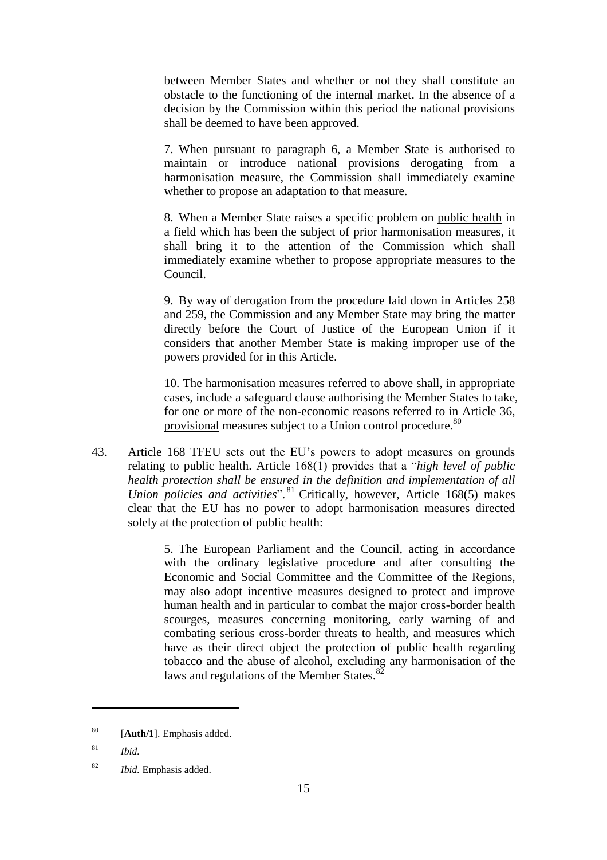between Member States and whether or not they shall constitute an obstacle to the functioning of the internal market. In the absence of a decision by the Commission within this period the national provisions shall be deemed to have been approved.

7. When pursuant to paragraph 6, a Member State is authorised to maintain or introduce national provisions derogating from a harmonisation measure, the Commission shall immediately examine whether to propose an adaptation to that measure.

8. When a Member State raises a specific problem on public health in a field which has been the subject of prior harmonisation measures, it shall bring it to the attention of the Commission which shall immediately examine whether to propose appropriate measures to the Council.

9. By way of derogation from the procedure laid down in Articles 258 and 259, the Commission and any Member State may bring the matter directly before the Court of Justice of the European Union if it considers that another Member State is making improper use of the powers provided for in this Article.

10. The harmonisation measures referred to above shall, in appropriate cases, include a safeguard clause authorising the Member States to take, for one or more of the non-economic reasons referred to in Article 36, provisional measures subject to a Union control procedure.<sup>80</sup>

43. Article 168 TFEU sets out the EU's powers to adopt measures on grounds relating to public health. Article 168(1) provides that a "*high level of public health protection shall be ensured in the definition and implementation of all Union policies and activities*".<sup>81</sup> Critically, however, Article 168(5) makes clear that the EU has no power to adopt harmonisation measures directed solely at the protection of public health:

> 5. The European Parliament and the Council, acting in accordance with the ordinary legislative procedure and after consulting the Economic and Social Committee and the Committee of the Regions, may also adopt incentive measures designed to protect and improve human health and in particular to combat the major cross-border health scourges, measures concerning monitoring, early warning of and combating serious cross-border threats to health, and measures which have as their direct object the protection of public health regarding tobacco and the abuse of alcohol, excluding any harmonisation of the laws and regulations of the Member States.<sup>82</sup>

<sup>80</sup> [**Auth/1**]. Emphasis added.

<sup>81</sup> *Ibid.*

<sup>82</sup> *Ibid.* Emphasis added.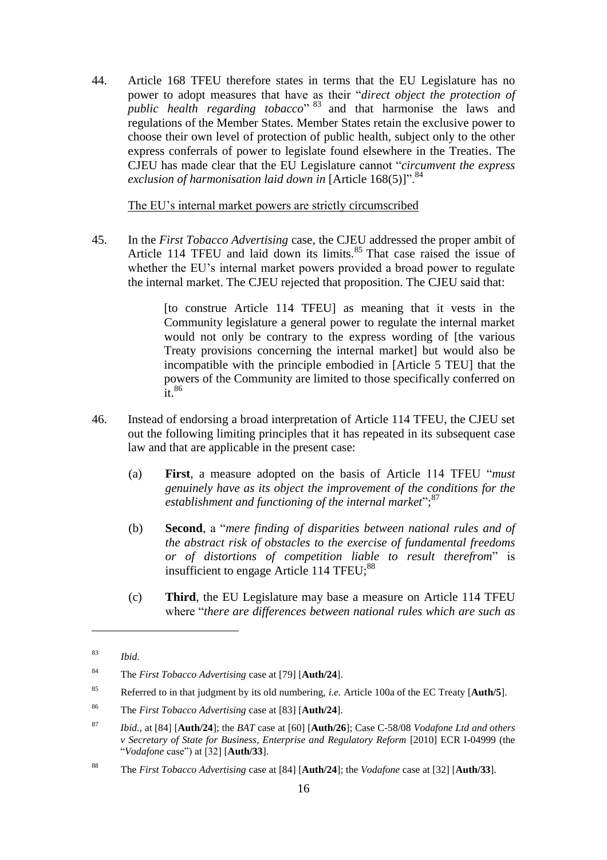44. Article 168 TFEU therefore states in terms that the EU Legislature has no power to adopt measures that have as their "*direct object the protection of public health regarding tobacco*" <sup>83</sup> and that harmonise the laws and regulations of the Member States. Member States retain the exclusive power to choose their own level of protection of public health, subject only to the other express conferrals of power to legislate found elsewhere in the Treaties. The CJEU has made clear that the EU Legislature cannot "*circumvent the express exclusion of harmonisation laid down in* [Article 168(5)]".<sup>84</sup>

The EU's internal market powers are strictly circumscribed

45. In the *First Tobacco Advertising* case, the CJEU addressed the proper ambit of Article 114 TFEU and laid down its limits.<sup>85</sup> That case raised the issue of whether the EU's internal market powers provided a broad power to regulate the internal market. The CJEU rejected that proposition. The CJEU said that:

> [to construe Article 114 TFEU] as meaning that it vests in the Community legislature a general power to regulate the internal market would not only be contrary to the express wording of [the various Treaty provisions concerning the internal market] but would also be incompatible with the principle embodied in [Article 5 TEU] that the powers of the Community are limited to those specifically conferred on  $\frac{1}{1}$   $\frac{86}{1}$

- 46. Instead of endorsing a broad interpretation of Article 114 TFEU, the CJEU set out the following limiting principles that it has repeated in its subsequent case law and that are applicable in the present case:
	- (a) **First**, a measure adopted on the basis of Article 114 TFEU "*must genuinely have as its object the improvement of the conditions for the*  establishment and functioning of the internal market";<sup>87</sup>
	- (b) **Second**, a "*mere finding of disparities between national rules and of the abstract risk of obstacles to the exercise of fundamental freedoms or of distortions of competition liable to result therefrom*" is insufficient to engage Article 114 TFEU;<sup>88</sup>
	- (c) **Third**, the EU Legislature may base a measure on Article 114 TFEU where "*there are differences between national rules which are such as*

<sup>83</sup> *Ibid.*

<sup>84</sup> The *First Tobacco Advertising* case at [79] [**Auth/24**].

<sup>85</sup> Referred to in that judgment by its old numbering, *i.e.* Article 100a of the EC Treaty [**Auth/5**].

<sup>86</sup> The *First Tobacco Advertising* case at [83] [**Auth/24**].

<sup>87</sup> *Ibid.*, at [84] [**Auth/24**]; the *BAT* case at [60] [**Auth/26**]; Case C-58/08 *Vodafone Ltd and others v Secretary of State for Business, Enterprise and Regulatory Reform* [2010] ECR I-04999 (the "*Vodafone* case") at [32] [**Auth/33**].

<sup>88</sup> The *First Tobacco Advertising* case at [84] [**Auth/24**]; the *Vodafone* case at [32] [**Auth/33**].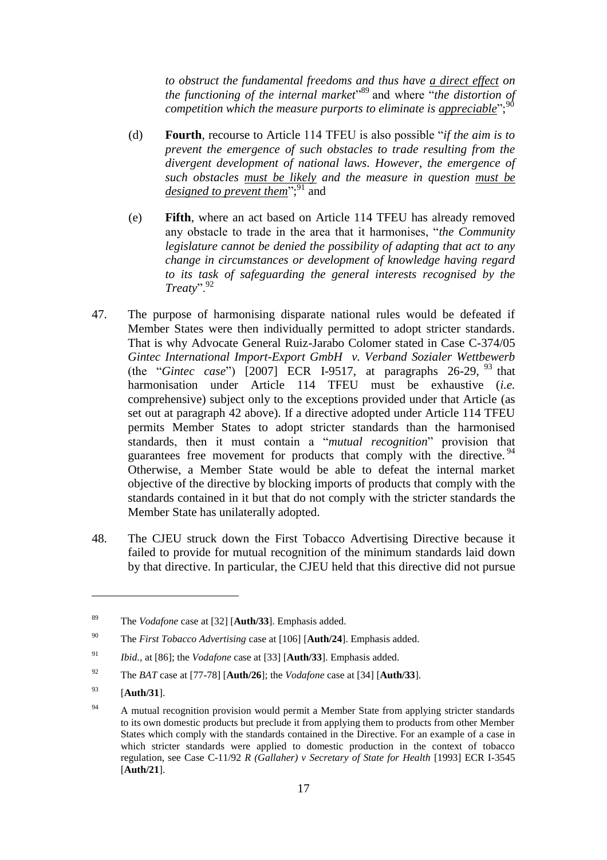*to obstruct the fundamental freedoms and thus have a direct effect on the functioning of the internal market*" <sup>89</sup> and where "*the distortion of*  competition which the measure purports to eliminate is <u>appreciable</u>";<sup>90</sup>

- <span id="page-16-1"></span>(d) **Fourth**, recourse to Article 114 TFEU is also possible "*if the aim is to prevent the emergence of such obstacles to trade resulting from the divergent development of national laws. However, the emergence of such obstacles must be likely and the measure in question must be*  designed to prevent them<sup>";91</sup> and
- (e) **Fifth**, where an act based on Article 114 TFEU has already removed any obstacle to trade in the area that it harmonises, "*the Community legislature cannot be denied the possibility of adapting that act to any change in circumstances or development of knowledge having regard to its task of safeguarding the general interests recognised by the Treaty*".<sup>92</sup>
- <span id="page-16-0"></span>47. The purpose of harmonising disparate national rules would be defeated if Member States were then individually permitted to adopt stricter standards. That is why Advocate General Ruiz-Jarabo Colomer stated in Case C-374/05 *Gintec International Import-Export GmbH v. Verband Sozialer Wettbewerb*  (the "*Gintec case*") [2007] ECR I-9517, at paragraphs 26-29,  $^{93}$  that harmonisation under Article 114 TFEU must be exhaustive (*i.e.* comprehensive) subject only to the exceptions provided under that Article (as set out at paragraph [42](#page-13-0) above). If a directive adopted under Article 114 TFEU permits Member States to adopt stricter standards than the harmonised standards, then it must contain a "*mutual recognition*" provision that guarantees free movement for products that comply with the directive. <sup>94</sup> Otherwise, a Member State would be able to defeat the internal market objective of the directive by blocking imports of products that comply with the standards contained in it but that do not comply with the stricter standards the Member State has unilaterally adopted.
- 48. The CJEU struck down the First Tobacco Advertising Directive because it failed to provide for mutual recognition of the minimum standards laid down by that directive. In particular, the CJEU held that this directive did not pursue

<sup>89</sup> The *Vodafone* case at [32] [**Auth/33**]. Emphasis added.

<sup>90</sup> The *First Tobacco Advertising* case at [106] [**Auth/24**]. Emphasis added.

<sup>91</sup> *Ibid.*, at [86]; the *Vodafone* case at [33] [**Auth/33**]. Emphasis added.

<sup>92</sup> The *BAT* case at [77-78] [**Auth/26**]; the *Vodafone* case at [34] [**Auth/33**].

<sup>93</sup> [**Auth/31**].

 $94$  A mutual recognition provision would permit a Member State from applying stricter standards to its own domestic products but preclude it from applying them to products from other Member States which comply with the standards contained in the Directive. For an example of a case in which stricter standards were applied to domestic production in the context of tobacco regulation, see Case C-11/92 *R (Gallaher) v Secretary of State for Health* [1993] ECR I-3545 [**Auth/21**].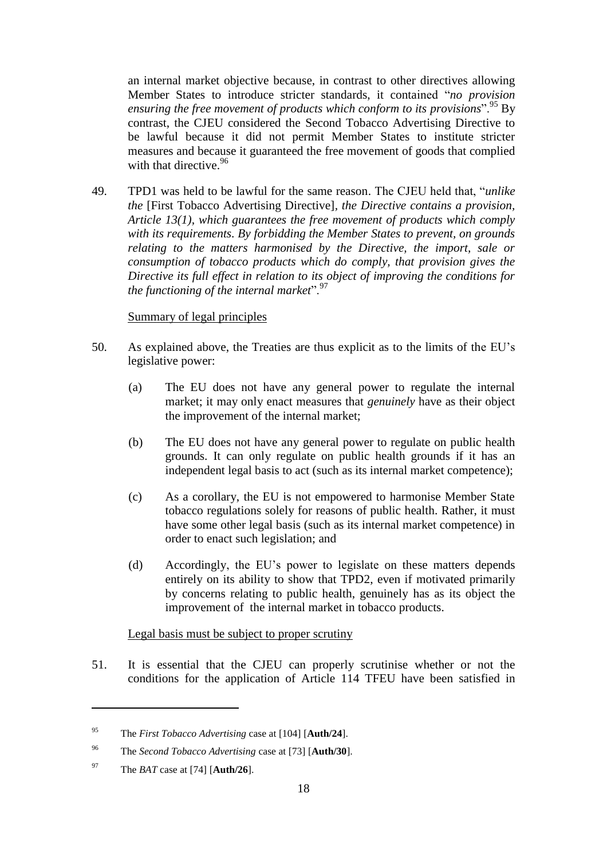an internal market objective because, in contrast to other directives allowing Member States to introduce stricter standards, it contained "*no provision*  ensuring the free movement of products which conform to its provisions".<sup>95</sup> By contrast, the CJEU considered the Second Tobacco Advertising Directive to be lawful because it did not permit Member States to institute stricter measures and because it guaranteed the free movement of goods that complied with that directive.<sup>96</sup>

<span id="page-17-0"></span>49. TPD1 was held to be lawful for the same reason. The CJEU held that, "*unlike the* [First Tobacco Advertising Directive]*, the Directive contains a provision, Article 13(1), which guarantees the free movement of products which comply with its requirements. By forbidding the Member States to prevent, on grounds relating to the matters harmonised by the Directive, the import, sale or consumption of tobacco products which do comply, that provision gives the Directive its full effect in relation to its object of improving the conditions for the functioning of the internal market*".<sup>97</sup>

# Summary of legal principles

- 50. As explained above, the Treaties are thus explicit as to the limits of the EU's legislative power:
	- (a) The EU does not have any general power to regulate the internal market; it may only enact measures that *genuinely* have as their object the improvement of the internal market;
	- (b) The EU does not have any general power to regulate on public health grounds. It can only regulate on public health grounds if it has an independent legal basis to act (such as its internal market competence);
	- (c) As a corollary, the EU is not empowered to harmonise Member State tobacco regulations solely for reasons of public health. Rather, it must have some other legal basis (such as its internal market competence) in order to enact such legislation; and
	- (d) Accordingly, the EU's power to legislate on these matters depends entirely on its ability to show that TPD2, even if motivated primarily by concerns relating to public health, genuinely has as its object the improvement of the internal market in tobacco products.

# Legal basis must be subject to proper scrutiny

51. It is essential that the CJEU can properly scrutinise whether or not the conditions for the application of Article 114 TFEU have been satisfied in

<sup>95</sup> The *First Tobacco Advertising* case at [104] [**Auth/24**].

<sup>96</sup> The *Second Tobacco Advertising* case at [73] [**Auth/30**].

<sup>97</sup> The *BAT* case at [74] [**Auth/26**].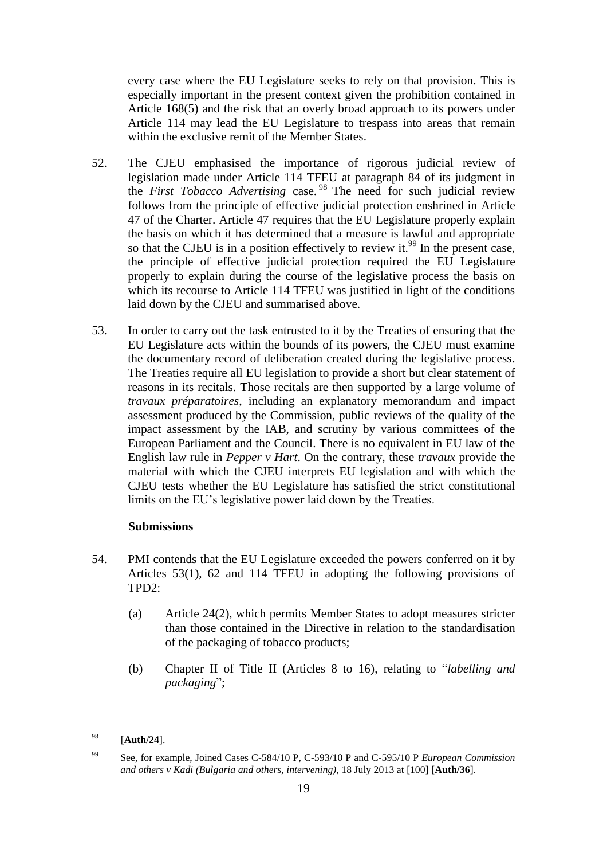every case where the EU Legislature seeks to rely on that provision. This is especially important in the present context given the prohibition contained in Article 168(5) and the risk that an overly broad approach to its powers under Article 114 may lead the EU Legislature to trespass into areas that remain within the exclusive remit of the Member States.

- 52. The CJEU emphasised the importance of rigorous judicial review of legislation made under Article 114 TFEU at paragraph 84 of its judgment in the *First Tobacco Advertising* case. <sup>98</sup> The need for such judicial review follows from the principle of effective judicial protection enshrined in Article 47 of the Charter. Article 47 requires that the EU Legislature properly explain the basis on which it has determined that a measure is lawful and appropriate so that the CJEU is in a position effectively to review it.<sup>99</sup> In the present case, the principle of effective judicial protection required the EU Legislature properly to explain during the course of the legislative process the basis on which its recourse to Article 114 TFEU was justified in light of the conditions laid down by the CJEU and summarised above.
- 53. In order to carry out the task entrusted to it by the Treaties of ensuring that the EU Legislature acts within the bounds of its powers, the CJEU must examine the documentary record of deliberation created during the legislative process. The Treaties require all EU legislation to provide a short but clear statement of reasons in its recitals. Those recitals are then supported by a large volume of *travaux préparatoires*, including an explanatory memorandum and impact assessment produced by the Commission, public reviews of the quality of the impact assessment by the IAB, and scrutiny by various committees of the European Parliament and the Council. There is no equivalent in EU law of the English law rule in *Pepper v Hart*. On the contrary, these *travaux* provide the material with which the CJEU interprets EU legislation and with which the CJEU tests whether the EU Legislature has satisfied the strict constitutional limits on the EU's legislative power laid down by the Treaties.

# **Submissions**

- 54. PMI contends that the EU Legislature exceeded the powers conferred on it by Articles 53(1), 62 and 114 TFEU in adopting the following provisions of TPD2:
	- (a) Article 24(2), which permits Member States to adopt measures stricter than those contained in the Directive in relation to the standardisation of the packaging of tobacco products;
	- (b) Chapter II of Title II (Articles 8 to 16), relating to "*labelling and packaging*";

<sup>98</sup> [**Auth/24**].

<sup>99</sup> See, for example, Joined Cases C-584/10 P, C-593/10 P and C-595/10 P *European Commission and others v Kadi (Bulgaria and others, intervening)*, 18 July 2013 at [100] [**Auth/36**].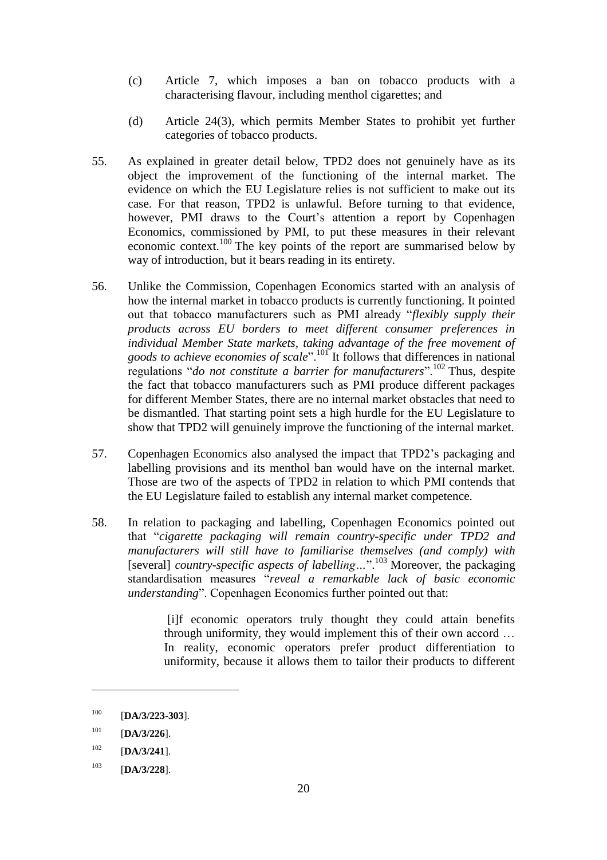- (c) Article 7, which imposes a ban on tobacco products with a characterising flavour, including menthol cigarettes; and
- (d) Article 24(3), which permits Member States to prohibit yet further categories of tobacco products.
- 55. As explained in greater detail below, TPD2 does not genuinely have as its object the improvement of the functioning of the internal market. The evidence on which the EU Legislature relies is not sufficient to make out its case. For that reason, TPD2 is unlawful. Before turning to that evidence, however, PMI draws to the Court's attention a report by Copenhagen Economics, commissioned by PMI, to put these measures in their relevant economic context.<sup>100</sup> The key points of the report are summarised below by way of introduction, but it bears reading in its entirety.
- 56. Unlike the Commission, Copenhagen Economics started with an analysis of how the internal market in tobacco products is currently functioning. It pointed out that tobacco manufacturers such as PMI already "*flexibly supply their products across EU borders to meet different consumer preferences in individual Member State markets, taking advantage of the free movement of goods to achieve economies of scale*".<sup>101</sup> It follows that differences in national regulations "*do not constitute a barrier for manufacturers*".<sup>102</sup> Thus, despite the fact that tobacco manufacturers such as PMI produce different packages for different Member States, there are no internal market obstacles that need to be dismantled. That starting point sets a high hurdle for the EU Legislature to show that TPD2 will genuinely improve the functioning of the internal market.
- 57. Copenhagen Economics also analysed the impact that TPD2's packaging and labelling provisions and its menthol ban would have on the internal market. Those are two of the aspects of TPD2 in relation to which PMI contends that the EU Legislature failed to establish any internal market competence.
- 58. In relation to packaging and labelling, Copenhagen Economics pointed out that "*cigarette packaging will remain country-specific under TPD2 and manufacturers will still have to familiarise themselves (and comply) with*  [several] *country-specific aspects of labelling...*".<sup>103</sup> Moreover, the packaging standardisation measures "*reveal a remarkable lack of basic economic understanding*". Copenhagen Economics further pointed out that:

[i]f economic operators truly thought they could attain benefits through uniformity, they would implement this of their own accord … In reality, economic operators prefer product differentiation to uniformity, because it allows them to tailor their products to different

<sup>100</sup> [**DA/3/223-303**].

<sup>101</sup> [**DA/3/226**].

<sup>102</sup> [**DA/3/241**].

<sup>103</sup> [**DA/3/228**].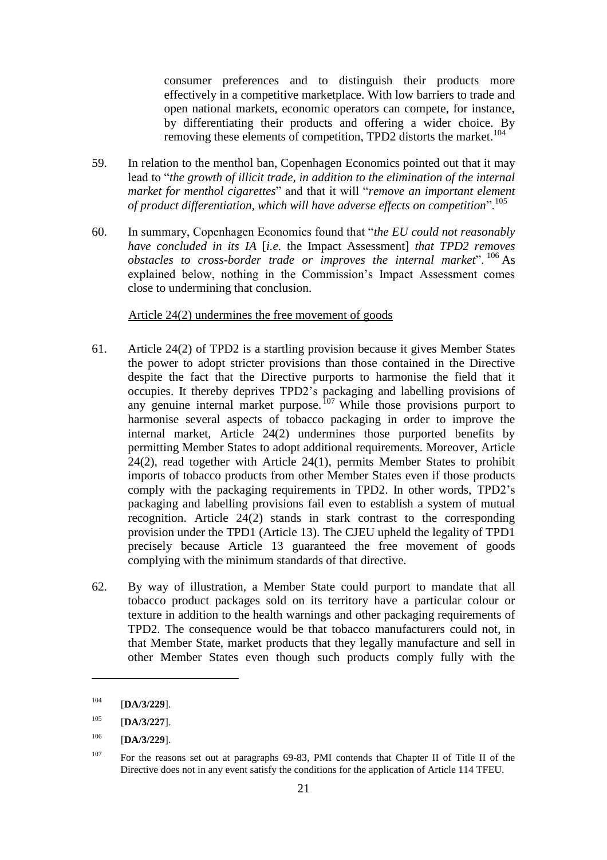consumer preferences and to distinguish their products more effectively in a competitive marketplace. With low barriers to trade and open national markets, economic operators can compete, for instance, by differentiating their products and offering a wider choice. By removing these elements of competition, TPD2 distorts the market.<sup>104</sup>

- 59. In relation to the menthol ban, Copenhagen Economics pointed out that it may lead to "*the growth of illicit trade, in addition to the elimination of the internal market for menthol cigarettes*" and that it will "*remove an important element of product differentiation, which will have adverse effects on competition*".<sup>105</sup>
- 60. In summary, Copenhagen Economics found that "*the EU could not reasonably have concluded in its IA* [*i.e.* the Impact Assessment] *that TPD2 removes obstacles to cross-border trade or improves the internal market*". <sup>106</sup> As explained below, nothing in the Commission's Impact Assessment comes close to undermining that conclusion.

### Article 24(2) undermines the free movement of goods

- <span id="page-20-0"></span>61. Article 24(2) of TPD2 is a startling provision because it gives Member States the power to adopt stricter provisions than those contained in the Directive despite the fact that the Directive purports to harmonise the field that it occupies. It thereby deprives TPD2's packaging and labelling provisions of any genuine internal market purpose.<sup>107</sup> While those provisions purport to harmonise several aspects of tobacco packaging in order to improve the internal market, Article 24(2) undermines those purported benefits by permitting Member States to adopt additional requirements. Moreover, Article 24(2), read together with Article 24(1), permits Member States to prohibit imports of tobacco products from other Member States even if those products comply with the packaging requirements in TPD2. In other words, TPD2's packaging and labelling provisions fail even to establish a system of mutual recognition. Article 24(2) stands in stark contrast to the corresponding provision under the TPD1 (Article 13). The CJEU upheld the legality of TPD1 precisely because Article 13 guaranteed the free movement of goods complying with the minimum standards of that directive.
- 62. By way of illustration, a Member State could purport to mandate that all tobacco product packages sold on its territory have a particular colour or texture in addition to the health warnings and other packaging requirements of TPD2. The consequence would be that tobacco manufacturers could not, in that Member State, market products that they legally manufacture and sell in other Member States even though such products comply fully with the

<sup>104</sup> [**DA/3/229**].

<sup>105</sup> [**DA/3/227**].

<sup>106</sup> [**DA/3/229**].

<sup>&</sup>lt;sup>107</sup> For the reasons set out at paragraphs [69-](#page-22-0)[83,](#page-27-0) PMI contends that Chapter II of Title II of the Directive does not in any event satisfy the conditions for the application of Article 114 TFEU.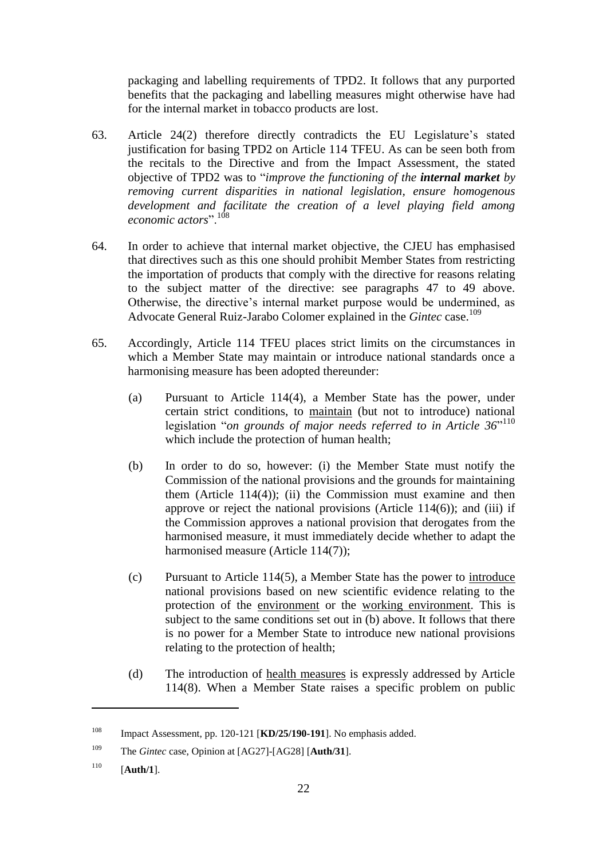packaging and labelling requirements of TPD2. It follows that any purported benefits that the packaging and labelling measures might otherwise have had for the internal market in tobacco products are lost.

- 63. Article 24(2) therefore directly contradicts the EU Legislature's stated justification for basing TPD2 on Article 114 TFEU. As can be seen both from the recitals to the Directive and from the Impact Assessment, the stated objective of TPD2 was to "*improve the functioning of the internal market by removing current disparities in national legislation, ensure homogenous development and facilitate the creation of a level playing field among economic actors*".<sup>108</sup>
- 64. In order to achieve that internal market objective, the CJEU has emphasised that directives such as this one should prohibit Member States from restricting the importation of products that comply with the directive for reasons relating to the subject matter of the directive: see paragraphs [47](#page-16-0) to [49](#page-17-0) above. Otherwise, the directive's internal market purpose would be undermined, as Advocate General Ruiz-Jarabo Colomer explained in the *Gintec* case.<sup>109</sup>
- <span id="page-21-0"></span>65. Accordingly, Article 114 TFEU places strict limits on the circumstances in which a Member State may maintain or introduce national standards once a harmonising measure has been adopted thereunder:
	- (a) Pursuant to Article 114(4), a Member State has the power, under certain strict conditions, to maintain (but not to introduce) national legislation "*on grounds of major needs referred to in Article 36*" 110 which include the protection of human health;
	- (b) In order to do so, however: (i) the Member State must notify the Commission of the national provisions and the grounds for maintaining them  $(Article 114(4))$ ;  $(ii)$  the Commission must examine and then approve or reject the national provisions (Article  $114(6)$ ); and (iii) if the Commission approves a national provision that derogates from the harmonised measure, it must immediately decide whether to adapt the harmonised measure (Article 114(7));
	- (c) Pursuant to Article 114(5), a Member State has the power to introduce national provisions based on new scientific evidence relating to the protection of the environment or the working environment. This is subject to the same conditions set out in (b) above. It follows that there is no power for a Member State to introduce new national provisions relating to the protection of health;
	- (d) The introduction of health measures is expressly addressed by Article 114(8). When a Member State raises a specific problem on public

<sup>108</sup> Impact Assessment, pp. 120-121 [**KD/25/190-191**]. No emphasis added.

<sup>109</sup> The *Gintec* case, Opinion at [AG27]-[AG28] [**Auth/31**].

<sup>110</sup> [**Auth/1**].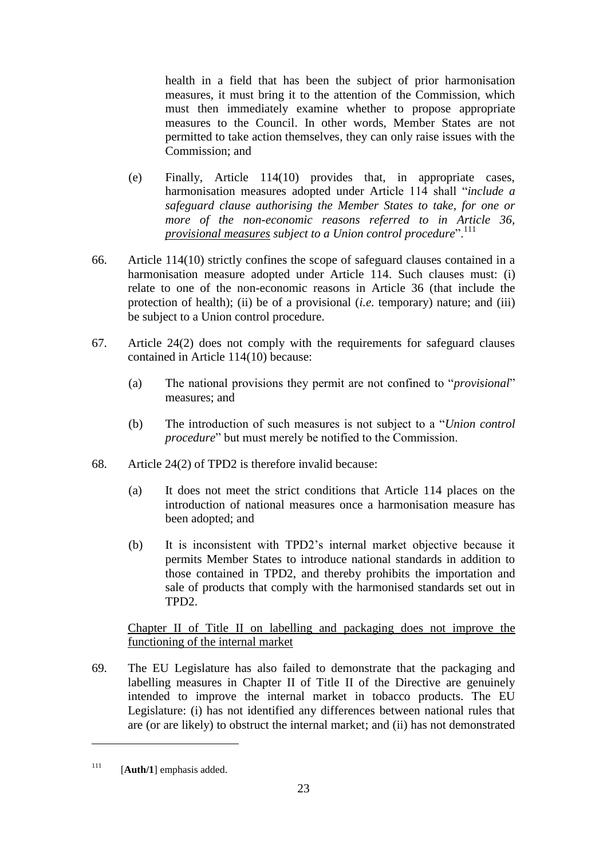health in a field that has been the subject of prior harmonisation measures, it must bring it to the attention of the Commission, which must then immediately examine whether to propose appropriate measures to the Council. In other words, Member States are not permitted to take action themselves, they can only raise issues with the Commission; and

- (e) Finally, Article 114(10) provides that, in appropriate cases, harmonisation measures adopted under Article 114 shall "*include a safeguard clause authorising the Member States to take, for one or more of the non-economic reasons referred to in Article 36, provisional measures subject to a Union control procedure*".<sup>111</sup>
- <span id="page-22-2"></span>66. Article 114(10) strictly confines the scope of safeguard clauses contained in a harmonisation measure adopted under Article 114. Such clauses must: (i) relate to one of the non-economic reasons in Article 36 (that include the protection of health); (ii) be of a provisional (*i.e.* temporary) nature; and (iii) be subject to a Union control procedure.
- 67. Article 24(2) does not comply with the requirements for safeguard clauses contained in Article 114(10) because:
	- (a) The national provisions they permit are not confined to "*provisional*" measures; and
	- (b) The introduction of such measures is not subject to a "*Union control procedure*" but must merely be notified to the Commission.
- <span id="page-22-1"></span>68. Article 24(2) of TPD2 is therefore invalid because:
	- (a) It does not meet the strict conditions that Article 114 places on the introduction of national measures once a harmonisation measure has been adopted; and
	- (b) It is inconsistent with TPD2's internal market objective because it permits Member States to introduce national standards in addition to those contained in TPD2, and thereby prohibits the importation and sale of products that comply with the harmonised standards set out in TPD2.

Chapter II of Title II on labelling and packaging does not improve the functioning of the internal market

<span id="page-22-0"></span>69. The EU Legislature has also failed to demonstrate that the packaging and labelling measures in Chapter II of Title II of the Directive are genuinely intended to improve the internal market in tobacco products. The EU Legislature: (i) has not identified any differences between national rules that are (or are likely) to obstruct the internal market; and (ii) has not demonstrated

 $111$  [**Auth/1**] emphasis added.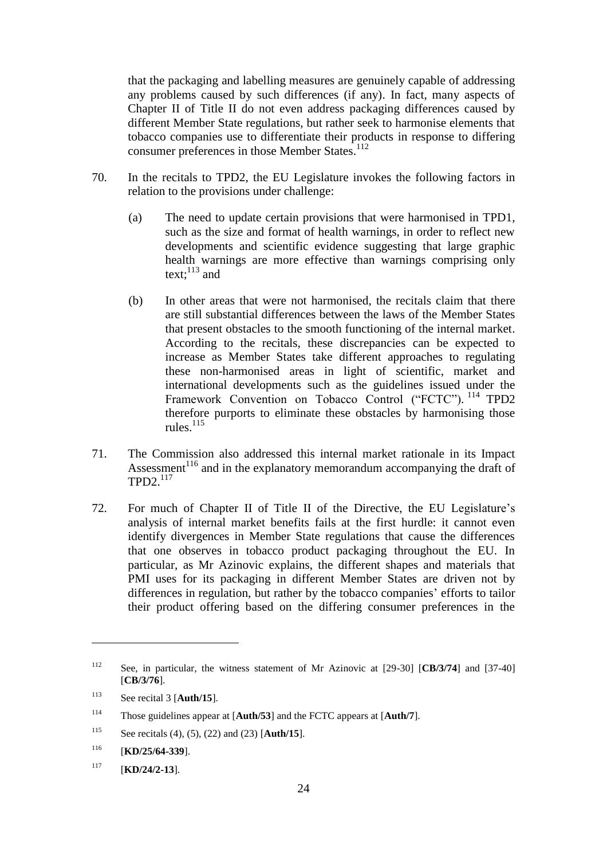that the packaging and labelling measures are genuinely capable of addressing any problems caused by such differences (if any). In fact, many aspects of Chapter II of Title II do not even address packaging differences caused by different Member State regulations, but rather seek to harmonise elements that tobacco companies use to differentiate their products in response to differing consumer preferences in those Member States.<sup>112</sup>

- 70. In the recitals to TPD2, the EU Legislature invokes the following factors in relation to the provisions under challenge:
	- (a) The need to update certain provisions that were harmonised in TPD1, such as the size and format of health warnings, in order to reflect new developments and scientific evidence suggesting that large graphic health warnings are more effective than warnings comprising only text: $^{113}$  and
	- (b) In other areas that were not harmonised, the recitals claim that there are still substantial differences between the laws of the Member States that present obstacles to the smooth functioning of the internal market. According to the recitals, these discrepancies can be expected to increase as Member States take different approaches to regulating these non-harmonised areas in light of scientific, market and international developments such as the guidelines issued under the Framework Convention on Tobacco Control ("FCTC"). <sup>114</sup> TPD2 therefore purports to eliminate these obstacles by harmonising those rules.<sup>115</sup>
- 71. The Commission also addressed this internal market rationale in its Impact Assessment<sup>116</sup> and in the explanatory memorandum accompanying the draft of TPD2. 117
- 72. For much of Chapter II of Title II of the Directive, the EU Legislature's analysis of internal market benefits fails at the first hurdle: it cannot even identify divergences in Member State regulations that cause the differences that one observes in tobacco product packaging throughout the EU. In particular, as Mr Azinovic explains, the different shapes and materials that PMI uses for its packaging in different Member States are driven not by differences in regulation, but rather by the tobacco companies' efforts to tailor their product offering based on the differing consumer preferences in the

<sup>112</sup> See, in particular, the witness statement of Mr Azinovic at [29-30] [**CB/3/74**] and [37-40] [**CB/3/76**].

<sup>113</sup> See recital 3 [**Auth/15**].

<sup>114</sup> Those guidelines appear at [**Auth/53**] and the FCTC appears at [**Auth/7**].

<sup>115</sup> See recitals (4), (5), (22) and (23) [**Auth/15**].

<sup>116</sup> [**KD/25/64-339**].

<sup>117</sup> [**KD/24/2-13**].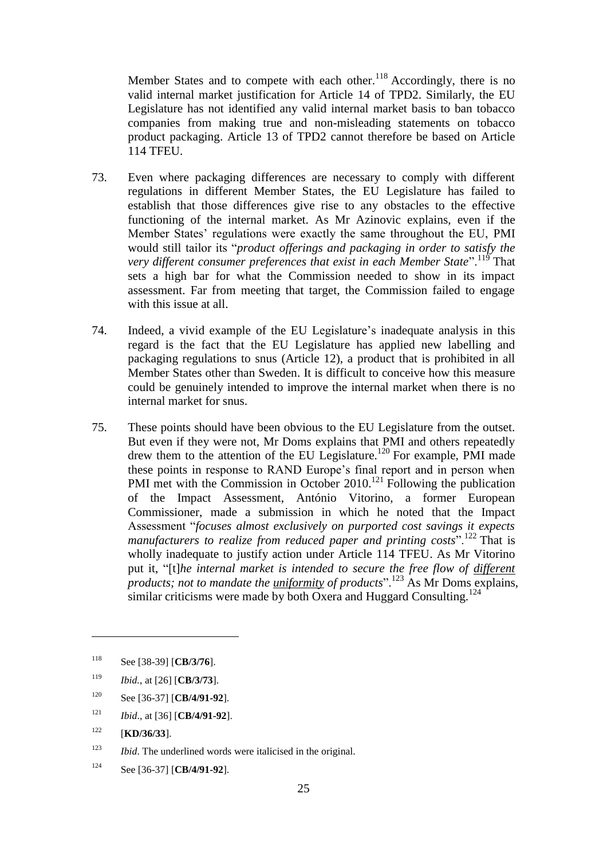Member States and to compete with each other.<sup>118</sup> Accordingly, there is no valid internal market justification for Article 14 of TPD2. Similarly, the EU Legislature has not identified any valid internal market basis to ban tobacco companies from making true and non-misleading statements on tobacco product packaging. Article 13 of TPD2 cannot therefore be based on Article 114 TFEU.

- 73. Even where packaging differences are necessary to comply with different regulations in different Member States, the EU Legislature has failed to establish that those differences give rise to any obstacles to the effective functioning of the internal market. As Mr Azinovic explains, even if the Member States' regulations were exactly the same throughout the EU, PMI would still tailor its "*product offerings and packaging in order to satisfy the very different consumer preferences that exist in each Member State*".<sup>119</sup> That sets a high bar for what the Commission needed to show in its impact assessment. Far from meeting that target, the Commission failed to engage with this issue at all.
- 74. Indeed, a vivid example of the EU Legislature's inadequate analysis in this regard is the fact that the EU Legislature has applied new labelling and packaging regulations to snus (Article 12), a product that is prohibited in all Member States other than Sweden. It is difficult to conceive how this measure could be genuinely intended to improve the internal market when there is no internal market for snus.
- 75. These points should have been obvious to the EU Legislature from the outset. But even if they were not, Mr Doms explains that PMI and others repeatedly drew them to the attention of the EU Legislature.<sup>120</sup> For example, PMI made these points in response to RAND Europe's final report and in person when PMI met with the Commission in October 2010.<sup>121</sup> Following the publication of the Impact Assessment, António Vitorino, a former European Commissioner, made a submission in which he noted that the Impact Assessment "*focuses almost exclusively on purported cost savings it expects manufacturers to realize from reduced paper and printing costs*".<sup>122</sup> That is wholly inadequate to justify action under Article 114 TFEU. As Mr Vitorino put it, "[t]*he internal market is intended to secure the free flow of different products; not to mandate the <u>uniformity</u> of products*".<sup>123</sup> As Mr Doms explains, similar criticisms were made by both Oxera and Huggard Consulting.<sup>124</sup>

- <sup>121</sup> *Ibid*., at [36] [**CB/4/91-92**].
- $122$  [**KD/36/33**].

 $\overline{a}$ 

<sup>124</sup> See [36-37] [**CB/4/91-92**].

<sup>118</sup> See [38-39] [**CB/3/76**].

<sup>119</sup> *Ibid.*, at [26] [**CB/3/73**].

<sup>120</sup> See [36-37] [**CB/4/91-92**].

<sup>123</sup> *Ibid*. The underlined words were italicised in the original.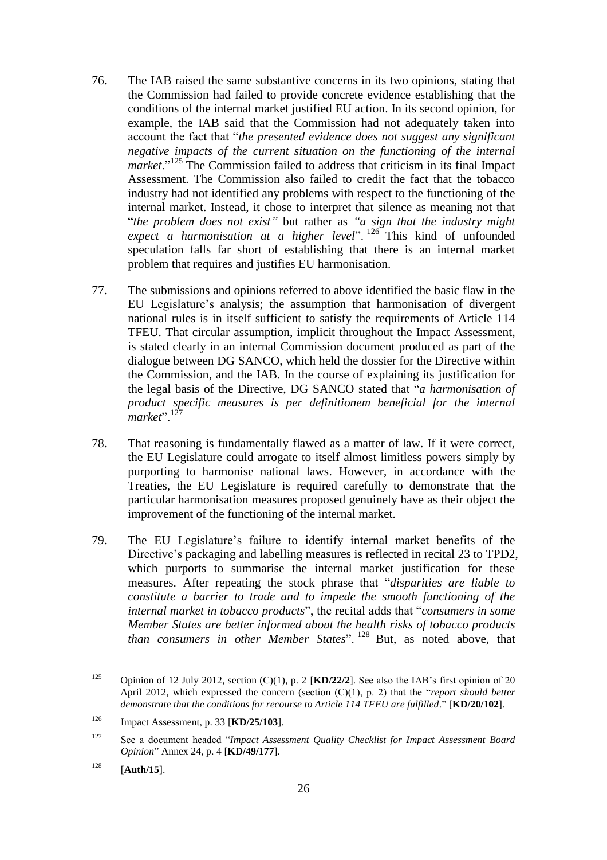- 76. The IAB raised the same substantive concerns in its two opinions, stating that the Commission had failed to provide concrete evidence establishing that the conditions of the internal market justified EU action. In its second opinion, for example, the IAB said that the Commission had not adequately taken into account the fact that "*the presented evidence does not suggest any significant negative impacts of the current situation on the functioning of the internal market*."<sup>125</sup> The Commission failed to address that criticism in its final Impact Assessment. The Commission also failed to credit the fact that the tobacco industry had not identified any problems with respect to the functioning of the internal market. Instead, it chose to interpret that silence as meaning not that "*the problem does not exist"* but rather as *"a sign that the industry might expect a harmonisation at a higher level*". <sup>126</sup> This kind of unfounded speculation falls far short of establishing that there is an internal market problem that requires and justifies EU harmonisation.
- 77. The submissions and opinions referred to above identified the basic flaw in the EU Legislature's analysis; the assumption that harmonisation of divergent national rules is in itself sufficient to satisfy the requirements of Article 114 TFEU. That circular assumption, implicit throughout the Impact Assessment, is stated clearly in an internal Commission document produced as part of the dialogue between DG SANCO, which held the dossier for the Directive within the Commission, and the IAB. In the course of explaining its justification for the legal basis of the Directive, DG SANCO stated that "*a harmonisation of product specific measures is per definitionem beneficial for the internal market*"<sup>, 12</sup>
- 78. That reasoning is fundamentally flawed as a matter of law. If it were correct, the EU Legislature could arrogate to itself almost limitless powers simply by purporting to harmonise national laws. However, in accordance with the Treaties, the EU Legislature is required carefully to demonstrate that the particular harmonisation measures proposed genuinely have as their object the improvement of the functioning of the internal market.
- 79. The EU Legislature's failure to identify internal market benefits of the Directive's packaging and labelling measures is reflected in recital 23 to TPD2, which purports to summarise the internal market justification for these measures. After repeating the stock phrase that "*disparities are liable to constitute a barrier to trade and to impede the smooth functioning of the internal market in tobacco products*", the recital adds that "*consumers in some Member States are better informed about the health risks of tobacco products than consumers in other Member States*". <sup>128</sup> But, as noted above, that

<sup>125</sup> Opinion of 12 July 2012, section (C)(1), p. 2 [**KD/22/2**]. See also the IAB's first opinion of 20 April 2012, which expressed the concern (section (C)(1), p. 2) that the "*report should better demonstrate that the conditions for recourse to Article 114 TFEU are fulfilled*." [**KD/20/102**].

<sup>126</sup> Impact Assessment, p. 33 [**KD/25/103**].

<sup>127</sup> See a document headed "*Impact Assessment Quality Checklist for Impact Assessment Board Opinion*" Annex 24, p. 4 [**KD/49/177**].

<sup>128</sup> [**Auth/15**].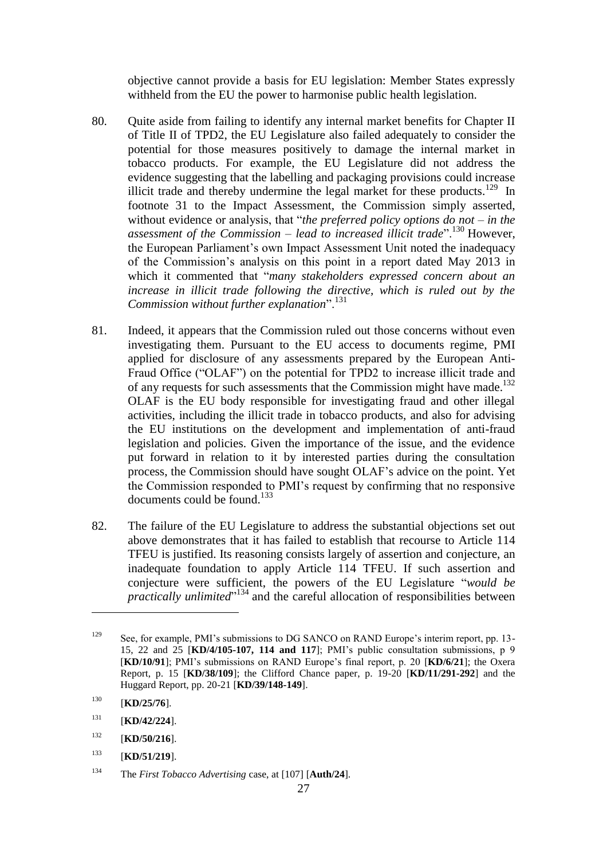objective cannot provide a basis for EU legislation: Member States expressly withheld from the EU the power to harmonise public health legislation.

- 80. Quite aside from failing to identify any internal market benefits for Chapter II of Title II of TPD2, the EU Legislature also failed adequately to consider the potential for those measures positively to damage the internal market in tobacco products. For example, the EU Legislature did not address the evidence suggesting that the labelling and packaging provisions could increase illicit trade and thereby undermine the legal market for these products.<sup>129</sup> In footnote 31 to the Impact Assessment, the Commission simply asserted, without evidence or analysis, that "*the preferred policy options do not – in the assessment of the Commission – lead to increased illicit trade*".<sup>130</sup> However, the European Parliament's own Impact Assessment Unit noted the inadequacy of the Commission's analysis on this point in a report dated May 2013 in which it commented that "*many stakeholders expressed concern about an increase in illicit trade following the directive, which is ruled out by the Commission without further explanation*".<sup>131</sup>
- 81. Indeed, it appears that the Commission ruled out those concerns without even investigating them. Pursuant to the EU access to documents regime, PMI applied for disclosure of any assessments prepared by the European Anti-Fraud Office ("OLAF") on the potential for TPD2 to increase illicit trade and of any requests for such assessments that the Commission might have made.<sup>132</sup> OLAF is the EU body responsible for investigating fraud and other illegal activities, including the illicit trade in tobacco products, and also for advising the EU institutions on the development and implementation of anti-fraud legislation and policies. Given the importance of the issue, and the evidence put forward in relation to it by interested parties during the consultation process, the Commission should have sought OLAF's advice on the point. Yet the Commission responded to PMI's request by confirming that no responsive documents could be found.<sup>133</sup>
- 82. The failure of the EU Legislature to address the substantial objections set out above demonstrates that it has failed to establish that recourse to Article 114 TFEU is justified. Its reasoning consists largely of assertion and conjecture, an inadequate foundation to apply Article 114 TFEU. If such assertion and conjecture were sufficient, the powers of the EU Legislature "*would be practically unlimited*" <sup>134</sup> and the careful allocation of responsibilities between

<sup>&</sup>lt;sup>129</sup> See, for example, PMI's submissions to DG SANCO on RAND Europe's interim report, pp. 13-15, 22 and 25 [**KD/4/105-107, 114 and 117**]; PMI's public consultation submissions, p 9 [**KD/10/91**]; PMI's submissions on RAND Europe's final report, p. 20 [**KD/6/21**]; the Oxera Report, p. 15 [**KD/38/109**]; the Clifford Chance paper, p. 19-20 [**KD/11/291-292**] and the Huggard Report, pp. 20-21 [**KD/39/148-149**].

<sup>130</sup> [**KD/25/76**].

<sup>131</sup> [**KD/42/224**].

<sup>132</sup> [**KD/50/216**].

<sup>133</sup> [**KD/51/219**].

<sup>134</sup> The *First Tobacco Advertising* case, at [107] [**Auth/24**].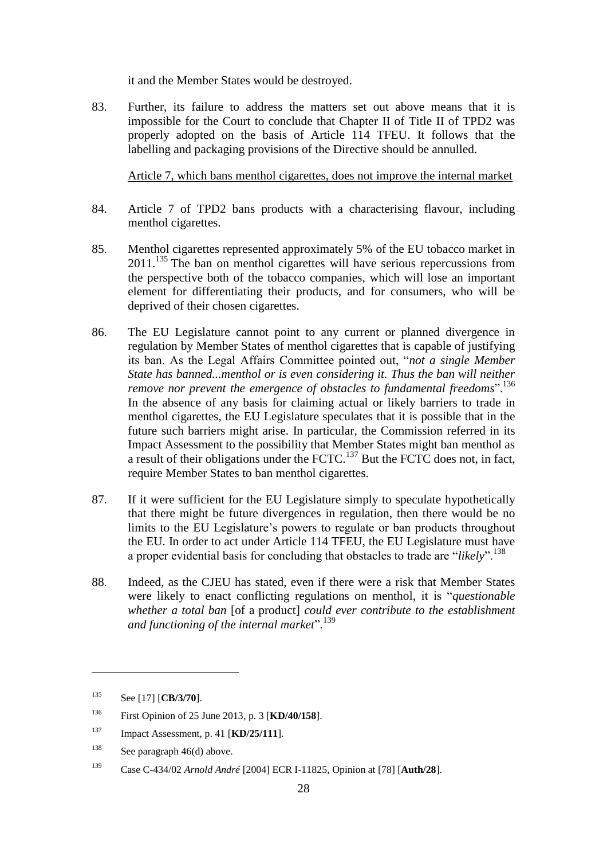it and the Member States would be destroyed.

<span id="page-27-0"></span>83. Further, its failure to address the matters set out above means that it is impossible for the Court to conclude that Chapter II of Title II of TPD2 was properly adopted on the basis of Article 114 TFEU. It follows that the labelling and packaging provisions of the Directive should be annulled.

Article 7, which bans menthol cigarettes, does not improve the internal market

- 84. Article 7 of TPD2 bans products with a characterising flavour, including menthol cigarettes.
- 85. Menthol cigarettes represented approximately 5% of the EU tobacco market in 2011.<sup>135</sup> The ban on menthol cigarettes will have serious repercussions from the perspective both of the tobacco companies, which will lose an important element for differentiating their products, and for consumers, who will be deprived of their chosen cigarettes.
- 86. The EU Legislature cannot point to any current or planned divergence in regulation by Member States of menthol cigarettes that is capable of justifying its ban. As the Legal Affairs Committee pointed out, "*not a single Member State has banned...menthol or is even considering it. Thus the ban will neither remove nor prevent the emergence of obstacles to fundamental freedoms*".<sup>136</sup> In the absence of any basis for claiming actual or likely barriers to trade in menthol cigarettes, the EU Legislature speculates that it is possible that in the future such barriers might arise. In particular, the Commission referred in its Impact Assessment to the possibility that Member States might ban menthol as a result of their obligations under the FCTC.<sup>137</sup> But the FCTC does not, in fact, require Member States to ban menthol cigarettes.
- 87. If it were sufficient for the EU Legislature simply to speculate hypothetically that there might be future divergences in regulation, then there would be no limits to the EU Legislature's powers to regulate or ban products throughout the EU. In order to act under Article 114 TFEU, the EU Legislature must have a proper evidential basis for concluding that obstacles to trade are "*likely*".<sup>138</sup>
- 88. Indeed, as the CJEU has stated, even if there were a risk that Member States were likely to enact conflicting regulations on menthol, it is "*questionable whether a total ban* [of a product] *could ever contribute to the establishment and functioning of the internal market*".<sup>139</sup>

<sup>135</sup> See [17] [**CB/3/70**].

<sup>136</sup> First Opinion of 25 June 2013, p. 3 [**KD/40/158**].

<sup>137</sup> Impact Assessment, p. 41 [**KD/25/111**].

<sup>138</sup> See paragraph [46\(d\)](#page-16-1) above.

<sup>139</sup> Case C-434/02 *Arnold André* [2004] ECR I-11825, Opinion at [78] [**Auth/28**].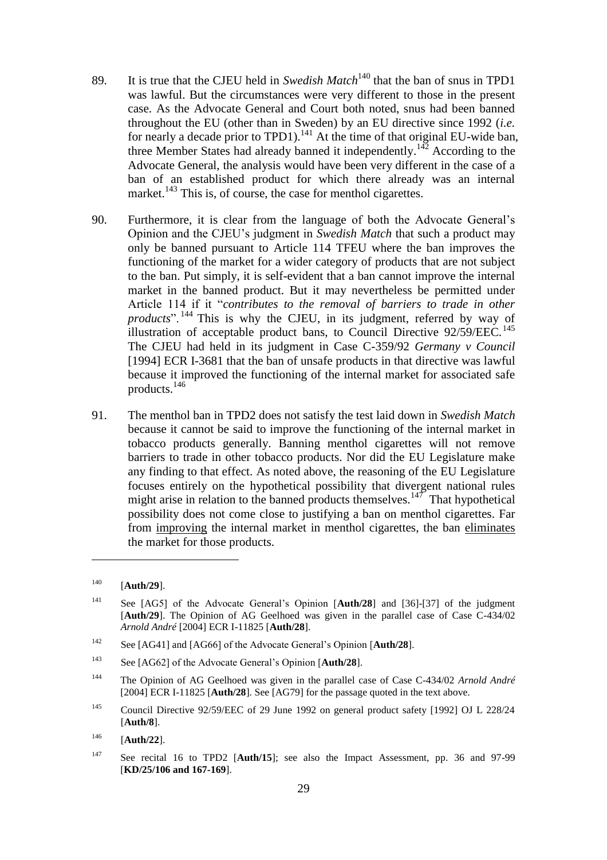- 89. It is true that the CJEU held in *Swedish Match*<sup>140</sup> that the ban of snus in TPD1 was lawful. But the circumstances were very different to those in the present case. As the Advocate General and Court both noted, snus had been banned throughout the EU (other than in Sweden) by an EU directive since 1992 (*i.e.* for nearly a decade prior to TPD1).<sup>141</sup> At the time of that original EU-wide ban, three Member States had already banned it independently.<sup>142</sup> According to the Advocate General, the analysis would have been very different in the case of a ban of an established product for which there already was an internal market.<sup>143</sup> This is, of course, the case for menthol cigarettes.
- 90. Furthermore, it is clear from the language of both the Advocate General's Opinion and the CJEU's judgment in *Swedish Match* that such a product may only be banned pursuant to Article 114 TFEU where the ban improves the functioning of the market for a wider category of products that are not subject to the ban. Put simply, it is self-evident that a ban cannot improve the internal market in the banned product. But it may nevertheless be permitted under Article 114 if it "*contributes to the removal of barriers to trade in other products*". <sup>144</sup> This is why the CJEU, in its judgment, referred by way of illustration of acceptable product bans, to Council Directive  $92/59/EEC$ .<sup>145</sup> The CJEU had held in its judgment in Case C-359/92 *Germany v Council*  [1994] ECR I-3681 that the ban of unsafe products in that directive was lawful because it improved the functioning of the internal market for associated safe products.<sup>146</sup>
- 91. The menthol ban in TPD2 does not satisfy the test laid down in *Swedish Match*  because it cannot be said to improve the functioning of the internal market in tobacco products generally. Banning menthol cigarettes will not remove barriers to trade in other tobacco products. Nor did the EU Legislature make any finding to that effect. As noted above, the reasoning of the EU Legislature focuses entirely on the hypothetical possibility that divergent national rules might arise in relation to the banned products themselves.<sup>147</sup> That hypothetical possibility does not come close to justifying a ban on menthol cigarettes. Far from improving the internal market in menthol cigarettes, the ban eliminates the market for those products.

- <sup>142</sup> See [AG41] and [AG66] of the Advocate General's Opinion [**Auth/28**].
- <sup>143</sup> See [AG62] of the Advocate General's Opinion [**Auth/28**].
- <sup>144</sup> The Opinion of AG Geelhoed was given in the parallel case of Case C-434/02 *Arnold André* [2004] ECR I-11825 [**Auth/28**]. See [AG79] for the passage quoted in the text above.
- <sup>145</sup> Council Directive 92/59/EEC of 29 June 1992 on general product safety [1992] OJ L 228/24 [**Auth/8**].
- <sup>146</sup> [**Auth/22**].
- <sup>147</sup> See recital 16 to TPD2 [**Auth/15**]; see also the Impact Assessment, pp. 36 and 97-99 [**KD/25/106 and 167-169**].

<sup>140</sup> [**Auth/29**].

<sup>141</sup> See [AG5] of the Advocate General's Opinion [**Auth/28**] and [36]-[37] of the judgment [**Auth/29**]. The Opinion of AG Geelhoed was given in the parallel case of Case C-434/02 *Arnold André* [2004] ECR I-11825 [**Auth/28**].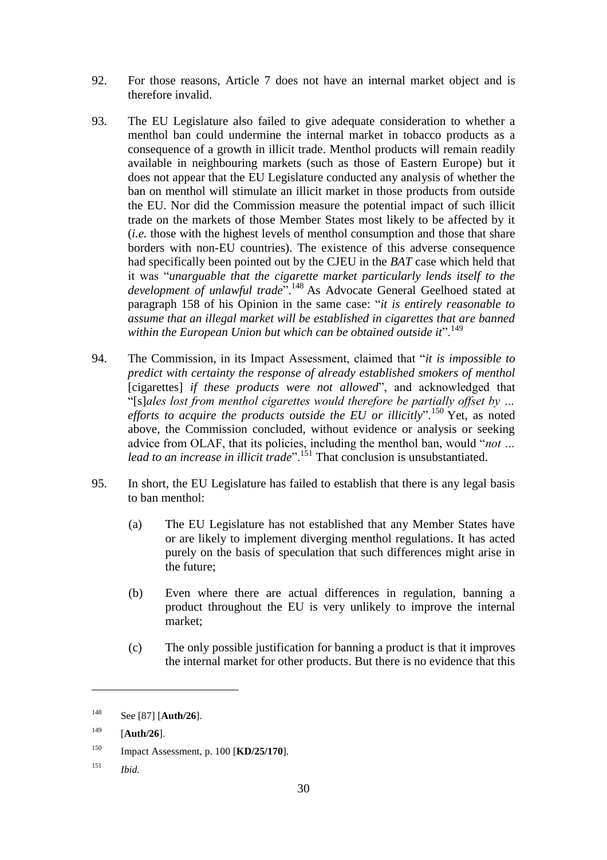- 92. For those reasons, Article 7 does not have an internal market object and is therefore invalid.
- 93. The EU Legislature also failed to give adequate consideration to whether a menthol ban could undermine the internal market in tobacco products as a consequence of a growth in illicit trade. Menthol products will remain readily available in neighbouring markets (such as those of Eastern Europe) but it does not appear that the EU Legislature conducted any analysis of whether the ban on menthol will stimulate an illicit market in those products from outside the EU. Nor did the Commission measure the potential impact of such illicit trade on the markets of those Member States most likely to be affected by it (*i.e.* those with the highest levels of menthol consumption and those that share borders with non-EU countries). The existence of this adverse consequence had specifically been pointed out by the CJEU in the *BAT* case which held that it was "*unarguable that the cigarette market particularly lends itself to the development of unlawful trade*".<sup>148</sup> As Advocate General Geelhoed stated at paragraph 158 of his Opinion in the same case: "*it is entirely reasonable to assume that an illegal market will be established in cigarettes that are banned*  within the European Union but which can be obtained outside it".<sup>149</sup>
- 94. The Commission, in its Impact Assessment, claimed that "*it is impossible to predict with certainty the response of already established smokers of menthol* [cigarettes] *if these products were not allowed*", and acknowledged that "[s]*ales lost from menthol cigarettes would therefore be partially offset by … efforts to acquire the products outside the EU or illicitly*".<sup>150</sup> Yet, as noted above, the Commission concluded, without evidence or analysis or seeking advice from OLAF, that its policies, including the menthol ban, would "*not … lead to an increase in illicit trade*".<sup>151</sup> That conclusion is unsubstantiated.
- 95. In short, the EU Legislature has failed to establish that there is any legal basis to ban menthol:
	- (a) The EU Legislature has not established that any Member States have or are likely to implement diverging menthol regulations. It has acted purely on the basis of speculation that such differences might arise in the future;
	- (b) Even where there are actual differences in regulation, banning a product throughout the EU is very unlikely to improve the internal market;
	- (c) The only possible justification for banning a product is that it improves the internal market for other products. But there is no evidence that this

<sup>151</sup> *Ibid.*

<sup>148</sup> See [87] [**Auth/26**].

<sup>149</sup> [**Auth/26**].

<sup>150</sup> Impact Assessment, p. 100 [**KD/25/170**].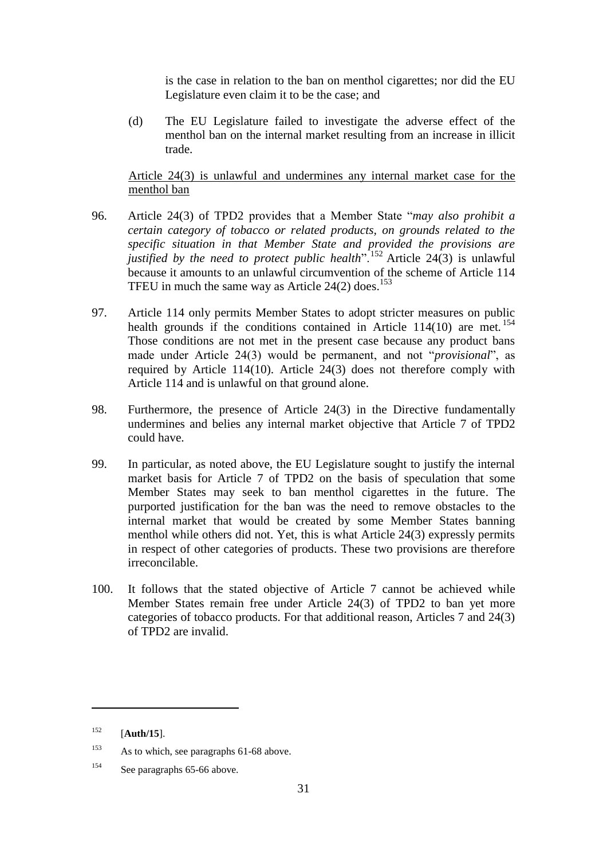is the case in relation to the ban on menthol cigarettes; nor did the EU Legislature even claim it to be the case; and

(d) The EU Legislature failed to investigate the adverse effect of the menthol ban on the internal market resulting from an increase in illicit trade.

# Article 24(3) is unlawful and undermines any internal market case for the menthol ban

- 96. Article 24(3) of TPD2 provides that a Member State "*may also prohibit a certain category of tobacco or related products, on grounds related to the specific situation in that Member State and provided the provisions are justified by the need to protect public health*".<sup>152</sup> Article 24(3) is unlawful because it amounts to an unlawful circumvention of the scheme of Article 114 TFEU in much the same way as Article  $24(2)$  does.<sup>153</sup>
- 97. Article 114 only permits Member States to adopt stricter measures on public health grounds if the conditions contained in Article 114(10) are met.<sup>154</sup> Those conditions are not met in the present case because any product bans made under Article 24(3) would be permanent, and not "*provisional*", as required by Article 114(10). Article 24(3) does not therefore comply with Article 114 and is unlawful on that ground alone.
- 98. Furthermore, the presence of Article 24(3) in the Directive fundamentally undermines and belies any internal market objective that Article 7 of TPD2 could have.
- 99. In particular, as noted above, the EU Legislature sought to justify the internal market basis for Article 7 of TPD2 on the basis of speculation that some Member States may seek to ban menthol cigarettes in the future. The purported justification for the ban was the need to remove obstacles to the internal market that would be created by some Member States banning menthol while others did not. Yet, this is what Article 24(3) expressly permits in respect of other categories of products. These two provisions are therefore irreconcilable.
- 100. It follows that the stated objective of Article 7 cannot be achieved while Member States remain free under Article 24(3) of TPD2 to ban yet more categories of tobacco products. For that additional reason, Articles 7 and 24(3) of TPD2 are invalid.

<sup>152</sup> [**Auth/15**].

<sup>&</sup>lt;sup>153</sup> As to which, see paragraphs [61](#page-20-0)[-68](#page-22-1) above.

<sup>154</sup> See paragraph[s 65-](#page-21-0)[66](#page-22-2) above.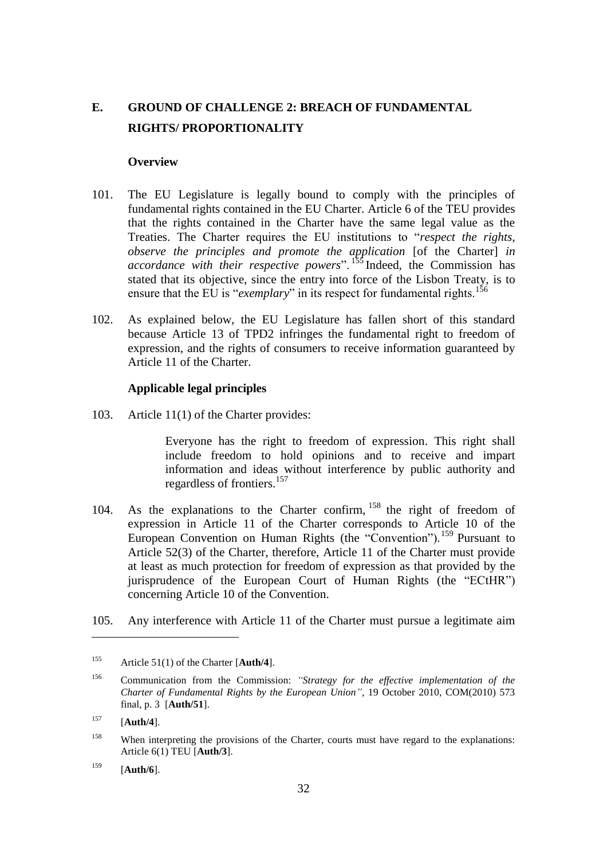# **E. GROUND OF CHALLENGE 2: BREACH OF FUNDAMENTAL RIGHTS/ PROPORTIONALITY**

### **Overview**

- 101. The EU Legislature is legally bound to comply with the principles of fundamental rights contained in the EU Charter. Article 6 of the TEU provides that the rights contained in the Charter have the same legal value as the Treaties. The Charter requires the EU institutions to "*respect the rights, observe the principles and promote the application* [of the Charter] *in accordance with their respective powers*". <sup>155</sup> Indeed, the Commission has stated that its objective, since the entry into force of the Lisbon Treaty, is to ensure that the EU is "*exemplary*" in its respect for fundamental rights.<sup>156</sup>
- 102. As explained below, the EU Legislature has fallen short of this standard because Article 13 of TPD2 infringes the fundamental right to freedom of expression, and the rights of consumers to receive information guaranteed by Article 11 of the Charter.

#### **Applicable legal principles**

103. Article 11(1) of the Charter provides:

Everyone has the right to freedom of expression. This right shall include freedom to hold opinions and to receive and impart information and ideas without interference by public authority and regardless of frontiers.<sup>157</sup>

- 104. As the explanations to the Charter confirm, <sup>158</sup> the right of freedom of expression in Article 11 of the Charter corresponds to Article 10 of the European Convention on Human Rights (the "Convention").<sup>159</sup> Pursuant to Article 52(3) of the Charter, therefore, Article 11 of the Charter must provide at least as much protection for freedom of expression as that provided by the jurisprudence of the European Court of Human Rights (the "ECtHR") concerning Article 10 of the Convention.
- 105. Any interference with Article 11 of the Charter must pursue a legitimate aim

 $\overline{a}$ 

<sup>159</sup> [**Auth/6**].

<sup>155</sup> Article 51(1) of the Charter [**Auth/4**].

<sup>156</sup> Communication from the Commission: *"Strategy for the effective implementation of the Charter of Fundamental Rights by the European Union"*, 19 October 2010, COM(2010) 573 final, p. 3 [**Auth/51**].

<sup>157</sup> [**Auth/4**].

<sup>&</sup>lt;sup>158</sup> When interpreting the provisions of the Charter, courts must have regard to the explanations: Article 6(1) TEU [**Auth/3**].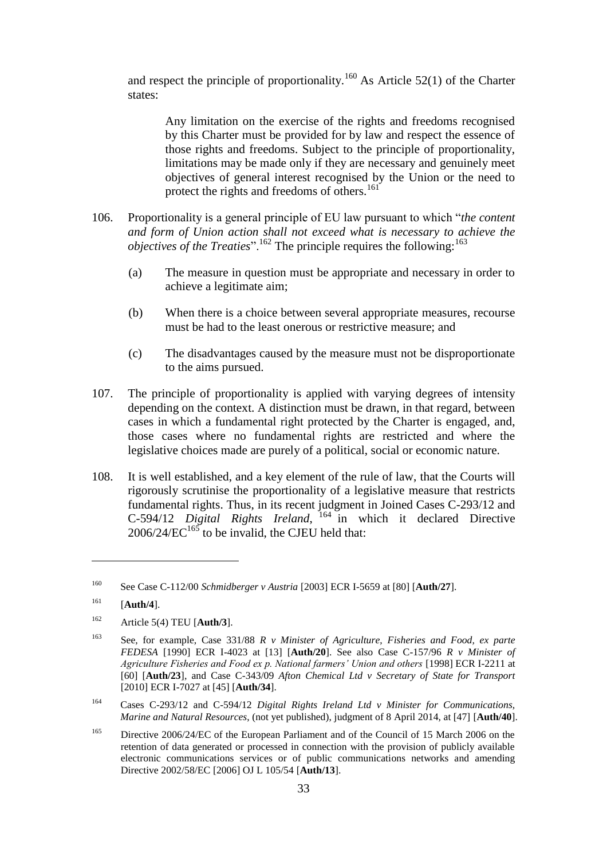and respect the principle of proportionality.<sup>160</sup> As Article 52(1) of the Charter states:

Any limitation on the exercise of the rights and freedoms recognised by this Charter must be provided for by law and respect the essence of those rights and freedoms. Subject to the principle of proportionality, limitations may be made only if they are necessary and genuinely meet objectives of general interest recognised by the Union or the need to protect the rights and freedoms of others.<sup>161</sup>

- 106. Proportionality is a general principle of EU law pursuant to which "*the content and form of Union action shall not exceed what is necessary to achieve the objectives of the Treaties*".<sup>162</sup> The principle requires the following:<sup>163</sup>
	- (a) The measure in question must be appropriate and necessary in order to achieve a legitimate aim;
	- (b) When there is a choice between several appropriate measures, recourse must be had to the least onerous or restrictive measure; and
	- (c) The disadvantages caused by the measure must not be disproportionate to the aims pursued.
- 107. The principle of proportionality is applied with varying degrees of intensity depending on the context. A distinction must be drawn, in that regard, between cases in which a fundamental right protected by the Charter is engaged, and, those cases where no fundamental rights are restricted and where the legislative choices made are purely of a political, social or economic nature.
- 108. It is well established, and a key element of the rule of law, that the Courts will rigorously scrutinise the proportionality of a legislative measure that restricts fundamental rights. Thus, in its recent judgment in Joined Cases C-293/12 and C-594/12 *Digital Rights Ireland*, <sup>164</sup> in which it declared Directive  $2006/24/EC^{165}$  to be invalid, the CJEU held that:

<sup>160</sup> See Case C-112/00 *Schmidberger v Austria* [2003] ECR I-5659 at [80] [**Auth/27**].

<sup>161</sup> [**Auth/4**].

<sup>162</sup> Article 5(4) TEU [**Auth/3**].

<sup>163</sup> See, for example, Case 331/88 *R v Minister of Agriculture, Fisheries and Food, ex parte FEDESA* [1990] ECR I-4023 at [13] [**Auth/20**]. See also Case C-157/96 *R v Minister of Agriculture Fisheries and Food ex p. National farmers' Union and others* [1998] ECR I-2211 at [60] [**Auth/23**], and Case C-343/09 *Afton Chemical Ltd v Secretary of State for Transport* [2010] ECR I-7027 at [45] [**Auth/34**].

<sup>164</sup> Cases C-293/12 and C-594/12 *Digital Rights Ireland Ltd v Minister for Communications, Marine and Natural Resources*, (not yet published), judgment of 8 April 2014, at [47] [**Auth/40**].

<sup>&</sup>lt;sup>165</sup> Directive 2006/24/EC of the European Parliament and of the Council of 15 March 2006 on the retention of data generated or processed in connection with the provision of publicly available electronic communications services or of public communications networks and amending Directive 2002/58/EC [2006] OJ L 105/54 [**Auth/13**].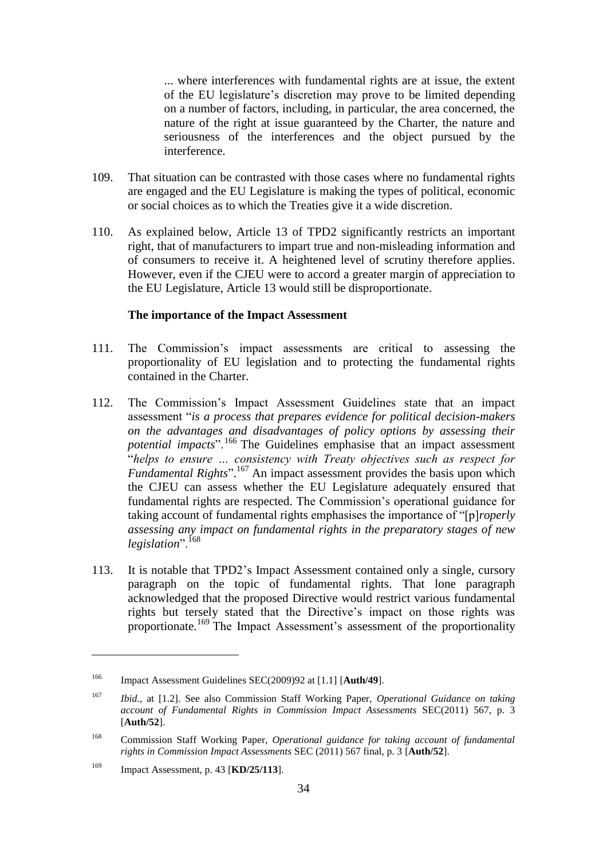... where interferences with fundamental rights are at issue, the extent of the EU legislature's discretion may prove to be limited depending on a number of factors, including, in particular, the area concerned, the nature of the right at issue guaranteed by the Charter, the nature and seriousness of the interferences and the object pursued by the interference.

- 109. That situation can be contrasted with those cases where no fundamental rights are engaged and the EU Legislature is making the types of political, economic or social choices as to which the Treaties give it a wide discretion.
- 110. As explained below, Article 13 of TPD2 significantly restricts an important right, that of manufacturers to impart true and non-misleading information and of consumers to receive it. A heightened level of scrutiny therefore applies. However, even if the CJEU were to accord a greater margin of appreciation to the EU Legislature, Article 13 would still be disproportionate.

### **The importance of the Impact Assessment**

- 111. The Commission's impact assessments are critical to assessing the proportionality of EU legislation and to protecting the fundamental rights contained in the Charter.
- 112. The Commission's Impact Assessment Guidelines state that an impact assessment "*is a process that prepares evidence for political decision-makers on the advantages and disadvantages of policy options by assessing their potential impacts*".<sup>166</sup> The Guidelines emphasise that an impact assessment "*helps to ensure … consistency with Treaty objectives such as respect for Fundamental Rights*". <sup>167</sup> An impact assessment provides the basis upon which the CJEU can assess whether the EU Legislature adequately ensured that fundamental rights are respected. The Commission's operational guidance for taking account of fundamental rights emphasises the importance of "[p]*roperly assessing any impact on fundamental rights in the preparatory stages of new*  legislation".<sup>168</sup>
- 113. It is notable that TPD2's Impact Assessment contained only a single, cursory paragraph on the topic of fundamental rights. That lone paragraph acknowledged that the proposed Directive would restrict various fundamental rights but tersely stated that the Directive's impact on those rights was proportionate.<sup>169</sup> The Impact Assessment's assessment of the proportionality

<sup>166</sup> Impact Assessment Guidelines SEC(2009)92 at [1.1] [**Auth/49**].

<sup>167</sup> *Ibid.*, at [1.2]. See also Commission Staff Working Paper, *Operational Guidance on taking account of Fundamental Rights in Commission Impact Assessments* SEC(2011) 567, p. 3 [**Auth/52**].

<sup>168</sup> Commission Staff Working Paper, *Operational guidance for taking account of fundamental rights in Commission Impact Assessments* SEC (2011) 567 final, p. 3 [**Auth/52**].

<sup>169</sup> Impact Assessment, p. 43 [**KD/25/113**].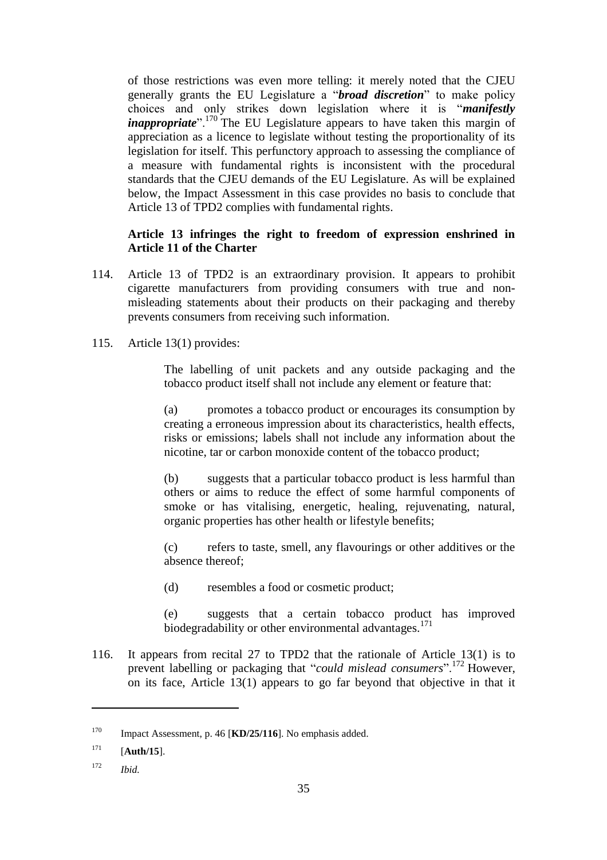of those restrictions was even more telling: it merely noted that the CJEU generally grants the EU Legislature a "*broad discretion*" to make policy choices and only strikes down legislation where it is "*manifestly inappropriate*".<sup>170</sup> The EU Legislature appears to have taken this margin of appreciation as a licence to legislate without testing the proportionality of its legislation for itself. This perfunctory approach to assessing the compliance of a measure with fundamental rights is inconsistent with the procedural standards that the CJEU demands of the EU Legislature. As will be explained below, the Impact Assessment in this case provides no basis to conclude that Article 13 of TPD2 complies with fundamental rights.

# **Article 13 infringes the right to freedom of expression enshrined in Article 11 of the Charter**

- 114. Article 13 of TPD2 is an extraordinary provision. It appears to prohibit cigarette manufacturers from providing consumers with true and nonmisleading statements about their products on their packaging and thereby prevents consumers from receiving such information.
- 115. Article 13(1) provides:

The labelling of unit packets and any outside packaging and the tobacco product itself shall not include any element or feature that:

(a) promotes a tobacco product or encourages its consumption by creating a erroneous impression about its characteristics, health effects, risks or emissions; labels shall not include any information about the nicotine, tar or carbon monoxide content of the tobacco product;

(b) suggests that a particular tobacco product is less harmful than others or aims to reduce the effect of some harmful components of smoke or has vitalising, energetic, healing, rejuvenating, natural, organic properties has other health or lifestyle benefits;

(c) refers to taste, smell, any flavourings or other additives or the absence thereof;

(d) resembles a food or cosmetic product;

(e) suggests that a certain tobacco product has improved biodegradability or other environmental advantages.<sup>171</sup>

116. It appears from recital 27 to TPD2 that the rationale of Article 13(1) is to prevent labelling or packaging that "*could mislead consumers*".<sup>172</sup> However, on its face, Article 13(1) appears to go far beyond that objective in that it

<sup>170</sup> Impact Assessment, p. 46 [**KD/25/116**]. No emphasis added.

<sup>171</sup> [**Auth/15**].

<sup>172</sup> *Ibid.*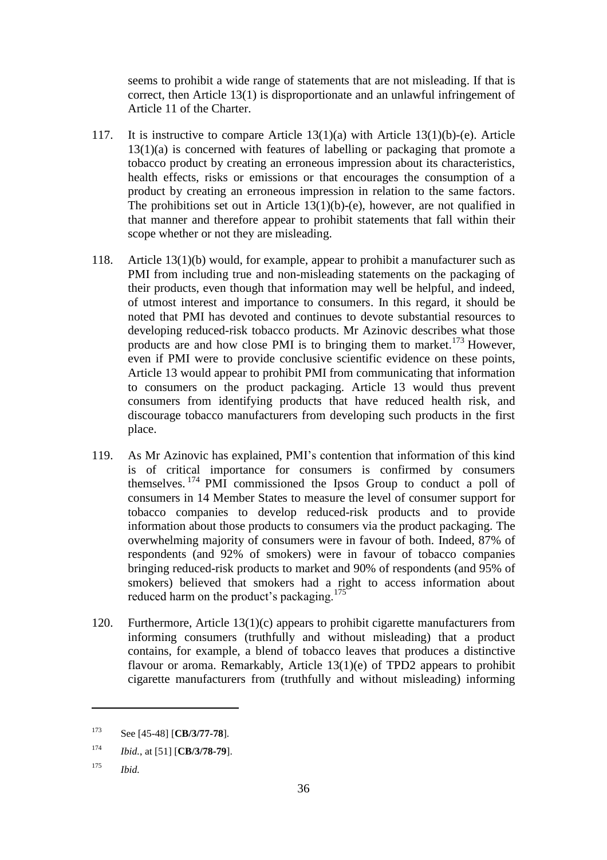seems to prohibit a wide range of statements that are not misleading. If that is correct, then Article 13(1) is disproportionate and an unlawful infringement of Article 11 of the Charter.

- 117. It is instructive to compare Article 13(1)(a) with Article 13(1)(b)-(e). Article 13(1)(a) is concerned with features of labelling or packaging that promote a tobacco product by creating an erroneous impression about its characteristics, health effects, risks or emissions or that encourages the consumption of a product by creating an erroneous impression in relation to the same factors. The prohibitions set out in Article  $13(1)(b)$ -(e), however, are not qualified in that manner and therefore appear to prohibit statements that fall within their scope whether or not they are misleading.
- 118. Article 13(1)(b) would, for example, appear to prohibit a manufacturer such as PMI from including true and non-misleading statements on the packaging of their products, even though that information may well be helpful, and indeed, of utmost interest and importance to consumers. In this regard, it should be noted that PMI has devoted and continues to devote substantial resources to developing reduced-risk tobacco products. Mr Azinovic describes what those products are and how close PMI is to bringing them to market.<sup>173</sup> However, even if PMI were to provide conclusive scientific evidence on these points, Article 13 would appear to prohibit PMI from communicating that information to consumers on the product packaging. Article 13 would thus prevent consumers from identifying products that have reduced health risk, and discourage tobacco manufacturers from developing such products in the first place.
- 119. As Mr Azinovic has explained, PMI's contention that information of this kind is of critical importance for consumers is confirmed by consumers themselves. <sup>174</sup> PMI commissioned the Ipsos Group to conduct a poll of consumers in 14 Member States to measure the level of consumer support for tobacco companies to develop reduced-risk products and to provide information about those products to consumers via the product packaging. The overwhelming majority of consumers were in favour of both. Indeed, 87% of respondents (and 92% of smokers) were in favour of tobacco companies bringing reduced-risk products to market and 90% of respondents (and 95% of smokers) believed that smokers had a right to access information about reduced harm on the product's packaging.<sup>175</sup>
- 120. Furthermore, Article 13(1)(c) appears to prohibit cigarette manufacturers from informing consumers (truthfully and without misleading) that a product contains, for example, a blend of tobacco leaves that produces a distinctive flavour or aroma. Remarkably, Article 13(1)(e) of TPD2 appears to prohibit cigarette manufacturers from (truthfully and without misleading) informing

<sup>173</sup> See [45-48] [**CB/3/77-78**].

<sup>174</sup> *Ibid.*, at [51] [**CB/3/78-79**].

<sup>175</sup> *Ibid.*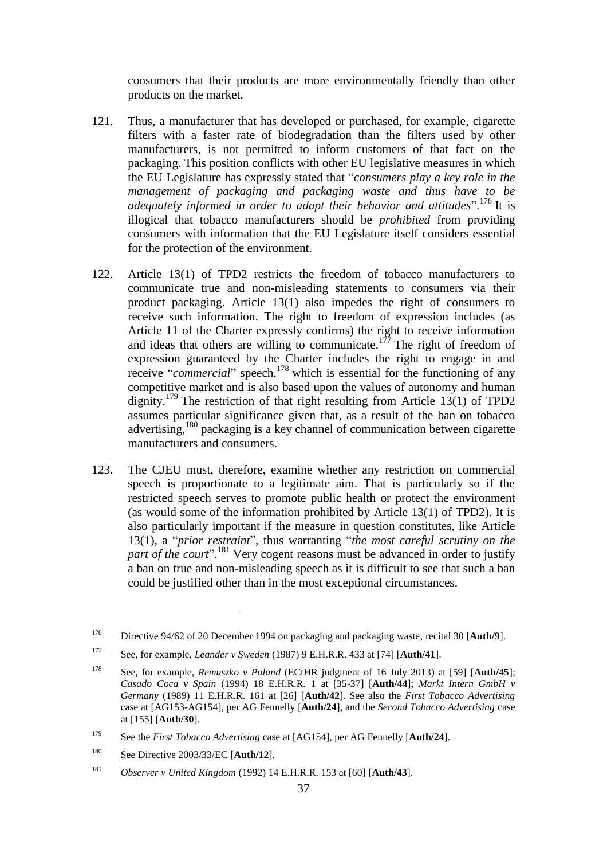consumers that their products are more environmentally friendly than other products on the market.

- 121. Thus, a manufacturer that has developed or purchased, for example, cigarette filters with a faster rate of biodegradation than the filters used by other manufacturers, is not permitted to inform customers of that fact on the packaging. This position conflicts with other EU legislative measures in which the EU Legislature has expressly stated that "*consumers play a key role in the management of packaging and packaging waste and thus have to be adequately informed in order to adapt their behavior and attitudes*".<sup>176</sup> It is illogical that tobacco manufacturers should be *prohibited* from providing consumers with information that the EU Legislature itself considers essential for the protection of the environment.
- 122. Article 13(1) of TPD2 restricts the freedom of tobacco manufacturers to communicate true and non-misleading statements to consumers via their product packaging. Article 13(1) also impedes the right of consumers to receive such information. The right to freedom of expression includes (as Article 11 of the Charter expressly confirms) the right to receive information and ideas that others are willing to communicate.<sup>177</sup> The right of freedom of expression guaranteed by the Charter includes the right to engage in and receive "*commercial*" speech, <sup>178</sup> which is essential for the functioning of any competitive market and is also based upon the values of autonomy and human dignity.<sup>179</sup> The restriction of that right resulting from Article 13(1) of TPD2 assumes particular significance given that, as a result of the ban on tobacco advertising,<sup>180</sup> packaging is a key channel of communication between cigarette manufacturers and consumers.
- 123. The CJEU must, therefore, examine whether any restriction on commercial speech is proportionate to a legitimate aim. That is particularly so if the restricted speech serves to promote public health or protect the environment (as would some of the information prohibited by Article 13(1) of TPD2). It is also particularly important if the measure in question constitutes, like Article 13(1), a "*prior restraint*", thus warranting "*the most careful scrutiny on the part of the court*". <sup>181</sup> Very cogent reasons must be advanced in order to justify a ban on true and non-misleading speech as it is difficult to see that such a ban could be justified other than in the most exceptional circumstances.

<sup>176</sup> Directive 94/62 of 20 December 1994 on packaging and packaging waste*,* recital 30 [**Auth/9**].

<sup>177</sup> See, for example, *Leander v Sweden* (1987) 9 E.H.R.R. 433 at [74] [**Auth/41**].

<sup>178</sup> See, for example, *Remuszko v Poland* (ECtHR judgment of 16 July 2013) at [59] [**Auth/45**]; *Casado Coca v Spain* (1994) 18 E.H.R.R. 1 at [35-37] [**Auth/44**]; *Markt Intern GmbH v Germany* (1989) 11 E.H.R.R. 161 at [26] [**Auth/42**]. See also the *First Tobacco Advertising*  case at [AG153-AG154], per AG Fennelly [**Auth/24**], and the *Second Tobacco Advertising* case at [155] [**Auth/30**].

<sup>179</sup> See the *First Tobacco Advertising* case at [AG154], per AG Fennelly [**Auth/24**].

<sup>180</sup> See Directive 2003/33/EC [**Auth/12**].

<sup>181</sup> *Observer v United Kingdom* (1992) 14 E.H.R.R. 153 at [60] [**Auth/43**].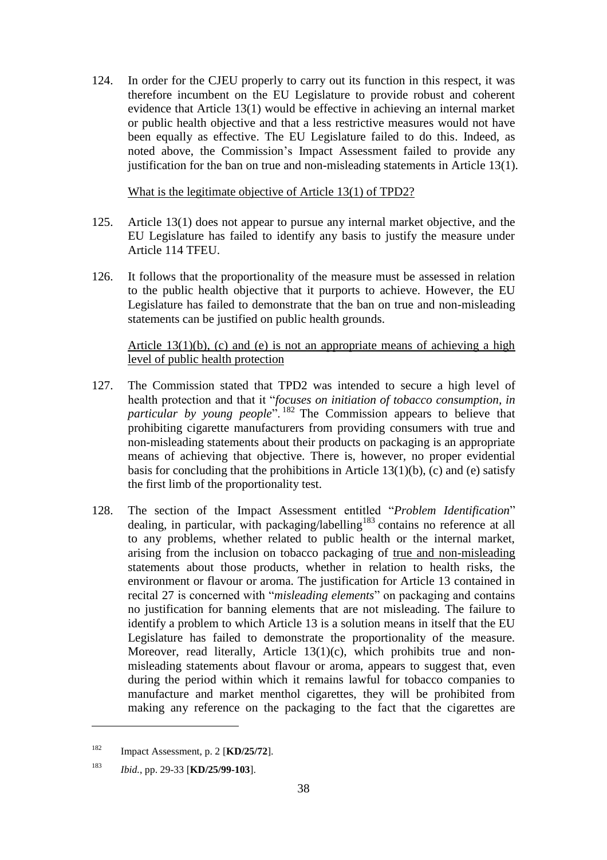124. In order for the CJEU properly to carry out its function in this respect, it was therefore incumbent on the EU Legislature to provide robust and coherent evidence that Article 13(1) would be effective in achieving an internal market or public health objective and that a less restrictive measures would not have been equally as effective. The EU Legislature failed to do this. Indeed, as noted above, the Commission's Impact Assessment failed to provide any justification for the ban on true and non-misleading statements in Article 13(1).

What is the legitimate objective of Article 13(1) of TPD2?

- 125. Article 13(1) does not appear to pursue any internal market objective, and the EU Legislature has failed to identify any basis to justify the measure under Article 114 TFEU.
- 126. It follows that the proportionality of the measure must be assessed in relation to the public health objective that it purports to achieve. However, the EU Legislature has failed to demonstrate that the ban on true and non-misleading statements can be justified on public health grounds.

Article  $13(1)(b)$ , (c) and (e) is not an appropriate means of achieving a high level of public health protection

- 127. The Commission stated that TPD2 was intended to secure a high level of health protection and that it "*focuses on initiation of tobacco consumption, in particular by young people*". <sup>182</sup> The Commission appears to believe that prohibiting cigarette manufacturers from providing consumers with true and non-misleading statements about their products on packaging is an appropriate means of achieving that objective. There is, however, no proper evidential basis for concluding that the prohibitions in Article 13(1)(b), (c) and (e) satisfy the first limb of the proportionality test.
- 128. The section of the Impact Assessment entitled "*Problem Identification*" dealing, in particular, with packaging/labelling<sup>183</sup> contains no reference at all to any problems, whether related to public health or the internal market, arising from the inclusion on tobacco packaging of true and non-misleading statements about those products, whether in relation to health risks, the environment or flavour or aroma. The justification for Article 13 contained in recital 27 is concerned with "*misleading elements*" on packaging and contains no justification for banning elements that are not misleading. The failure to identify a problem to which Article 13 is a solution means in itself that the EU Legislature has failed to demonstrate the proportionality of the measure. Moreover, read literally, Article 13(1)(c), which prohibits true and nonmisleading statements about flavour or aroma, appears to suggest that, even during the period within which it remains lawful for tobacco companies to manufacture and market menthol cigarettes, they will be prohibited from making any reference on the packaging to the fact that the cigarettes are

<sup>182</sup> Impact Assessment, p. 2 [**KD/25/72**].

<sup>183</sup> *Ibid.*, pp. 29-33 [**KD/25/99-103**].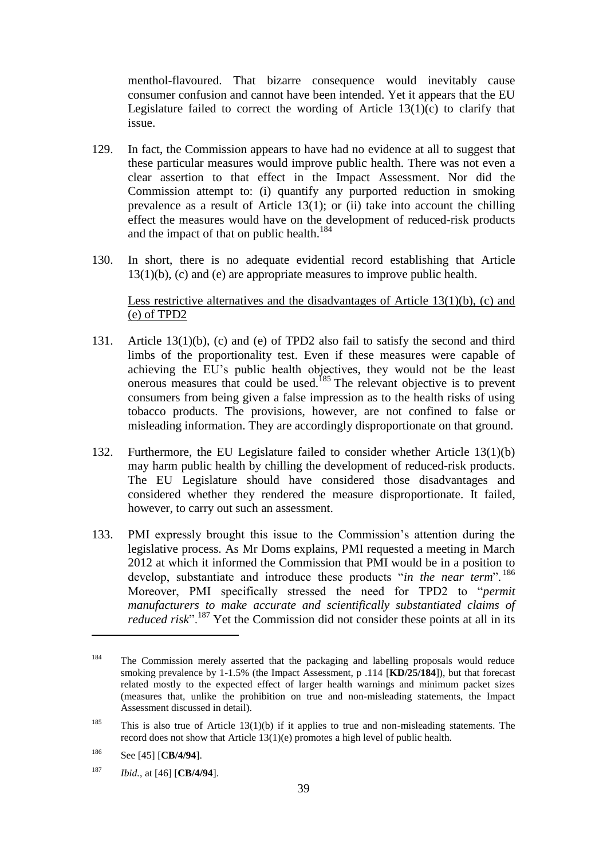menthol-flavoured. That bizarre consequence would inevitably cause consumer confusion and cannot have been intended. Yet it appears that the EU Legislature failed to correct the wording of Article  $13(1)(c)$  to clarify that issue.

- 129. In fact, the Commission appears to have had no evidence at all to suggest that these particular measures would improve public health. There was not even a clear assertion to that effect in the Impact Assessment. Nor did the Commission attempt to: (i) quantify any purported reduction in smoking prevalence as a result of Article  $13(1)$ ; or (ii) take into account the chilling effect the measures would have on the development of reduced-risk products and the impact of that on public health.<sup>184</sup>
- 130. In short, there is no adequate evidential record establishing that Article 13(1)(b), (c) and (e) are appropriate measures to improve public health.

### Less restrictive alternatives and the disadvantages of Article 13(1)(b), (c) and (e) of TPD2

- 131. Article 13(1)(b), (c) and (e) of TPD2 also fail to satisfy the second and third limbs of the proportionality test. Even if these measures were capable of achieving the EU's public health objectives, they would not be the least onerous measures that could be used.<sup>185</sup> The relevant objective is to prevent consumers from being given a false impression as to the health risks of using tobacco products. The provisions, however, are not confined to false or misleading information. They are accordingly disproportionate on that ground.
- 132. Furthermore, the EU Legislature failed to consider whether Article 13(1)(b) may harm public health by chilling the development of reduced-risk products. The EU Legislature should have considered those disadvantages and considered whether they rendered the measure disproportionate. It failed, however, to carry out such an assessment.
- 133. PMI expressly brought this issue to the Commission's attention during the legislative process. As Mr Doms explains, PMI requested a meeting in March 2012 at which it informed the Commission that PMI would be in a position to develop, substantiate and introduce these products "*in the near term*". <sup>186</sup> Moreover, PMI specifically stressed the need for TPD2 to "*permit manufacturers to make accurate and scientifically substantiated claims of reduced risk*".<sup>187</sup> Yet the Commission did not consider these points at all in its

<sup>&</sup>lt;sup>184</sup> The Commission merely asserted that the packaging and labelling proposals would reduce smoking prevalence by 1-1.5% (the Impact Assessment, p .114 [**KD/25/184**]), but that forecast related mostly to the expected effect of larger health warnings and minimum packet sizes (measures that, unlike the prohibition on true and non-misleading statements, the Impact Assessment discussed in detail).

<sup>&</sup>lt;sup>185</sup> This is also true of Article 13(1)(b) if it applies to true and non-misleading statements. The record does not show that Article 13(1)(e) promotes a high level of public health.

<sup>186</sup> See [45] [**CB/4/94**].

<sup>187</sup> *Ibid.*, at [46] [**CB/4/94**].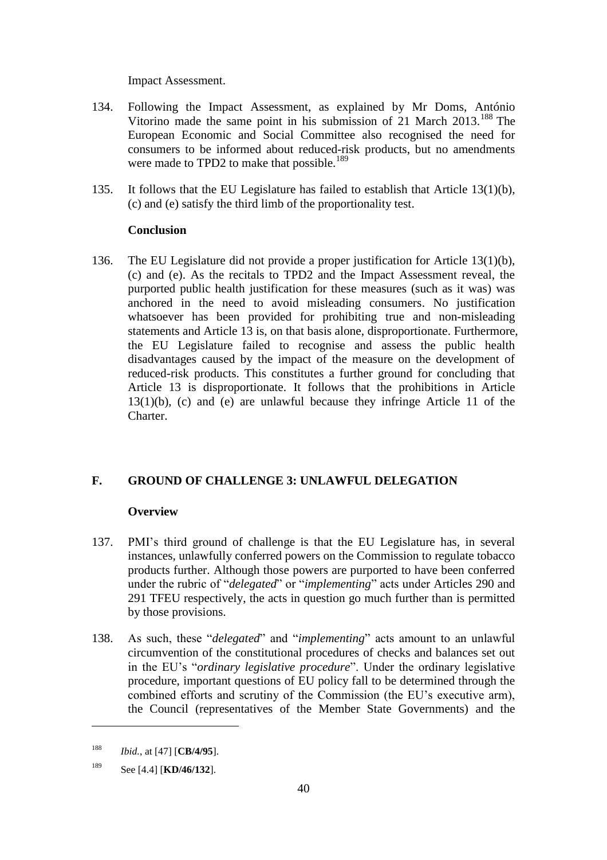Impact Assessment.

- 134. Following the Impact Assessment, as explained by Mr Doms, António Vitorino made the same point in his submission of 21 March  $2013$ .<sup>188</sup> The European Economic and Social Committee also recognised the need for consumers to be informed about reduced-risk products, but no amendments were made to TPD2 to make that possible.<sup>189</sup>
- 135. It follows that the EU Legislature has failed to establish that Article 13(1)(b), (c) and (e) satisfy the third limb of the proportionality test.

# **Conclusion**

136. The EU Legislature did not provide a proper justification for Article 13(1)(b), (c) and (e). As the recitals to TPD2 and the Impact Assessment reveal, the purported public health justification for these measures (such as it was) was anchored in the need to avoid misleading consumers. No justification whatsoever has been provided for prohibiting true and non-misleading statements and Article 13 is, on that basis alone, disproportionate. Furthermore, the EU Legislature failed to recognise and assess the public health disadvantages caused by the impact of the measure on the development of reduced-risk products. This constitutes a further ground for concluding that Article 13 is disproportionate. It follows that the prohibitions in Article 13(1)(b), (c) and (e) are unlawful because they infringe Article 11 of the Charter.

# **F. GROUND OF CHALLENGE 3: UNLAWFUL DELEGATION**

# **Overview**

- 137. PMI's third ground of challenge is that the EU Legislature has, in several instances, unlawfully conferred powers on the Commission to regulate tobacco products further. Although those powers are purported to have been conferred under the rubric of "*delegated*" or "*implementing*" acts under Articles 290 and 291 TFEU respectively, the acts in question go much further than is permitted by those provisions.
- 138. As such, these "*delegated*" and "*implementing*" acts amount to an unlawful circumvention of the constitutional procedures of checks and balances set out in the EU's "*ordinary legislative procedure*". Under the ordinary legislative procedure, important questions of EU policy fall to be determined through the combined efforts and scrutiny of the Commission (the EU's executive arm), the Council (representatives of the Member State Governments) and the

<sup>188</sup> *Ibid.*, at [47] [**CB/4/95**].

<sup>189</sup> See [4.4] [**KD/46/132**].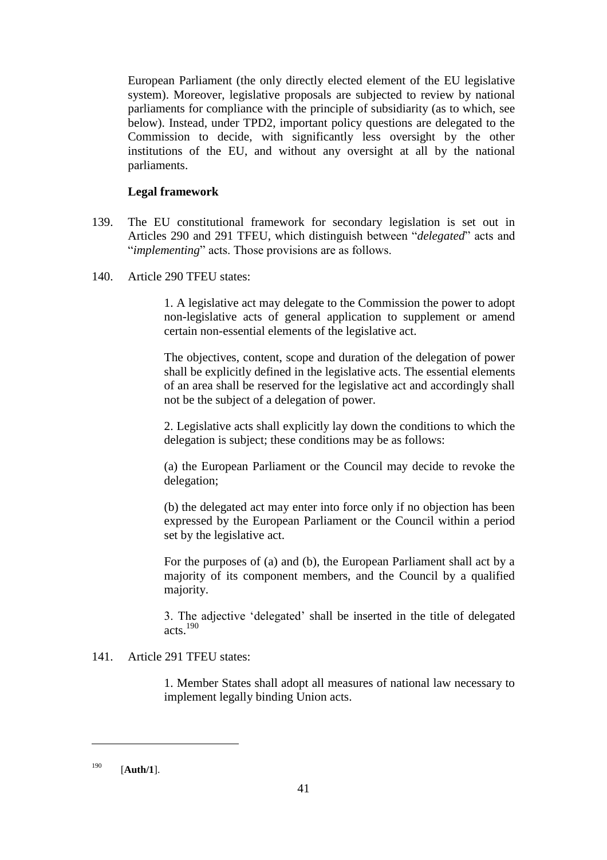European Parliament (the only directly elected element of the EU legislative system). Moreover, legislative proposals are subjected to review by national parliaments for compliance with the principle of subsidiarity (as to which, see below). Instead, under TPD2, important policy questions are delegated to the Commission to decide, with significantly less oversight by the other institutions of the EU, and without any oversight at all by the national parliaments.

# **Legal framework**

- 139. The EU constitutional framework for secondary legislation is set out in Articles 290 and 291 TFEU, which distinguish between "*delegated*" acts and "*implementing*" acts. Those provisions are as follows.
- 140. Article 290 TFEU states:

1. A legislative act may delegate to the Commission the power to adopt non-legislative acts of general application to supplement or amend certain non-essential elements of the legislative act.

The objectives, content, scope and duration of the delegation of power shall be explicitly defined in the legislative acts. The essential elements of an area shall be reserved for the legislative act and accordingly shall not be the subject of a delegation of power.

2. Legislative acts shall explicitly lay down the conditions to which the delegation is subject; these conditions may be as follows:

(a) the European Parliament or the Council may decide to revoke the delegation;

(b) the delegated act may enter into force only if no objection has been expressed by the European Parliament or the Council within a period set by the legislative act.

For the purposes of (a) and (b), the European Parliament shall act by a majority of its component members, and the Council by a qualified majority.

3. The adjective 'delegated' shall be inserted in the title of delegated acts.<sup>190</sup>

# 141. Article 291 TFEU states:

1. Member States shall adopt all measures of national law necessary to implement legally binding Union acts.

<sup>190</sup> [**Auth/1**].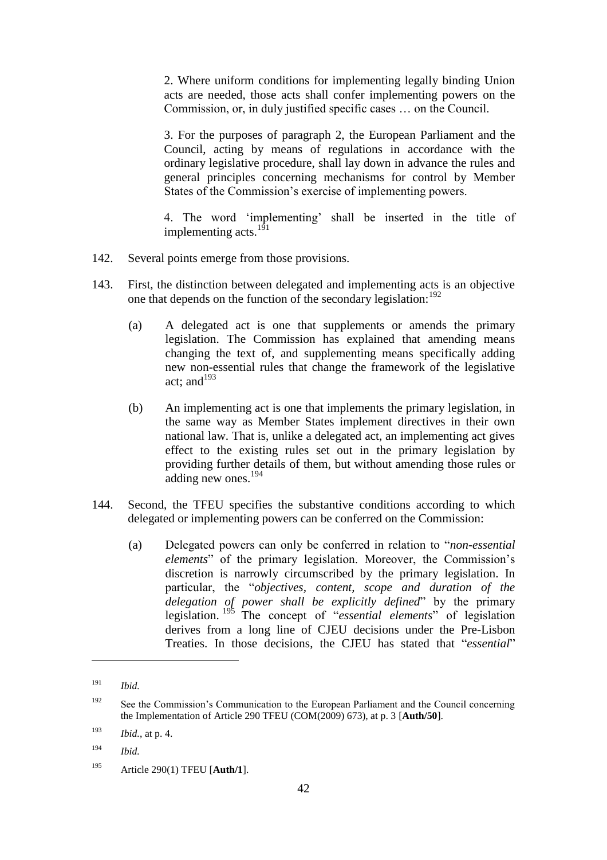2. Where uniform conditions for implementing legally binding Union acts are needed, those acts shall confer implementing powers on the Commission, or, in duly justified specific cases … on the Council.

3. For the purposes of paragraph 2, the European Parliament and the Council, acting by means of regulations in accordance with the ordinary legislative procedure, shall lay down in advance the rules and general principles concerning mechanisms for control by Member States of the Commission's exercise of implementing powers.

4. The word 'implementing' shall be inserted in the title of implementing acts. $^{191}$ 

- 142. Several points emerge from those provisions.
- 143. First, the distinction between delegated and implementing acts is an objective one that depends on the function of the secondary legislation:  $192$ 
	- (a) A delegated act is one that supplements or amends the primary legislation. The Commission has explained that amending means changing the text of, and supplementing means specifically adding new non-essential rules that change the framework of the legislative act: and  $193$
	- (b) An implementing act is one that implements the primary legislation, in the same way as Member States implement directives in their own national law. That is, unlike a delegated act, an implementing act gives effect to the existing rules set out in the primary legislation by providing further details of them, but without amending those rules or adding new ones.<sup>194</sup>
- 144. Second, the TFEU specifies the substantive conditions according to which delegated or implementing powers can be conferred on the Commission:
	- (a) Delegated powers can only be conferred in relation to "*non-essential elements*" of the primary legislation. Moreover, the Commission's discretion is narrowly circumscribed by the primary legislation. In particular, the "*objectives, content, scope and duration of the delegation of power shall be explicitly defined*" by the primary legislation. <sup>195</sup> The concept of "*essential elements*" of legislation derives from a long line of CJEU decisions under the Pre-Lisbon Treaties. In those decisions, the CJEU has stated that "*essential*"

<sup>191</sup> *Ibid.*

<sup>&</sup>lt;sup>192</sup> See the Commission's Communication to the European Parliament and the Council concerning the Implementation of Article 290 TFEU (COM(2009) 673), at p. 3 [**Auth/50**].

<sup>193</sup> *Ibid.*, at p. 4.

<sup>194</sup> *Ibid.*

<sup>195</sup> Article 290(1) TFEU [**Auth/1**].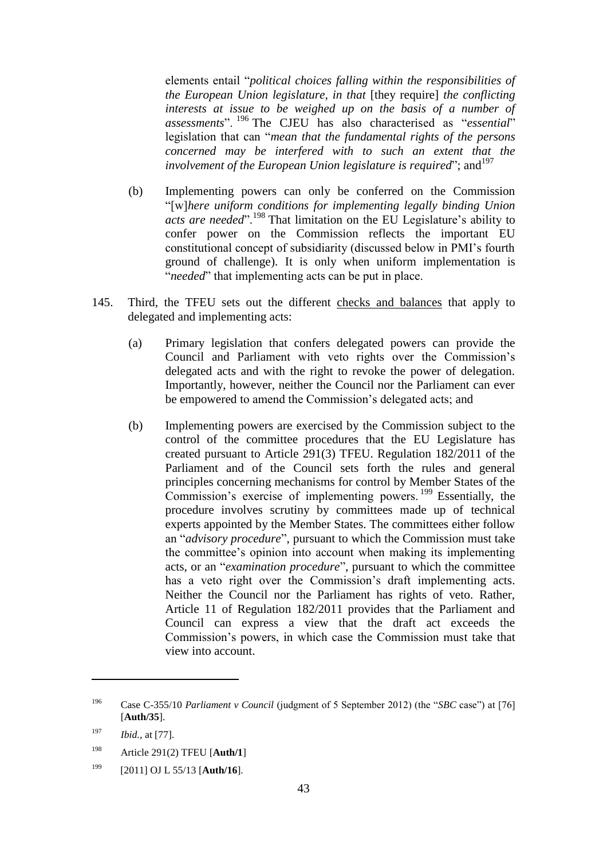elements entail "*political choices falling within the responsibilities of the European Union legislature, in that* [they require] *the conflicting interests at issue to be weighed up on the basis of a number of assessments*". <sup>196</sup> The CJEU has also characterised as "*essential*" legislation that can "*mean that the fundamental rights of the persons concerned may be interfered with to such an extent that the involvement of the European Union legislature is required*"; and <sup>197</sup>

- (b) Implementing powers can only be conferred on the Commission "[w]*here uniform conditions for implementing legally binding Union acts are needed*".<sup>198</sup> That limitation on the EU Legislature's ability to confer power on the Commission reflects the important EU constitutional concept of subsidiarity (discussed below in PMI's fourth ground of challenge). It is only when uniform implementation is "*needed*" that implementing acts can be put in place.
- 145. Third, the TFEU sets out the different checks and balances that apply to delegated and implementing acts:
	- (a) Primary legislation that confers delegated powers can provide the Council and Parliament with veto rights over the Commission's delegated acts and with the right to revoke the power of delegation. Importantly, however, neither the Council nor the Parliament can ever be empowered to amend the Commission's delegated acts; and
	- (b) Implementing powers are exercised by the Commission subject to the control of the committee procedures that the EU Legislature has created pursuant to Article 291(3) TFEU. Regulation 182/2011 of the Parliament and of the Council sets forth the rules and general principles concerning mechanisms for control by Member States of the Commission's exercise of implementing powers. <sup>199</sup> Essentially, the procedure involves scrutiny by committees made up of technical experts appointed by the Member States. The committees either follow an "*advisory procedure*", pursuant to which the Commission must take the committee's opinion into account when making its implementing acts, or an "*examination procedure*", pursuant to which the committee has a veto right over the Commission's draft implementing acts. Neither the Council nor the Parliament has rights of veto. Rather, Article 11 of Regulation 182/2011 provides that the Parliament and Council can express a view that the draft act exceeds the Commission's powers, in which case the Commission must take that view into account.

<sup>196</sup> Case C-355/10 *Parliament v Council* (judgment of 5 September 2012) (the "*SBC* case") at [76] [**Auth/35**].

<sup>197</sup> *Ibid.*, at [77].

<sup>198</sup> Article 291(2) TFEU [**Auth/1**]

<sup>199</sup> [2011] OJ L 55/13 [**Auth/16**].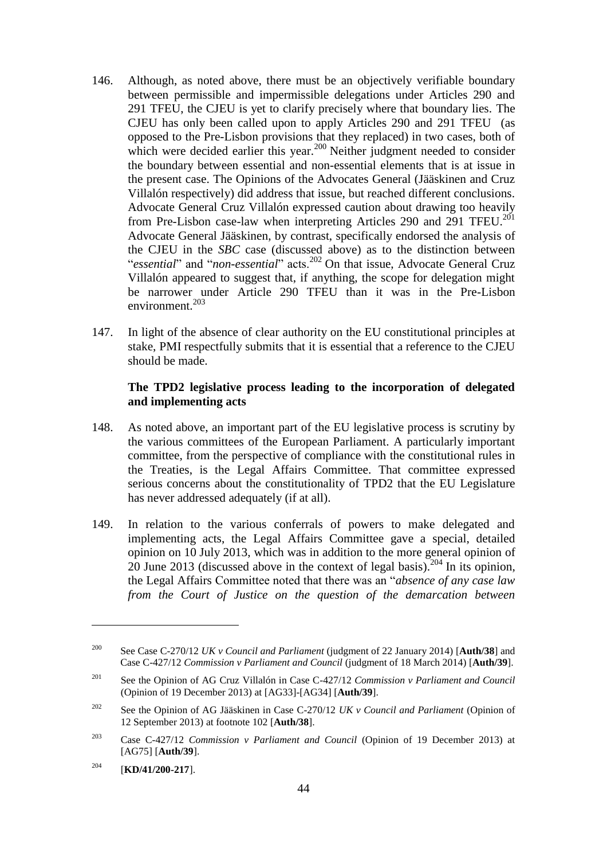- 146. Although, as noted above, there must be an objectively verifiable boundary between permissible and impermissible delegations under Articles 290 and 291 TFEU, the CJEU is yet to clarify precisely where that boundary lies. The CJEU has only been called upon to apply Articles 290 and 291 TFEU (as opposed to the Pre-Lisbon provisions that they replaced) in two cases, both of which were decided earlier this year.<sup>200</sup> Neither judgment needed to consider the boundary between essential and non-essential elements that is at issue in the present case. The Opinions of the Advocates General (Jääskinen and Cruz Villalón respectively) did address that issue, but reached different conclusions. Advocate General Cruz Villalón expressed caution about drawing too heavily from Pre-Lisbon case-law when interpreting Articles 290 and 291 TFEU.<sup>201</sup> Advocate General Jääskinen, by contrast, specifically endorsed the analysis of the CJEU in the *SBC* case (discussed above) as to the distinction between "*essential*" and "*non-essential*" acts.<sup>202</sup> On that issue, Advocate General Cruz Villalón appeared to suggest that, if anything, the scope for delegation might be narrower under Article 290 TFEU than it was in the Pre-Lisbon environment. $^{203}$
- 147. In light of the absence of clear authority on the EU constitutional principles at stake, PMI respectfully submits that it is essential that a reference to the CJEU should be made.

### **The TPD2 legislative process leading to the incorporation of delegated and implementing acts**

- 148. As noted above, an important part of the EU legislative process is scrutiny by the various committees of the European Parliament. A particularly important committee, from the perspective of compliance with the constitutional rules in the Treaties, is the Legal Affairs Committee. That committee expressed serious concerns about the constitutionality of TPD2 that the EU Legislature has never addressed adequately (if at all).
- 149. In relation to the various conferrals of powers to make delegated and implementing acts, the Legal Affairs Committee gave a special, detailed opinion on 10 July 2013, which was in addition to the more general opinion of 20 June 2013 (discussed above in the context of legal basis). <sup>204</sup> In its opinion, the Legal Affairs Committee noted that there was an "*absence of any case law from the Court of Justice on the question of the demarcation between*

<sup>200</sup> See Case C-270/12 *UK v Council and Parliament* (judgment of 22 January 2014) [**Auth/38**] and Case C-427/12 *Commission v Parliament and Council* (judgment of 18 March 2014) [**Auth/39**].

<sup>201</sup> See the Opinion of AG Cruz Villalón in Case C-427/12 *Commission v Parliament and Council*  (Opinion of 19 December 2013) at [AG33]-[AG34] [**Auth/39**].

<sup>202</sup> See the Opinion of AG Jääskinen in Case C-270/12 *UK v Council and Parliament* (Opinion of 12 September 2013) at footnote 102 [**Auth/38**].

<sup>203</sup> Case C-427/12 *Commission v Parliament and Council* (Opinion of 19 December 2013) at [AG75] [**Auth/39**].

<sup>204</sup> [**KD/41/200-217**].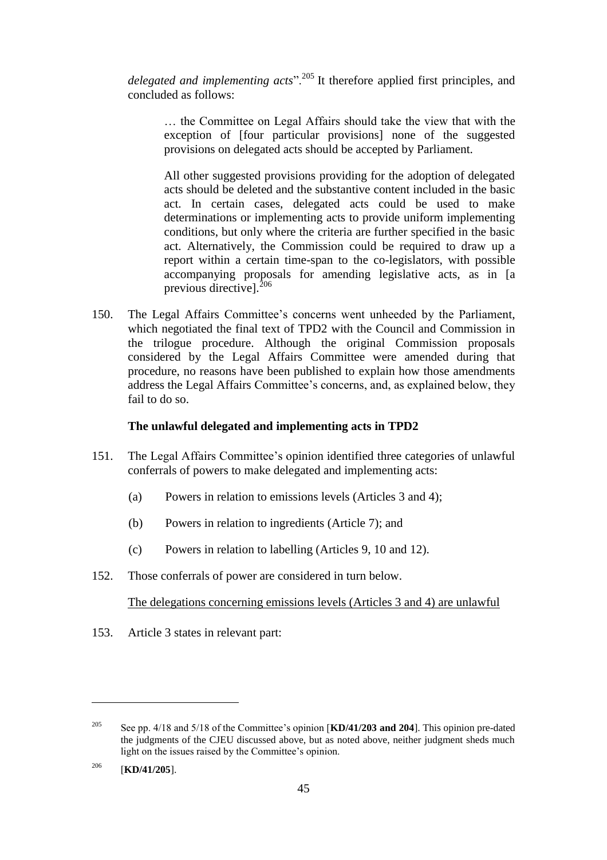*delegated and implementing acts*".<sup>205</sup> It therefore applied first principles, and concluded as follows:

… the Committee on Legal Affairs should take the view that with the exception of [four particular provisions] none of the suggested provisions on delegated acts should be accepted by Parliament.

All other suggested provisions providing for the adoption of delegated acts should be deleted and the substantive content included in the basic act. In certain cases, delegated acts could be used to make determinations or implementing acts to provide uniform implementing conditions, but only where the criteria are further specified in the basic act. Alternatively, the Commission could be required to draw up a report within a certain time-span to the co-legislators, with possible accompanying proposals for amending legislative acts, as in [a previous directive].<sup>206</sup>

150. The Legal Affairs Committee's concerns went unheeded by the Parliament, which negotiated the final text of TPD2 with the Council and Commission in the trilogue procedure. Although the original Commission proposals considered by the Legal Affairs Committee were amended during that procedure, no reasons have been published to explain how those amendments address the Legal Affairs Committee's concerns, and, as explained below, they fail to do so.

### **The unlawful delegated and implementing acts in TPD2**

- 151. The Legal Affairs Committee's opinion identified three categories of unlawful conferrals of powers to make delegated and implementing acts:
	- (a) Powers in relation to emissions levels (Articles 3 and 4);
	- (b) Powers in relation to ingredients (Article 7); and
	- (c) Powers in relation to labelling (Articles 9, 10 and 12).
- 152. Those conferrals of power are considered in turn below.

The delegations concerning emissions levels (Articles 3 and 4) are unlawful

153. Article 3 states in relevant part:

<sup>205</sup> See pp. 4/18 and 5/18 of the Committee's opinion [**KD/41/203 and 204**]. This opinion pre-dated the judgments of the CJEU discussed above, but as noted above, neither judgment sheds much light on the issues raised by the Committee's opinion.

<sup>206</sup> [**KD/41/205**].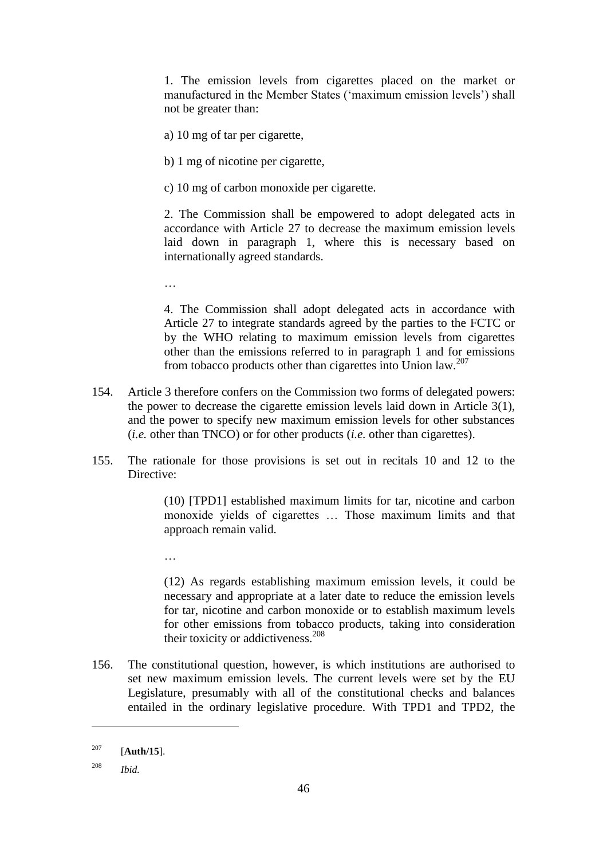1. The emission levels from cigarettes placed on the market or manufactured in the Member States ('maximum emission levels') shall not be greater than:

- a) 10 mg of tar per cigarette,
- b) 1 mg of nicotine per cigarette,
- c) 10 mg of carbon monoxide per cigarette.

2. The Commission shall be empowered to adopt delegated acts in accordance with Article 27 to decrease the maximum emission levels laid down in paragraph 1, where this is necessary based on internationally agreed standards.

…

4. The Commission shall adopt delegated acts in accordance with Article 27 to integrate standards agreed by the parties to the FCTC or by the WHO relating to maximum emission levels from cigarettes other than the emissions referred to in paragraph 1 and for emissions from tobacco products other than cigarettes into Union law.<sup>207</sup>

- 154. Article 3 therefore confers on the Commission two forms of delegated powers: the power to decrease the cigarette emission levels laid down in Article 3(1), and the power to specify new maximum emission levels for other substances (*i.e.* other than TNCO) or for other products (*i.e.* other than cigarettes).
- 155. The rationale for those provisions is set out in recitals 10 and 12 to the Directive:

(10) [TPD1] established maximum limits for tar, nicotine and carbon monoxide yields of cigarettes … Those maximum limits and that approach remain valid.

…

(12) As regards establishing maximum emission levels, it could be necessary and appropriate at a later date to reduce the emission levels for tar, nicotine and carbon monoxide or to establish maximum levels for other emissions from tobacco products, taking into consideration their toxicity or addictiveness.<sup>208</sup>

156. The constitutional question, however, is which institutions are authorised to set new maximum emission levels. The current levels were set by the EU Legislature, presumably with all of the constitutional checks and balances entailed in the ordinary legislative procedure. With TPD1 and TPD2, the

<sup>207</sup> [**Auth/15**].

<sup>208</sup> *Ibid.*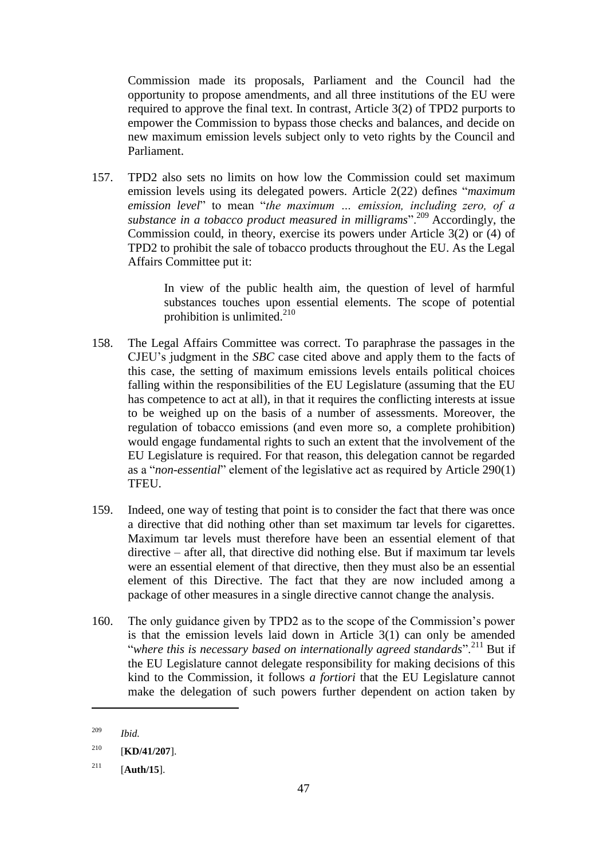Commission made its proposals, Parliament and the Council had the opportunity to propose amendments, and all three institutions of the EU were required to approve the final text. In contrast, Article 3(2) of TPD2 purports to empower the Commission to bypass those checks and balances, and decide on new maximum emission levels subject only to veto rights by the Council and Parliament.

157. TPD2 also sets no limits on how low the Commission could set maximum emission levels using its delegated powers. Article 2(22) defines "*maximum emission level*" to mean "*the maximum … emission, including zero, of a substance in a tobacco product measured in milligrams*".<sup>209</sup> Accordingly, the Commission could, in theory, exercise its powers under Article 3(2) or (4) of TPD2 to prohibit the sale of tobacco products throughout the EU. As the Legal Affairs Committee put it:

> In view of the public health aim, the question of level of harmful substances touches upon essential elements. The scope of potential prohibition is unlimited.<sup>210</sup>

- 158. The Legal Affairs Committee was correct. To paraphrase the passages in the CJEU's judgment in the *SBC* case cited above and apply them to the facts of this case, the setting of maximum emissions levels entails political choices falling within the responsibilities of the EU Legislature (assuming that the EU has competence to act at all), in that it requires the conflicting interests at issue to be weighed up on the basis of a number of assessments. Moreover, the regulation of tobacco emissions (and even more so, a complete prohibition) would engage fundamental rights to such an extent that the involvement of the EU Legislature is required. For that reason, this delegation cannot be regarded as a "*non-essential*" element of the legislative act as required by Article 290(1) TFEU.
- 159. Indeed, one way of testing that point is to consider the fact that there was once a directive that did nothing other than set maximum tar levels for cigarettes. Maximum tar levels must therefore have been an essential element of that directive – after all, that directive did nothing else. But if maximum tar levels were an essential element of that directive, then they must also be an essential element of this Directive. The fact that they are now included among a package of other measures in a single directive cannot change the analysis.
- 160. The only guidance given by TPD2 as to the scope of the Commission's power is that the emission levels laid down in Article 3(1) can only be amended "*where this is necessary based on internationally agreed standards*".<sup>211</sup> But if the EU Legislature cannot delegate responsibility for making decisions of this kind to the Commission, it follows *a fortiori* that the EU Legislature cannot make the delegation of such powers further dependent on action taken by

<sup>209</sup> *Ibid.*

<sup>210</sup> [**KD/41/207**].

<sup>211</sup> [**Auth/15**].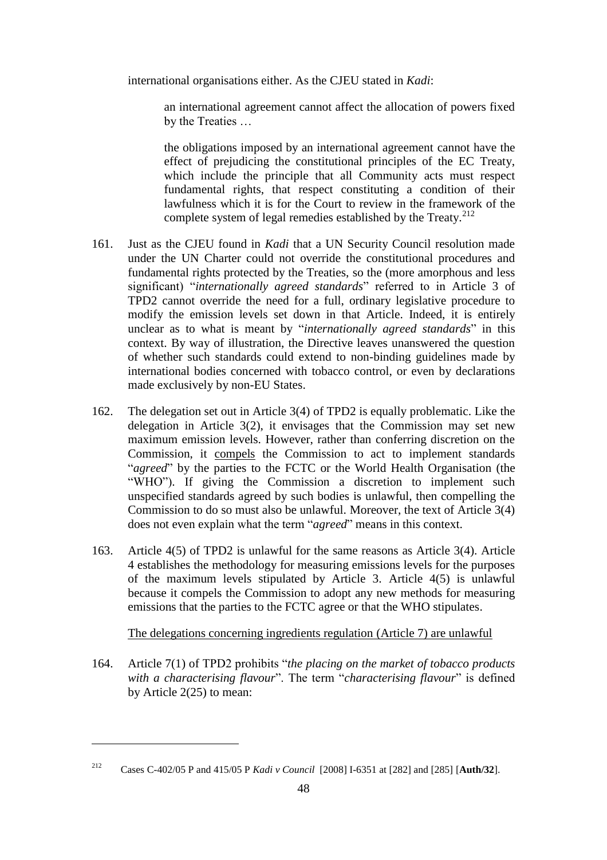international organisations either. As the CJEU stated in *Kadi*:

an international agreement cannot affect the allocation of powers fixed by the Treaties …

the obligations imposed by an international agreement cannot have the effect of prejudicing the constitutional principles of the EC Treaty, which include the principle that all Community acts must respect fundamental rights, that respect constituting a condition of their lawfulness which it is for the Court to review in the framework of the complete system of legal remedies established by the Treaty.<sup>212</sup>

- 161. Just as the CJEU found in *Kadi* that a UN Security Council resolution made under the UN Charter could not override the constitutional procedures and fundamental rights protected by the Treaties, so the (more amorphous and less significant) "*internationally agreed standards*" referred to in Article 3 of TPD2 cannot override the need for a full, ordinary legislative procedure to modify the emission levels set down in that Article. Indeed, it is entirely unclear as to what is meant by "*internationally agreed standards*" in this context. By way of illustration, the Directive leaves unanswered the question of whether such standards could extend to non-binding guidelines made by international bodies concerned with tobacco control, or even by declarations made exclusively by non-EU States.
- 162. The delegation set out in Article 3(4) of TPD2 is equally problematic. Like the delegation in Article 3(2), it envisages that the Commission may set new maximum emission levels. However, rather than conferring discretion on the Commission, it compels the Commission to act to implement standards "*agreed*" by the parties to the FCTC or the World Health Organisation (the "WHO"). If giving the Commission a discretion to implement such unspecified standards agreed by such bodies is unlawful, then compelling the Commission to do so must also be unlawful. Moreover, the text of Article 3(4) does not even explain what the term "*agreed*" means in this context.
- 163. Article 4(5) of TPD2 is unlawful for the same reasons as Article 3(4). Article 4 establishes the methodology for measuring emissions levels for the purposes of the maximum levels stipulated by Article 3. Article 4(5) is unlawful because it compels the Commission to adopt any new methods for measuring emissions that the parties to the FCTC agree or that the WHO stipulates.

The delegations concerning ingredients regulation (Article 7) are unlawful

164. Article 7(1) of TPD2 prohibits "*the placing on the market of tobacco products with a characterising flavour*". The term "*characterising flavour*" is defined by Article 2(25) to mean:

<sup>212</sup> Cases C-402/05 P and 415/05 P *Kadi v Council* [2008] I-6351 at [282] and [285] [**Auth/32**].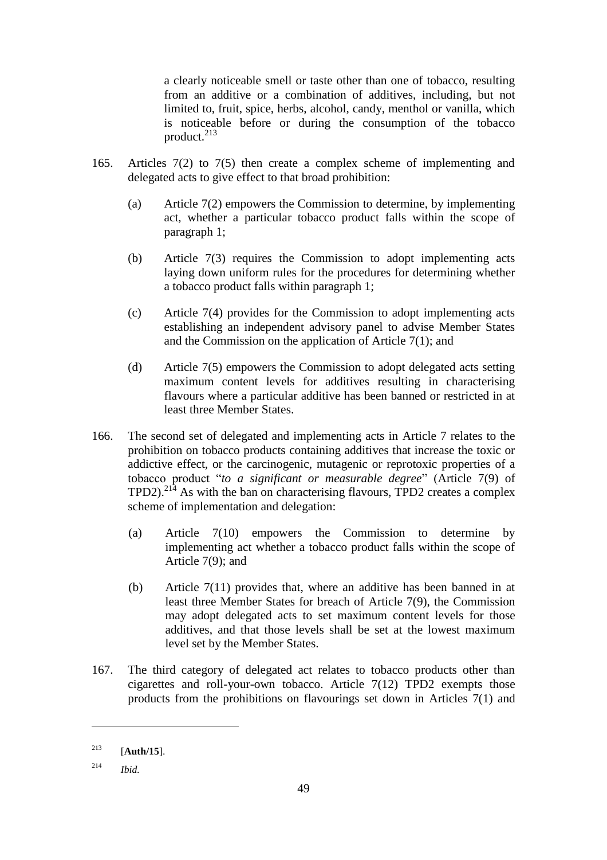a clearly noticeable smell or taste other than one of tobacco, resulting from an additive or a combination of additives, including, but not limited to, fruit, spice, herbs, alcohol, candy, menthol or vanilla, which is noticeable before or during the consumption of the tobacco product. $^{213}$ 

- 165. Articles 7(2) to 7(5) then create a complex scheme of implementing and delegated acts to give effect to that broad prohibition:
	- (a) Article 7(2) empowers the Commission to determine, by implementing act, whether a particular tobacco product falls within the scope of paragraph 1;
	- (b) Article 7(3) requires the Commission to adopt implementing acts laying down uniform rules for the procedures for determining whether a tobacco product falls within paragraph 1;
	- (c) Article 7(4) provides for the Commission to adopt implementing acts establishing an independent advisory panel to advise Member States and the Commission on the application of Article 7(1); and
	- (d) Article 7(5) empowers the Commission to adopt delegated acts setting maximum content levels for additives resulting in characterising flavours where a particular additive has been banned or restricted in at least three Member States.
- 166. The second set of delegated and implementing acts in Article 7 relates to the prohibition on tobacco products containing additives that increase the toxic or addictive effect, or the carcinogenic, mutagenic or reprotoxic properties of a tobacco product "*to a significant or measurable degree*" (Article 7(9) of  $TPD2$ ).<sup>214</sup> As with the ban on characterising flavours, TPD2 creates a complex scheme of implementation and delegation:
	- (a) Article 7(10) empowers the Commission to determine by implementing act whether a tobacco product falls within the scope of Article 7(9); and
	- (b) Article 7(11) provides that, where an additive has been banned in at least three Member States for breach of Article 7(9), the Commission may adopt delegated acts to set maximum content levels for those additives, and that those levels shall be set at the lowest maximum level set by the Member States.
- 167. The third category of delegated act relates to tobacco products other than cigarettes and roll-your-own tobacco. Article 7(12) TPD2 exempts those products from the prohibitions on flavourings set down in Articles 7(1) and

<sup>213</sup> [**Auth/15**].

<sup>214</sup> *Ibid.*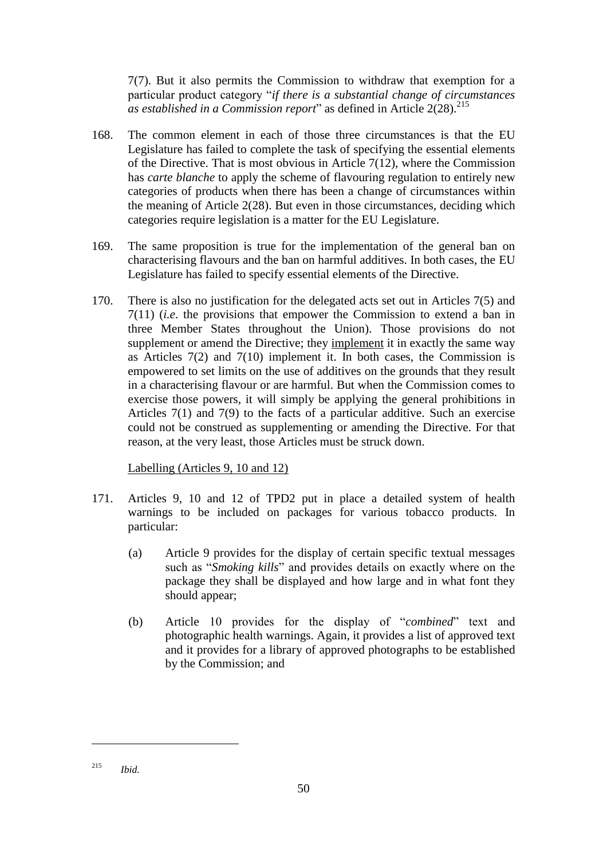7(7). But it also permits the Commission to withdraw that exemption for a particular product category "*if there is a substantial change of circumstances as established in a Commission report*" as defined in Article 2(28). 215

- 168. The common element in each of those three circumstances is that the EU Legislature has failed to complete the task of specifying the essential elements of the Directive. That is most obvious in Article 7(12), where the Commission has *carte blanche* to apply the scheme of flavouring regulation to entirely new categories of products when there has been a change of circumstances within the meaning of Article 2(28). But even in those circumstances, deciding which categories require legislation is a matter for the EU Legislature.
- 169. The same proposition is true for the implementation of the general ban on characterising flavours and the ban on harmful additives. In both cases, the EU Legislature has failed to specify essential elements of the Directive.
- 170. There is also no justification for the delegated acts set out in Articles 7(5) and 7(11) (*i.e*. the provisions that empower the Commission to extend a ban in three Member States throughout the Union). Those provisions do not supplement or amend the Directive; they implement it in exactly the same way as Articles  $7(2)$  and  $7(10)$  implement it. In both cases, the Commission is empowered to set limits on the use of additives on the grounds that they result in a characterising flavour or are harmful. But when the Commission comes to exercise those powers, it will simply be applying the general prohibitions in Articles 7(1) and 7(9) to the facts of a particular additive. Such an exercise could not be construed as supplementing or amending the Directive. For that reason, at the very least, those Articles must be struck down.

### Labelling (Articles 9, 10 and 12)

- 171. Articles 9, 10 and 12 of TPD2 put in place a detailed system of health warnings to be included on packages for various tobacco products. In particular:
	- (a) Article 9 provides for the display of certain specific textual messages such as "*Smoking kills*" and provides details on exactly where on the package they shall be displayed and how large and in what font they should appear;
	- (b) Article 10 provides for the display of "*combined*" text and photographic health warnings. Again, it provides a list of approved text and it provides for a library of approved photographs to be established by the Commission; and

<sup>215</sup> *Ibid.*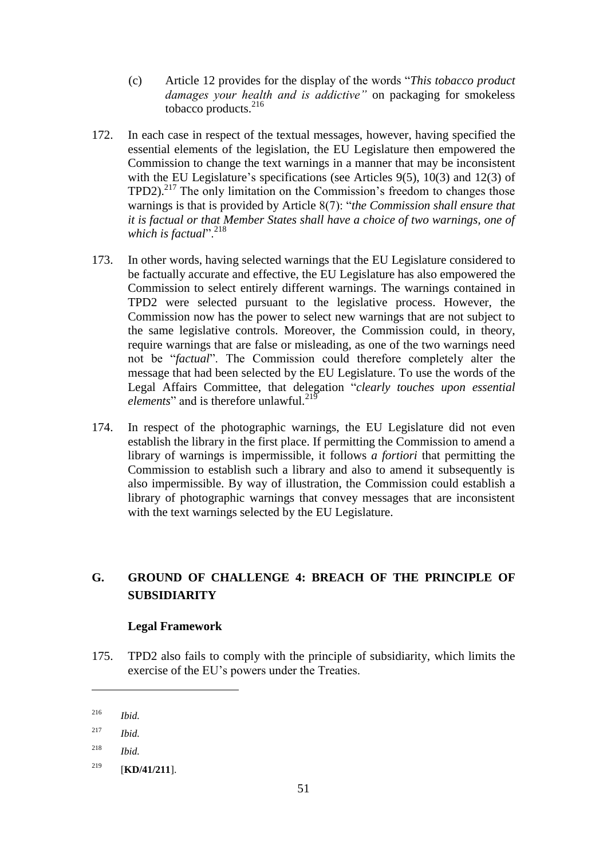- (c) Article 12 provides for the display of the words "*This tobacco product damages your health and is addictive"* on packaging for smokeless tobacco products.<sup>216</sup>
- 172. In each case in respect of the textual messages, however, having specified the essential elements of the legislation, the EU Legislature then empowered the Commission to change the text warnings in a manner that may be inconsistent with the EU Legislature's specifications (see Articles 9(5), 10(3) and 12(3) of  $TPD2$ ).<sup>217</sup> The only limitation on the Commission's freedom to changes those warnings is that is provided by Article 8(7): "*the Commission shall ensure that it is factual or that Member States shall have a choice of two warnings, one of which is factual*".<sup>218</sup>
- 173. In other words, having selected warnings that the EU Legislature considered to be factually accurate and effective, the EU Legislature has also empowered the Commission to select entirely different warnings. The warnings contained in TPD2 were selected pursuant to the legislative process. However, the Commission now has the power to select new warnings that are not subject to the same legislative controls. Moreover, the Commission could, in theory, require warnings that are false or misleading, as one of the two warnings need not be "*factual*". The Commission could therefore completely alter the message that had been selected by the EU Legislature. To use the words of the Legal Affairs Committee, that delegation "*clearly touches upon essential elements*" and is therefore unlawful. 219
- 174. In respect of the photographic warnings, the EU Legislature did not even establish the library in the first place. If permitting the Commission to amend a library of warnings is impermissible, it follows *a fortiori* that permitting the Commission to establish such a library and also to amend it subsequently is also impermissible. By way of illustration, the Commission could establish a library of photographic warnings that convey messages that are inconsistent with the text warnings selected by the EU Legislature.

# **G. GROUND OF CHALLENGE 4: BREACH OF THE PRINCIPLE OF SUBSIDIARITY**

# **Legal Framework**

175. TPD2 also fails to comply with the principle of subsidiarity, which limits the exercise of the EU's powers under the Treaties.

<sup>216</sup> *Ibid.*

<sup>217</sup> *Ibid.*

<sup>218</sup> *Ibid.*

<sup>219</sup> [**KD/41/211**].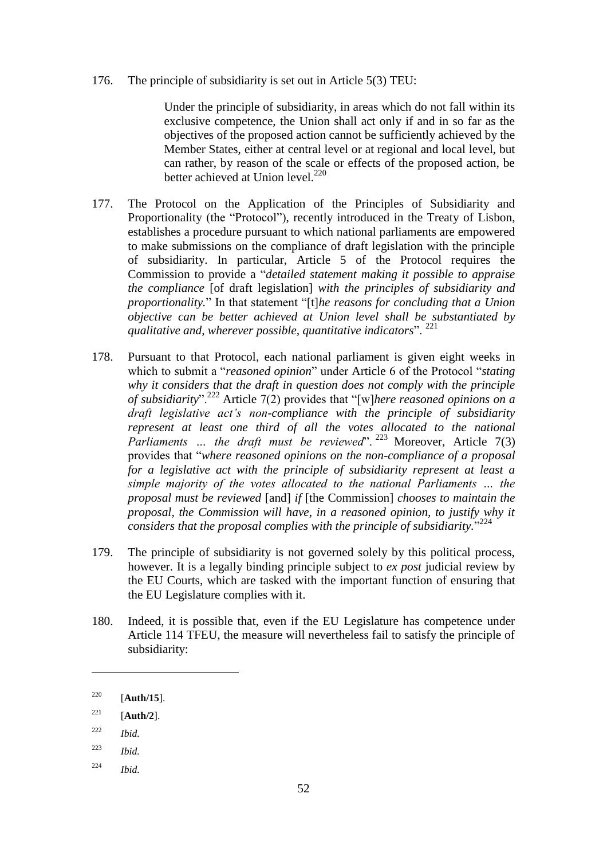176. The principle of subsidiarity is set out in Article 5(3) TEU:

Under the principle of subsidiarity, in areas which do not fall within its exclusive competence, the Union shall act only if and in so far as the objectives of the proposed action cannot be sufficiently achieved by the Member States, either at central level or at regional and local level, but can rather, by reason of the scale or effects of the proposed action, be better achieved at Union level. $^{220}$ 

- 177. The Protocol on the Application of the Principles of Subsidiarity and Proportionality (the "Protocol"), recently introduced in the Treaty of Lisbon, establishes a procedure pursuant to which national parliaments are empowered to make submissions on the compliance of draft legislation with the principle of subsidiarity. In particular, Article 5 of the Protocol requires the Commission to provide a "*detailed statement making it possible to appraise the compliance* [of draft legislation] *with the principles of subsidiarity and proportionality.*" In that statement "[t]*he reasons for concluding that a Union objective can be better achieved at Union level shall be substantiated by qualitative and, wherever possible, quantitative indicators*". <sup>221</sup>
- 178. Pursuant to that Protocol, each national parliament is given eight weeks in which to submit a "*reasoned opinion*" under Article 6 of the Protocol "*stating why it considers that the draft in question does not comply with the principle of subsidiarity*".<sup>222</sup> Article 7(2) provides that "[w]*here reasoned opinions on a draft legislative act's non-compliance with the principle of subsidiarity represent at least one third of all the votes allocated to the national Parliaments ... the draft must be reviewed*".<sup>223</sup> Moreover, Article 7(3) provides that "*where reasoned opinions on the non-compliance of a proposal for a legislative act with the principle of subsidiarity represent at least a simple majority of the votes allocated to the national Parliaments … the proposal must be reviewed* [and] *if* [the Commission] *chooses to maintain the proposal, the Commission will have, in a reasoned opinion, to justify why it considers that the proposal complies with the principle of subsidiarity.*" 224
- 179. The principle of subsidiarity is not governed solely by this political process, however. It is a legally binding principle subject to *ex post* judicial review by the EU Courts, which are tasked with the important function of ensuring that the EU Legislature complies with it.
- 180. Indeed, it is possible that, even if the EU Legislature has competence under Article 114 TFEU, the measure will nevertheless fail to satisfy the principle of subsidiarity:

<sup>222</sup> *Ibid.*

- <sup>223</sup> *Ibid.*
- <sup>224</sup> *Ibid.*

<sup>220</sup> [**Auth/15**].

 $221$  [**Auth/2**].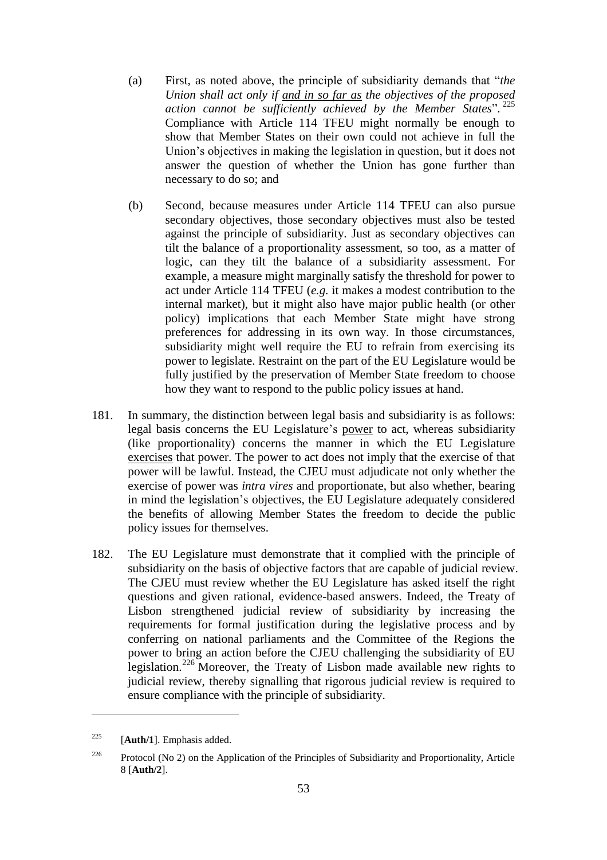- (a) First, as noted above, the principle of subsidiarity demands that "*the Union shall act only if and in so far as the objectives of the proposed action cannot be sufficiently achieved by the Member States*". 225 Compliance with Article 114 TFEU might normally be enough to show that Member States on their own could not achieve in full the Union's objectives in making the legislation in question, but it does not answer the question of whether the Union has gone further than necessary to do so; and
- (b) Second, because measures under Article 114 TFEU can also pursue secondary objectives, those secondary objectives must also be tested against the principle of subsidiarity. Just as secondary objectives can tilt the balance of a proportionality assessment, so too, as a matter of logic, can they tilt the balance of a subsidiarity assessment. For example, a measure might marginally satisfy the threshold for power to act under Article 114 TFEU (*e.g.* it makes a modest contribution to the internal market), but it might also have major public health (or other policy) implications that each Member State might have strong preferences for addressing in its own way. In those circumstances, subsidiarity might well require the EU to refrain from exercising its power to legislate. Restraint on the part of the EU Legislature would be fully justified by the preservation of Member State freedom to choose how they want to respond to the public policy issues at hand.
- 181. In summary, the distinction between legal basis and subsidiarity is as follows: legal basis concerns the EU Legislature's power to act, whereas subsidiarity (like proportionality) concerns the manner in which the EU Legislature exercises that power. The power to act does not imply that the exercise of that power will be lawful. Instead, the CJEU must adjudicate not only whether the exercise of power was *intra vires* and proportionate, but also whether, bearing in mind the legislation's objectives, the EU Legislature adequately considered the benefits of allowing Member States the freedom to decide the public policy issues for themselves.
- 182. The EU Legislature must demonstrate that it complied with the principle of subsidiarity on the basis of objective factors that are capable of judicial review. The CJEU must review whether the EU Legislature has asked itself the right questions and given rational, evidence-based answers. Indeed, the Treaty of Lisbon strengthened judicial review of subsidiarity by increasing the requirements for formal justification during the legislative process and by conferring on national parliaments and the Committee of the Regions the power to bring an action before the CJEU challenging the subsidiarity of EU legislation.<sup>226</sup> Moreover, the Treaty of Lisbon made available new rights to judicial review, thereby signalling that rigorous judicial review is required to ensure compliance with the principle of subsidiarity.

<sup>225</sup> [**Auth/1**]. Emphasis added.

<sup>&</sup>lt;sup>226</sup> Protocol (No 2) on the Application of the Principles of Subsidiarity and Proportionality, Article 8 [**Auth/2**].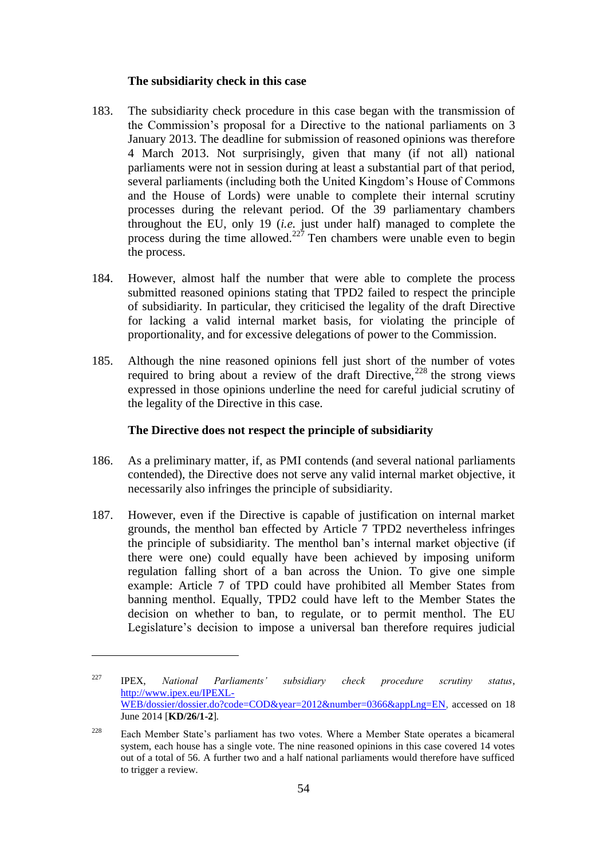### **The subsidiarity check in this case**

- 183. The subsidiarity check procedure in this case began with the transmission of the Commission's proposal for a Directive to the national parliaments on 3 January 2013. The deadline for submission of reasoned opinions was therefore 4 March 2013. Not surprisingly, given that many (if not all) national parliaments were not in session during at least a substantial part of that period, several parliaments (including both the United Kingdom's House of Commons and the House of Lords) were unable to complete their internal scrutiny processes during the relevant period. Of the 39 parliamentary chambers throughout the EU, only 19 (*i.e.* just under half) managed to complete the process during the time allowed.<sup>227</sup> Ten chambers were unable even to begin the process.
- 184. However, almost half the number that were able to complete the process submitted reasoned opinions stating that TPD2 failed to respect the principle of subsidiarity. In particular, they criticised the legality of the draft Directive for lacking a valid internal market basis, for violating the principle of proportionality, and for excessive delegations of power to the Commission.
- 185. Although the nine reasoned opinions fell just short of the number of votes required to bring about a review of the draft Directive, $228$  the strong views expressed in those opinions underline the need for careful judicial scrutiny of the legality of the Directive in this case.

## **The Directive does not respect the principle of subsidiarity**

- 186. As a preliminary matter, if, as PMI contends (and several national parliaments contended), the Directive does not serve any valid internal market objective, it necessarily also infringes the principle of subsidiarity.
- 187. However, even if the Directive is capable of justification on internal market grounds, the menthol ban effected by Article 7 TPD2 nevertheless infringes the principle of subsidiarity. The menthol ban's internal market objective (if there were one) could equally have been achieved by imposing uniform regulation falling short of a ban across the Union. To give one simple example: Article 7 of TPD could have prohibited all Member States from banning menthol. Equally, TPD2 could have left to the Member States the decision on whether to ban, to regulate, or to permit menthol. The EU Legislature's decision to impose a universal ban therefore requires judicial

<sup>227</sup> IPEX, *National Parliaments' subsidiary check procedure scrutiny status*, [http://www.ipex.eu/IPEXL-](http://www.ipex.eu/IPEXL-WEB/dossier/dossier.do?code=COD&year=2012&number=0366&appLng=EN)[WEB/dossier/dossier.do?code=COD&year=2012&number=0366&appLng=EN,](http://www.ipex.eu/IPEXL-WEB/dossier/dossier.do?code=COD&year=2012&number=0366&appLng=EN) accessed on 18 June 2014 [**KD/26/1-2**]*.*

<sup>&</sup>lt;sup>228</sup> Each Member State's parliament has two votes. Where a Member State operates a bicameral system, each house has a single vote. The nine reasoned opinions in this case covered 14 votes out of a total of 56. A further two and a half national parliaments would therefore have sufficed to trigger a review.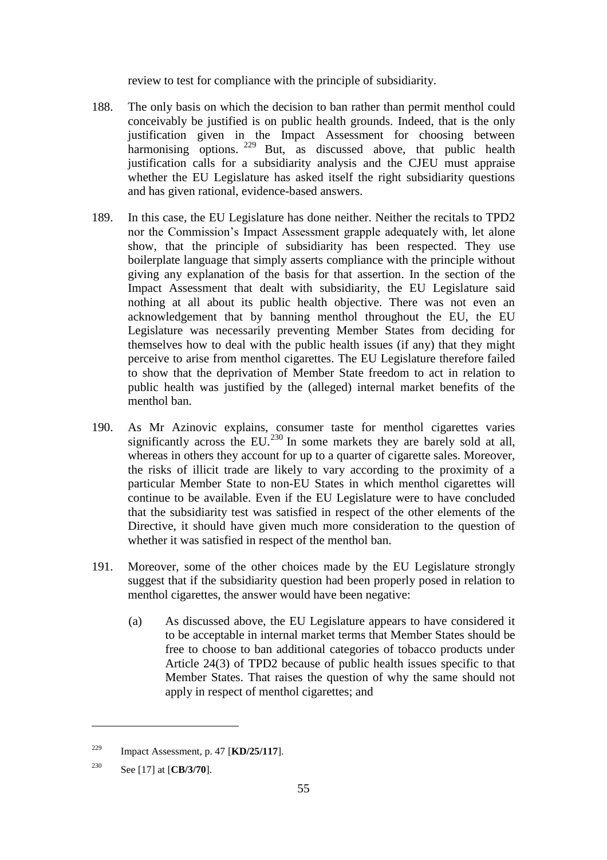review to test for compliance with the principle of subsidiarity.

- 188. The only basis on which the decision to ban rather than permit menthol could conceivably be justified is on public health grounds. Indeed, that is the only justification given in the Impact Assessment for choosing between harmonising options. <sup>229</sup> But, as discussed above, that public health justification calls for a subsidiarity analysis and the CJEU must appraise whether the EU Legislature has asked itself the right subsidiarity questions and has given rational, evidence-based answers.
- 189. In this case, the EU Legislature has done neither. Neither the recitals to TPD2 nor the Commission's Impact Assessment grapple adequately with, let alone show, that the principle of subsidiarity has been respected. They use boilerplate language that simply asserts compliance with the principle without giving any explanation of the basis for that assertion. In the section of the Impact Assessment that dealt with subsidiarity, the EU Legislature said nothing at all about its public health objective. There was not even an acknowledgement that by banning menthol throughout the EU, the EU Legislature was necessarily preventing Member States from deciding for themselves how to deal with the public health issues (if any) that they might perceive to arise from menthol cigarettes. The EU Legislature therefore failed to show that the deprivation of Member State freedom to act in relation to public health was justified by the (alleged) internal market benefits of the menthol ban.
- 190. As Mr Azinovic explains, consumer taste for menthol cigarettes varies significantly across the EU.<sup>230</sup> In some markets they are barely sold at all, whereas in others they account for up to a quarter of cigarette sales. Moreover, the risks of illicit trade are likely to vary according to the proximity of a particular Member State to non-EU States in which menthol cigarettes will continue to be available. Even if the EU Legislature were to have concluded that the subsidiarity test was satisfied in respect of the other elements of the Directive, it should have given much more consideration to the question of whether it was satisfied in respect of the menthol ban.
- 191. Moreover, some of the other choices made by the EU Legislature strongly suggest that if the subsidiarity question had been properly posed in relation to menthol cigarettes, the answer would have been negative:
	- (a) As discussed above, the EU Legislature appears to have considered it to be acceptable in internal market terms that Member States should be free to choose to ban additional categories of tobacco products under Article 24(3) of TPD2 because of public health issues specific to that Member States. That raises the question of why the same should not apply in respect of menthol cigarettes; and

<sup>229</sup> Impact Assessment, p. 47 [**KD/25/117**].

<sup>230</sup> See [17] at [**CB/3/70**].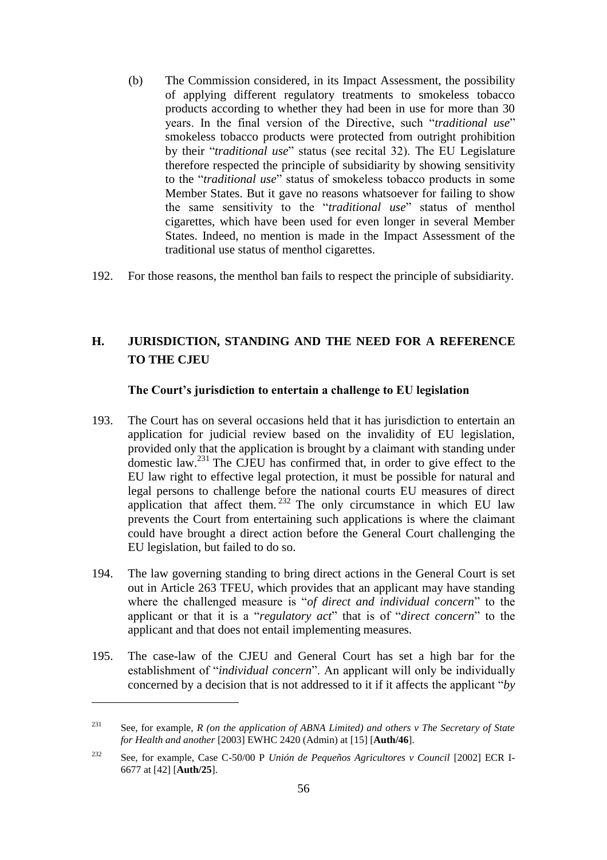- (b) The Commission considered, in its Impact Assessment, the possibility of applying different regulatory treatments to smokeless tobacco products according to whether they had been in use for more than 30 years. In the final version of the Directive, such "*traditional use*" smokeless tobacco products were protected from outright prohibition by their "*traditional use*" status (see recital 32). The EU Legislature therefore respected the principle of subsidiarity by showing sensitivity to the "*traditional use*" status of smokeless tobacco products in some Member States. But it gave no reasons whatsoever for failing to show the same sensitivity to the "*traditional use*" status of menthol cigarettes, which have been used for even longer in several Member States. Indeed, no mention is made in the Impact Assessment of the traditional use status of menthol cigarettes.
- 192. For those reasons, the menthol ban fails to respect the principle of subsidiarity.

# **H. JURISDICTION, STANDING AND THE NEED FOR A REFERENCE TO THE CJEU**

### **The Court's jurisdiction to entertain a challenge to EU legislation**

- 193. The Court has on several occasions held that it has jurisdiction to entertain an application for judicial review based on the invalidity of EU legislation, provided only that the application is brought by a claimant with standing under domestic law.<sup>231</sup> The CJEU has confirmed that, in order to give effect to the EU law right to effective legal protection, it must be possible for natural and legal persons to challenge before the national courts EU measures of direct application that affect them. <sup>232</sup> The only circumstance in which EU law prevents the Court from entertaining such applications is where the claimant could have brought a direct action before the General Court challenging the EU legislation, but failed to do so.
- 194. The law governing standing to bring direct actions in the General Court is set out in Article 263 TFEU, which provides that an applicant may have standing where the challenged measure is "*of direct and individual concern*" to the applicant or that it is a "*regulatory act*" that is of "*direct concern*" to the applicant and that does not entail implementing measures.
- 195. The case-law of the CJEU and General Court has set a high bar for the establishment of "*individual concern*". An applicant will only be individually concerned by a decision that is not addressed to it if it affects the applicant "*by*

<sup>231</sup> See, for example, *R (on the application of ABNA Limited) and others v The Secretary of State for Health and another* [2003] EWHC 2420 (Admin) at [15] [**Auth/46**].

<sup>232</sup> See, for example, Case C-50/00 P *Unión de Pequeños Agricultores v Council* [2002] ECR I-6677 at [42] [**Auth/25**].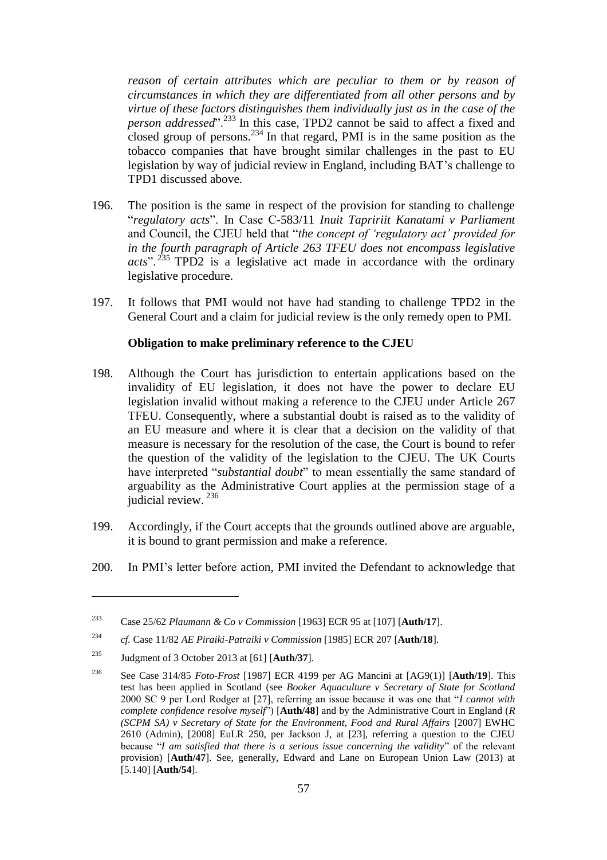*reason of certain attributes which are peculiar to them or by reason of circumstances in which they are differentiated from all other persons and by virtue of these factors distinguishes them individually just as in the case of the person addressed*".<sup>233</sup> In this case, TPD2 cannot be said to affect a fixed and closed group of persons.<sup>234</sup> In that regard, PMI is in the same position as the tobacco companies that have brought similar challenges in the past to EU legislation by way of judicial review in England, including BAT's challenge to TPD1 discussed above.

- 196. The position is the same in respect of the provision for standing to challenge "*regulatory acts*". In Case C-583/11 *Inuit Tapririit Kanatami v Parliament* and Council, the CJEU held that "*the concept of 'regulatory act' provided for in the fourth paragraph of Article 263 TFEU does not encompass legislative*  acts".<sup>235</sup> TPD2 is a legislative act made in accordance with the ordinary legislative procedure.
- 197. It follows that PMI would not have had standing to challenge TPD2 in the General Court and a claim for judicial review is the only remedy open to PMI.

### **Obligation to make preliminary reference to the CJEU**

- 198. Although the Court has jurisdiction to entertain applications based on the invalidity of EU legislation, it does not have the power to declare EU legislation invalid without making a reference to the CJEU under Article 267 TFEU. Consequently, where a substantial doubt is raised as to the validity of an EU measure and where it is clear that a decision on the validity of that measure is necessary for the resolution of the case, the Court is bound to refer the question of the validity of the legislation to the CJEU. The UK Courts have interpreted "*substantial doubt*" to mean essentially the same standard of arguability as the Administrative Court applies at the permission stage of a judicial review. <sup>236</sup>
- 199. Accordingly, if the Court accepts that the grounds outlined above are arguable, it is bound to grant permission and make a reference.
- 200. In PMI's letter before action, PMI invited the Defendant to acknowledge that

<sup>233</sup> Case 25/62 *Plaumann & Co v Commission* [1963] ECR 95 at [107] [**Auth/17**].

<sup>234</sup> *cf.* Case 11/82 *AE Piraiki-Patraiki v Commission* [1985] ECR 207 [**Auth/18**].

<sup>235</sup> Judgment of 3 October 2013 at [61] [**Auth/37**].

<sup>236</sup> See Case 314/85 *Foto-Frost* [1987] ECR 4199 per AG Mancini at [AG9(1)] [**Auth/19**]. This test has been applied in Scotland (see *Booker Aquaculture v Secretary of State for Scotland* 2000 SC 9 per Lord Rodger at [27], referring an issue because it was one that "*I cannot with complete confidence resolve myself*") [**Auth/48**] and by the Administrative Court in England (*R (SCPM SA) v Secretary of State for the Environment, Food and Rural Affairs* [2007] EWHC 2610 (Admin), [2008] EuLR 250, per Jackson J, at [23], referring a question to the CJEU because "*I am satisfied that there is a serious issue concerning the validity*" of the relevant provision) [**Auth/47**]. See, generally, Edward and Lane on European Union Law (2013) at [5.140] [**Auth/54**].